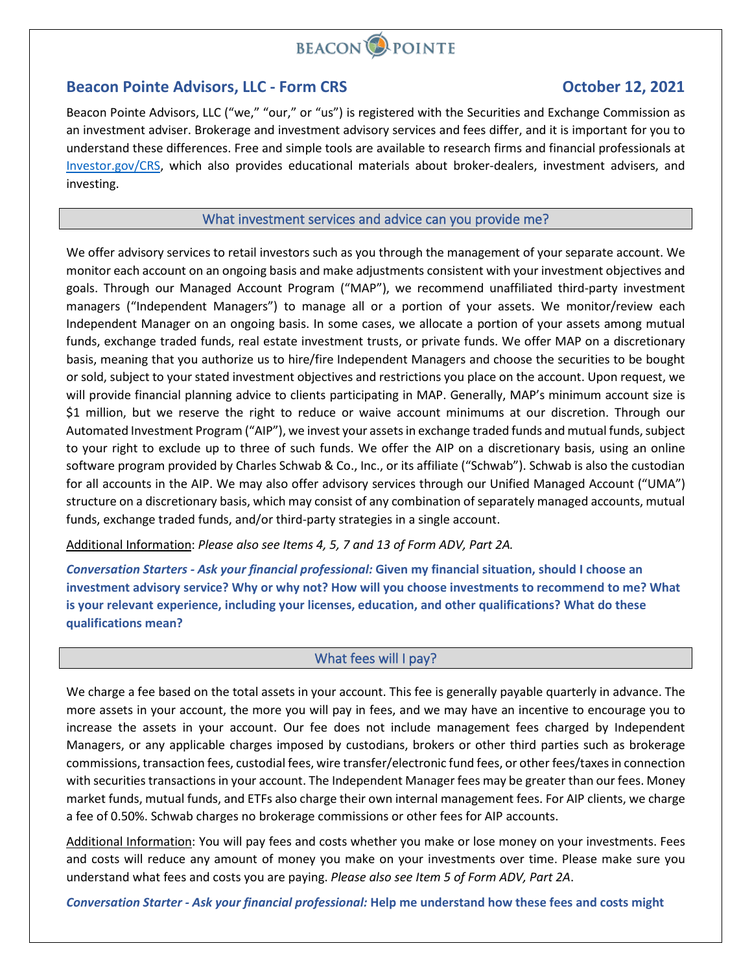# **BEACON POINTE**

### **Beacon Pointe Advisors, LLC - Form CRS COLOGITY 12, 2021**

Beacon Pointe Advisors, LLC ("we," "our," or "us") is registered with the Securities and Exchange Commission as an investment adviser. Brokerage and investment advisory services and fees differ, and it is important for you to understand these differences. Free and simple tools are available to research firms and financial professionals at Investor.gov/CRS, which also provides educational materials about broker-dealers, investment advisers, and investing.

#### What investment services and advice can you provide me?

We offer advisory services to retail investors such as you through the management of your separate account. We monitor each account on an ongoing basis and make adjustments consistent with your investment objectives and goals. Through our Managed Account Program ("MAP"), we recommend unaffiliated third-party investment managers ("Independent Managers") to manage all or a portion of your assets. We monitor/review each Independent Manager on an ongoing basis. In some cases, we allocate a portion of your assets among mutual funds, exchange traded funds, real estate investment trusts, or private funds. We offer MAP on a discretionary basis, meaning that you authorize us to hire/fire Independent Managers and choose the securities to be bought or sold, subject to your stated investment objectives and restrictions you place on the account. Upon request, we will provide financial planning advice to clients participating in MAP. Generally, MAP's minimum account size is \$1 million, but we reserve the right to reduce or waive account minimums at our discretion. Through our Automated Investment Program ("AIP"), we invest your assets in exchange traded funds and mutual funds, subject to your right to exclude up to three of such funds. We offer the AIP on a discretionary basis, using an online software program provided by Charles Schwab & Co., Inc., or its affiliate ("Schwab"). Schwab is also the custodian for all accounts in the AIP. We may also offer advisory services through our Unified Managed Account ("UMA") structure on a discretionary basis, which may consist of any combination of separately managed accounts, mutual funds, exchange traded funds, and/or third-party strategies in a single account.

Additional Information: *Please also see Items 4, 5, 7 and 13 of Form ADV, Part 2A.*

*Conversation Starters - Ask your financial professional:* **Given my financial situation, should I choose an investment advisory service? Why or why not? How will you choose investments to recommend to me? What is your relevant experience, including your licenses, education, and other qualifications? What do these qualifications mean?**

### What fees will I pay?

We charge a fee based on the total assets in your account. This fee is generally payable quarterly in advance. The more assets in your account, the more you will pay in fees, and we may have an incentive to encourage you to increase the assets in your account. Our fee does not include management fees charged by Independent Managers, or any applicable charges imposed by custodians, brokers or other third parties such as brokerage commissions, transaction fees, custodial fees, wire transfer/electronic fund fees, or other fees/taxes in connection with securities transactions in your account. The Independent Manager fees may be greater than our fees. Money market funds, mutual funds, and ETFs also charge their own internal management fees. For AIP clients, we charge a fee of 0.50%. Schwab charges no brokerage commissions or other fees for AIP accounts.

Additional Information: You will pay fees and costs whether you make or lose money on your investments. Fees and costs will reduce any amount of money you make on your investments over time. Please make sure you understand what fees and costs you are paying. *Please also see Item 5 of Form ADV, Part 2A*.

*Conversation Starter - Ask your financial professional:* **Help me understand how these fees and costs might**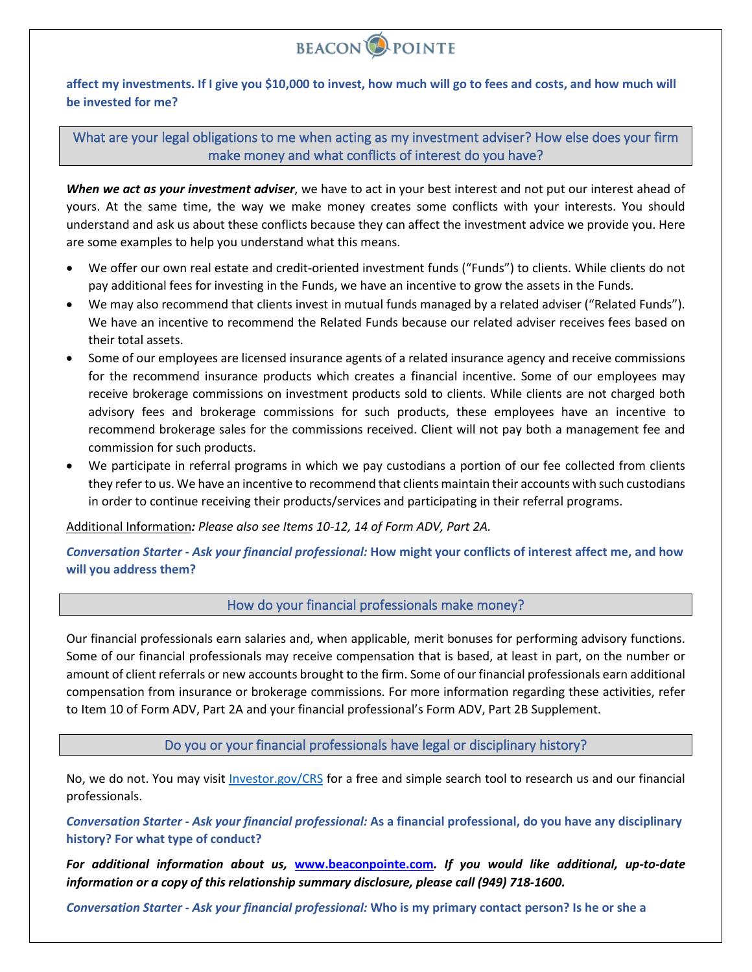

**affect my investments. If I give you \$10,000 to invest, how much will go to fees and costs, and how much will be invested for me?**

What are your legal obligations to me when acting as my investment adviser? How else does your firm make money and what conflicts of interest do you have?

*When we act as your investment adviser*, we have to act in your best interest and not put our interest ahead of yours. At the same time, the way we make money creates some conflicts with your interests. You should understand and ask us about these conflicts because they can affect the investment advice we provide you. Here are some examples to help you understand what this means.

- We offer our own real estate and credit-oriented investment funds ("Funds") to clients. While clients do not pay additional fees for investing in the Funds, we have an incentive to grow the assets in the Funds.
- We may also recommend that clients invest in mutual funds managed by a related adviser ("Related Funds"). We have an incentive to recommend the Related Funds because our related adviser receives fees based on their total assets.
- Some of our employees are licensed insurance agents of a related insurance agency and receive commissions for the recommend insurance products which creates a financial incentive. Some of our employees may receive brokerage commissions on investment products sold to clients. While clients are not charged both advisory fees and brokerage commissions for such products, these employees have an incentive to recommend brokerage sales for the commissions received. Client will not pay both a management fee and commission for such products.
- We participate in referral programs in which we pay custodians a portion of our fee collected from clients they refer to us. We have an incentive to recommend that clients maintain their accounts with such custodians in order to continue receiving their products/services and participating in their referral programs.

Additional Information*: Please also see Items 10-12, 14 of Form ADV, Part 2A.*

*Conversation Starter - Ask your financial professional:* **How might your conflicts of interest affect me, and how will you address them?**

How do your financial professionals make money?

Our financial professionals earn salaries and, when applicable, merit bonuses for performing advisory functions. Some of our financial professionals may receive compensation that is based, at least in part, on the number or amount of client referrals or new accounts brought to the firm. Some of our financial professionals earn additional compensation from insurance or brokerage commissions. For more information regarding these activities, refer to Item 10 of Form ADV, Part 2A and your financial professional's Form ADV, Part 2B Supplement.

Do you or your financial professionals have legal or disciplinary history?

No, we do not. You may visit **Investor.gov/CRS** for a free and simple search tool to research us and our financial professionals.

*Conversation Starter - Ask your financial professional:* **As a financial professional, do you have any disciplinary history? For what type of conduct?**

*For additional information about us,* **www.beaconpointe.com***. If you would like additional, up-to-date information or a copy of this relationship summary disclosure, please call (949) 718-1600.*

*Conversation Starter - Ask your financial professional:* **Who is my primary contact person? Is he or she a**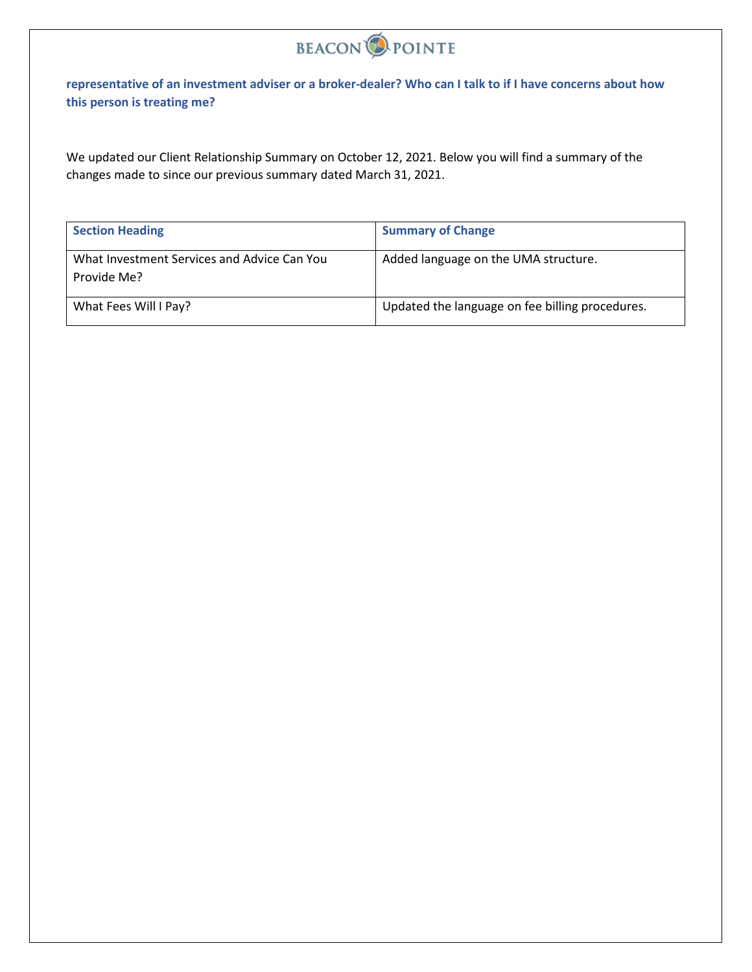

**representative of an investment adviser or a broker-dealer? Who can I talk to if I have concerns about how this person is treating me?**

We updated our Client Relationship Summary on October 12, 2021. Below you will find a summary of the changes made to since our previous summary dated March 31, 2021.

| <b>Section Heading</b>                                     | <b>Summary of Change</b>                        |
|------------------------------------------------------------|-------------------------------------------------|
| What Investment Services and Advice Can You<br>Provide Me? | Added language on the UMA structure.            |
| What Fees Will I Pay?                                      | Updated the language on fee billing procedures. |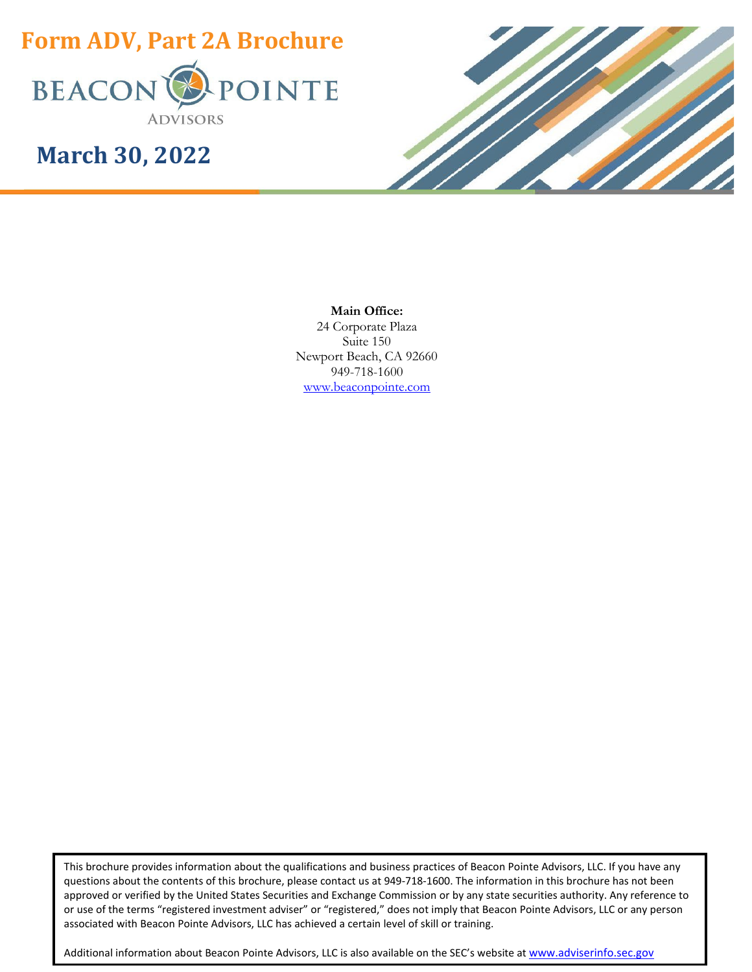

# **March 30, 2022**



#### **Main Office:**

24 Corporate Plaza Suite 150 Newport Beach, CA 92660 949-718-1600 www.beaconpointe.com

This brochure provides information about the qualifications and business practices of Beacon Pointe Advisors, LLC. If you have any questions about the contents of this brochure, please contact us at 949-718-1600. The information in this brochure has not been approved or verified by the United States Securities and Exchange Commission or by any state securities authority. Any reference to or use of the terms "registered investment adviser" or "registered," does not imply that Beacon Pointe Advisors, LLC or any person associated with Beacon Pointe Advisors, LLC has achieved a certain level of skill or training.

Additional information about Beacon Pointe Advisors, LLC is also available on the SEC's website at www.adviserinfo.sec.gov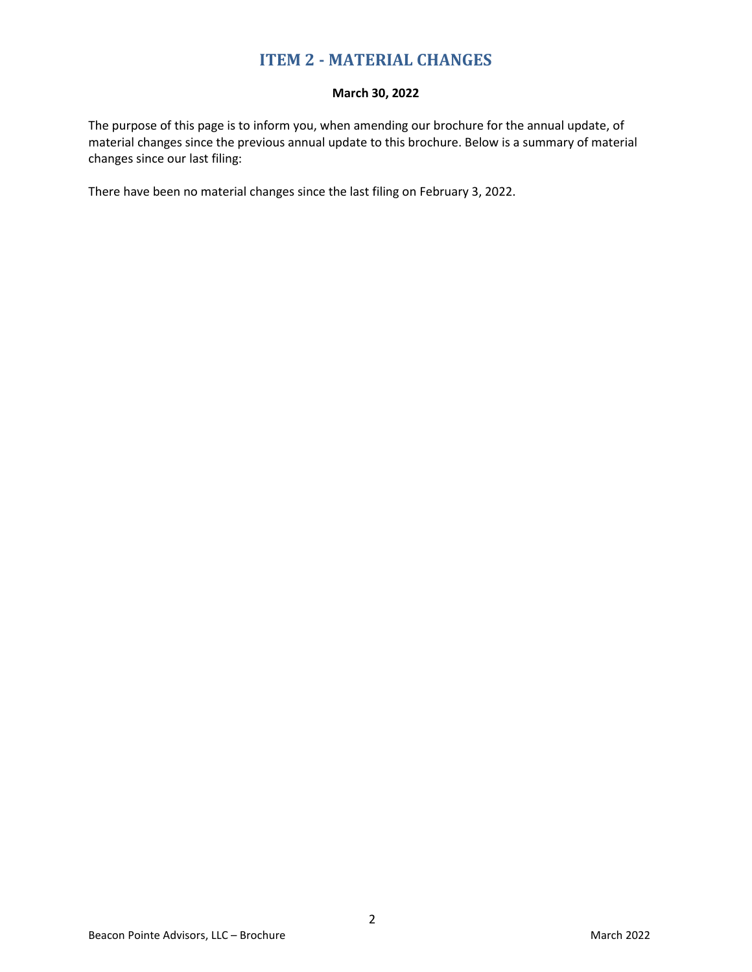### **ITEM 2 - MATERIAL CHANGES**

#### **March 30, 2022**

The purpose of this page is to inform you, when amending our brochure for the annual update, of material changes since the previous annual update to this brochure. Below is a summary of material changes since our last filing:

There have been no material changes since the last filing on February 3, 2022.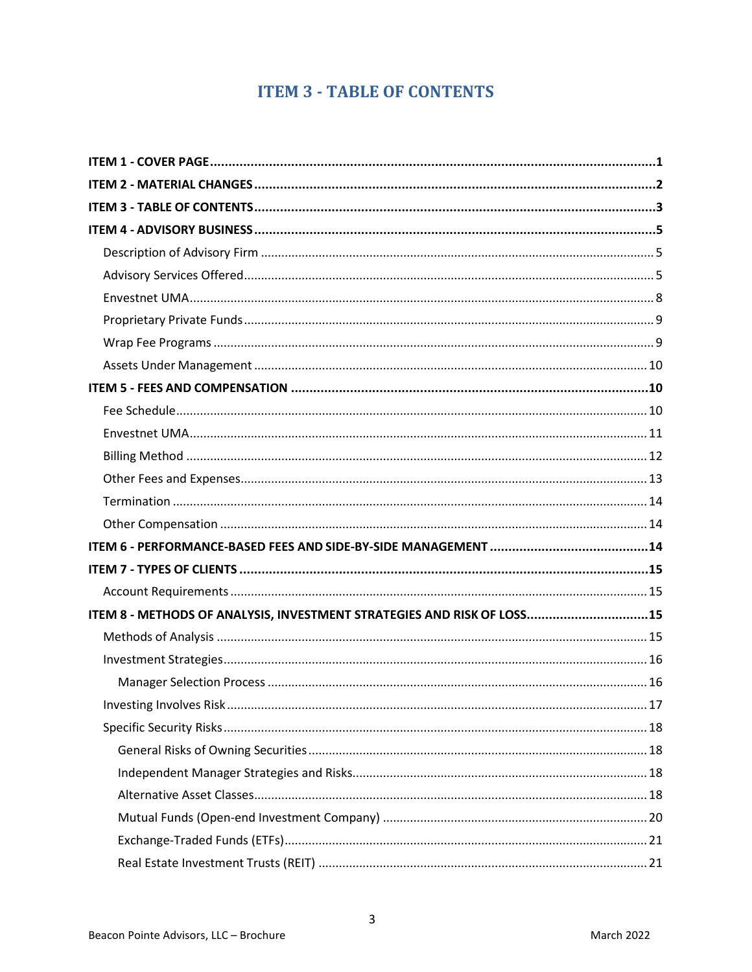### **ITEM 3 - TABLE OF CONTENTS**

| ITEM 8 - METHODS OF ANALYSIS, INVESTMENT STRATEGIES AND RISK OF LOSS 15 |  |
|-------------------------------------------------------------------------|--|
|                                                                         |  |
|                                                                         |  |
|                                                                         |  |
|                                                                         |  |
|                                                                         |  |
|                                                                         |  |
|                                                                         |  |
|                                                                         |  |
|                                                                         |  |
|                                                                         |  |
|                                                                         |  |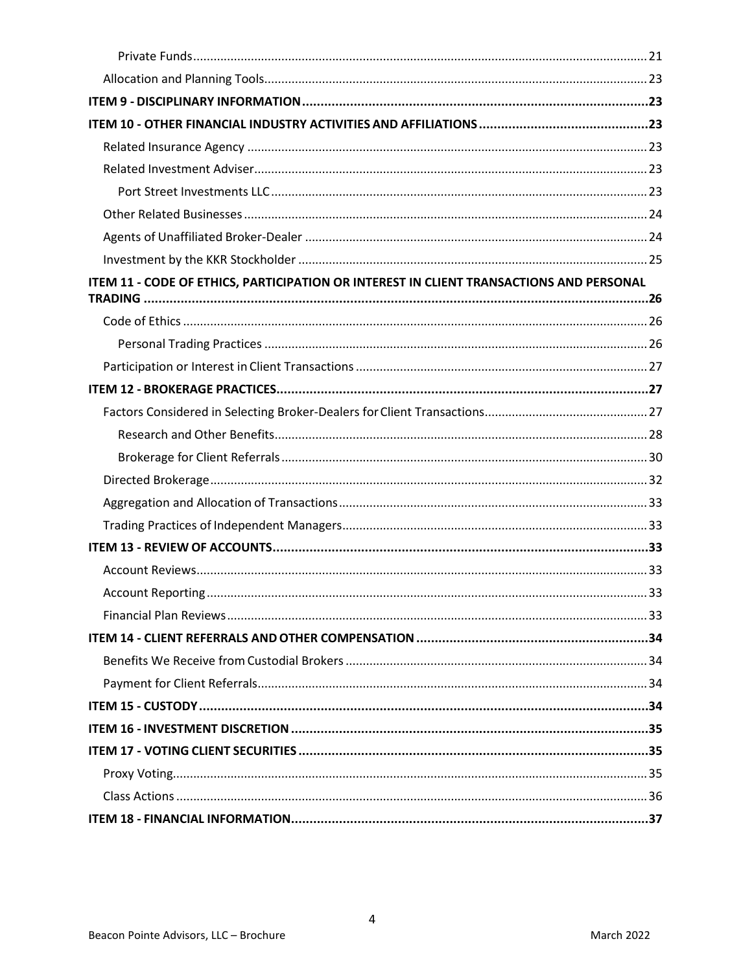| ITEM 11 - CODE OF ETHICS, PARTICIPATION OR INTEREST IN CLIENT TRANSACTIONS AND PERSONAL |    |
|-----------------------------------------------------------------------------------------|----|
|                                                                                         |    |
|                                                                                         |    |
|                                                                                         |    |
|                                                                                         |    |
|                                                                                         |    |
|                                                                                         |    |
|                                                                                         |    |
|                                                                                         |    |
|                                                                                         |    |
|                                                                                         |    |
|                                                                                         |    |
|                                                                                         |    |
|                                                                                         |    |
| Account Reporting.                                                                      | 33 |
|                                                                                         |    |
|                                                                                         |    |
|                                                                                         |    |
|                                                                                         |    |
|                                                                                         |    |
|                                                                                         |    |
|                                                                                         |    |
|                                                                                         |    |
|                                                                                         |    |
|                                                                                         |    |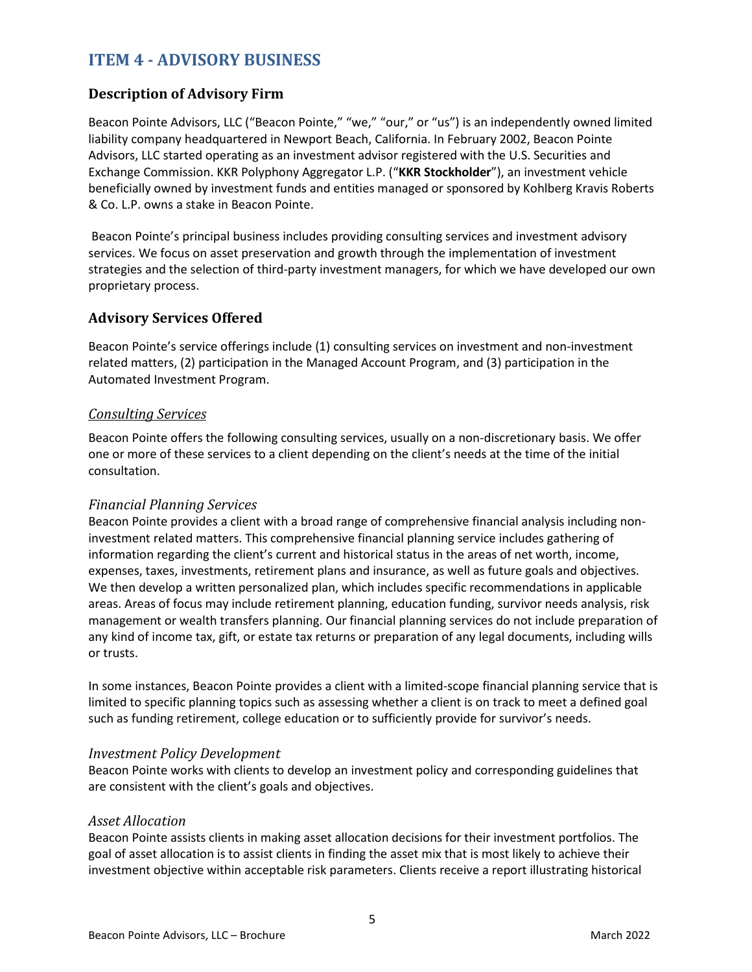### **ITEM 4 - ADVISORY BUSINESS**

### **Description of Advisory Firm**

Beacon Pointe Advisors, LLC ("Beacon Pointe," "we," "our," or "us") is an independently owned limited liability company headquartered in Newport Beach, California. In February 2002, Beacon Pointe Advisors, LLC started operating as an investment advisor registered with the U.S. Securities and Exchange Commission. KKR Polyphony Aggregator L.P. ("**KKR Stockholder**"), an investment vehicle beneficially owned by investment funds and entities managed or sponsored by Kohlberg Kravis Roberts & Co. L.P. owns a stake in Beacon Pointe.

Beacon Pointe's principal business includes providing consulting services and investment advisory services. We focus on asset preservation and growth through the implementation of investment strategies and the selection of third-party investment managers, for which we have developed our own proprietary process.

### **Advisory Services Offered**

Beacon Pointe's service offerings include (1) consulting services on investment and non-investment related matters, (2) participation in the Managed Account Program, and (3) participation in the Automated Investment Program.

#### *Consulting Services*

Beacon Pointe offers the following consulting services, usually on a non-discretionary basis. We offer one or more of these services to a client depending on the client's needs at the time of the initial consultation.

#### *Financial Planning Services*

Beacon Pointe provides a client with a broad range of comprehensive financial analysis including noninvestment related matters. This comprehensive financial planning service includes gathering of information regarding the client's current and historical status in the areas of net worth, income, expenses, taxes, investments, retirement plans and insurance, as well as future goals and objectives. We then develop a written personalized plan, which includes specific recommendations in applicable areas. Areas of focus may include retirement planning, education funding, survivor needs analysis, risk management or wealth transfers planning. Our financial planning services do not include preparation of any kind of income tax, gift, or estate tax returns or preparation of any legal documents, including wills or trusts.

In some instances, Beacon Pointe provides a client with a limited-scope financial planning service that is limited to specific planning topics such as assessing whether a client is on track to meet a defined goal such as funding retirement, college education or to sufficiently provide for survivor's needs.

#### *Investment Policy Development*

Beacon Pointe works with clients to develop an investment policy and corresponding guidelines that are consistent with the client's goals and objectives.

#### *Asset Allocation*

Beacon Pointe assists clients in making asset allocation decisions for their investment portfolios. The goal of asset allocation is to assist clients in finding the asset mix that is most likely to achieve their investment objective within acceptable risk parameters. Clients receive a report illustrating historical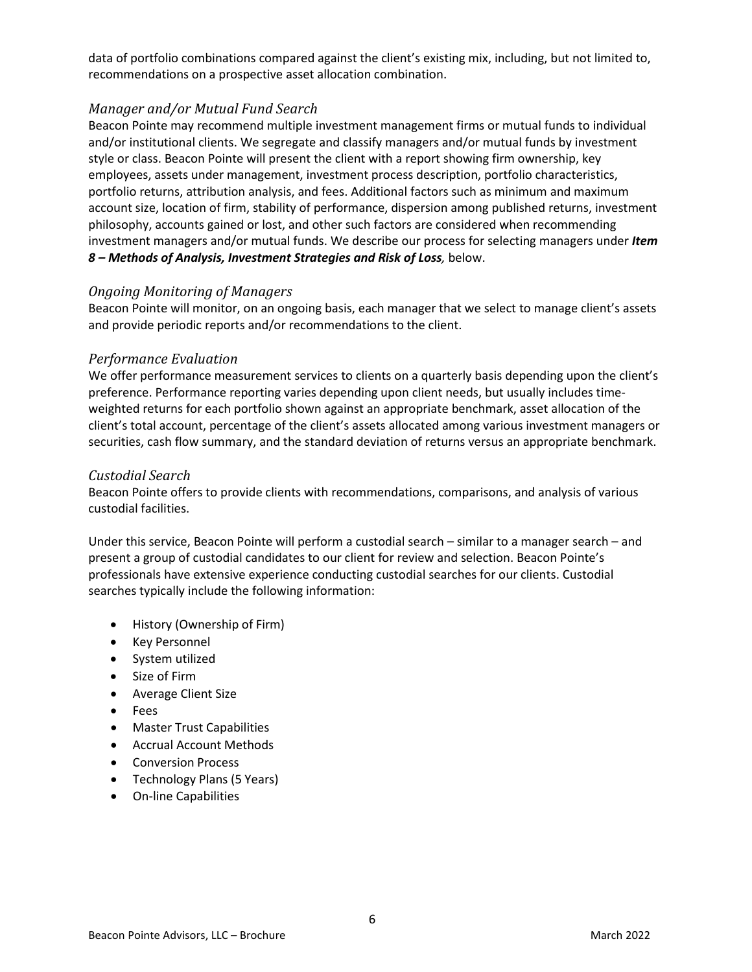data of portfolio combinations compared against the client's existing mix, including, but not limited to, recommendations on a prospective asset allocation combination.

#### *Manager and/or Mutual Fund Search*

Beacon Pointe may recommend multiple investment management firms or mutual funds to individual and/or institutional clients. We segregate and classify managers and/or mutual funds by investment style or class. Beacon Pointe will present the client with a report showing firm ownership, key employees, assets under management, investment process description, portfolio characteristics, portfolio returns, attribution analysis, and fees. Additional factors such as minimum and maximum account size, location of firm, stability of performance, dispersion among published returns, investment philosophy, accounts gained or lost, and other such factors are considered when recommending investment managers and/or mutual funds. We describe our process for selecting managers under *Item 8 – Methods of Analysis, Investment Strategies and Risk of Loss,* below.

#### *Ongoing Monitoring of Managers*

Beacon Pointe will monitor, on an ongoing basis, each manager that we select to manage client's assets and provide periodic reports and/or recommendations to the client.

#### *Performance Evaluation*

We offer performance measurement services to clients on a quarterly basis depending upon the client's preference. Performance reporting varies depending upon client needs, but usually includes timeweighted returns for each portfolio shown against an appropriate benchmark, asset allocation of the client's total account, percentage of the client's assets allocated among various investment managers or securities, cash flow summary, and the standard deviation of returns versus an appropriate benchmark.

#### *Custodial Search*

Beacon Pointe offers to provide clients with recommendations, comparisons, and analysis of various custodial facilities.

Under this service, Beacon Pointe will perform a custodial search – similar to a manager search – and present a group of custodial candidates to our client for review and selection. Beacon Pointe's professionals have extensive experience conducting custodial searches for our clients. Custodial searches typically include the following information:

- History (Ownership of Firm)
- Key Personnel
- System utilized
- Size of Firm
- Average Client Size
- Fees
- Master Trust Capabilities
- Accrual Account Methods
- Conversion Process
- Technology Plans (5 Years)
- On-line Capabilities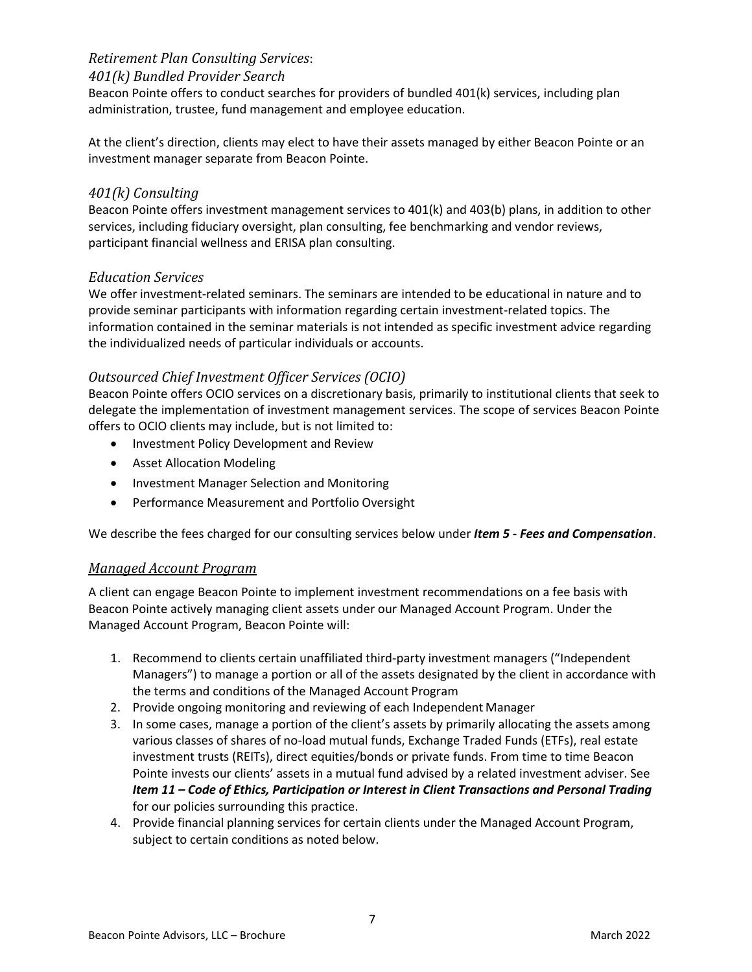### *Retirement Plan Consulting Services*:

#### *401(k) Bundled Provider Search*

Beacon Pointe offers to conduct searches for providers of bundled 401(k) services, including plan administration, trustee, fund management and employee education.

At the client's direction, clients may elect to have their assets managed by either Beacon Pointe or an investment manager separate from Beacon Pointe.

#### *401(k) Consulting*

Beacon Pointe offers investment management services to 401(k) and 403(b) plans, in addition to other services, including fiduciary oversight, plan consulting, fee benchmarking and vendor reviews, participant financial wellness and ERISA plan consulting.

#### *Education Services*

We offer investment-related seminars. The seminars are intended to be educational in nature and to provide seminar participants with information regarding certain investment-related topics. The information contained in the seminar materials is not intended as specific investment advice regarding the individualized needs of particular individuals or accounts.

#### *Outsourced Chief Investment Officer Services (OCIO)*

Beacon Pointe offers OCIO services on a discretionary basis, primarily to institutional clients that seek to delegate the implementation of investment management services. The scope of services Beacon Pointe offers to OCIO clients may include, but is not limited to:

- Investment Policy Development and Review
- Asset Allocation Modeling
- Investment Manager Selection and Monitoring
- Performance Measurement and Portfolio Oversight

We describe the fees charged for our consulting services below under *Item 5 - Fees and Compensation*.

#### *Managed Account Program*

A client can engage Beacon Pointe to implement investment recommendations on a fee basis with Beacon Pointe actively managing client assets under our Managed Account Program. Under the Managed Account Program, Beacon Pointe will:

- 1. Recommend to clients certain unaffiliated third-party investment managers ("Independent Managers") to manage a portion or all of the assets designated by the client in accordance with the terms and conditions of the Managed Account Program
- 2. Provide ongoing monitoring and reviewing of each Independent Manager
- 3. In some cases, manage a portion of the client's assets by primarily allocating the assets among various classes of shares of no-load mutual funds, Exchange Traded Funds (ETFs), real estate investment trusts (REITs), direct equities/bonds or private funds. From time to time Beacon Pointe invests our clients' assets in a mutual fund advised by a related investment adviser. See *Item 11 – Code of Ethics, Participation or Interest in Client Transactions and Personal Trading*  for our policies surrounding this practice.
- 4. Provide financial planning services for certain clients under the Managed Account Program, subject to certain conditions as noted below.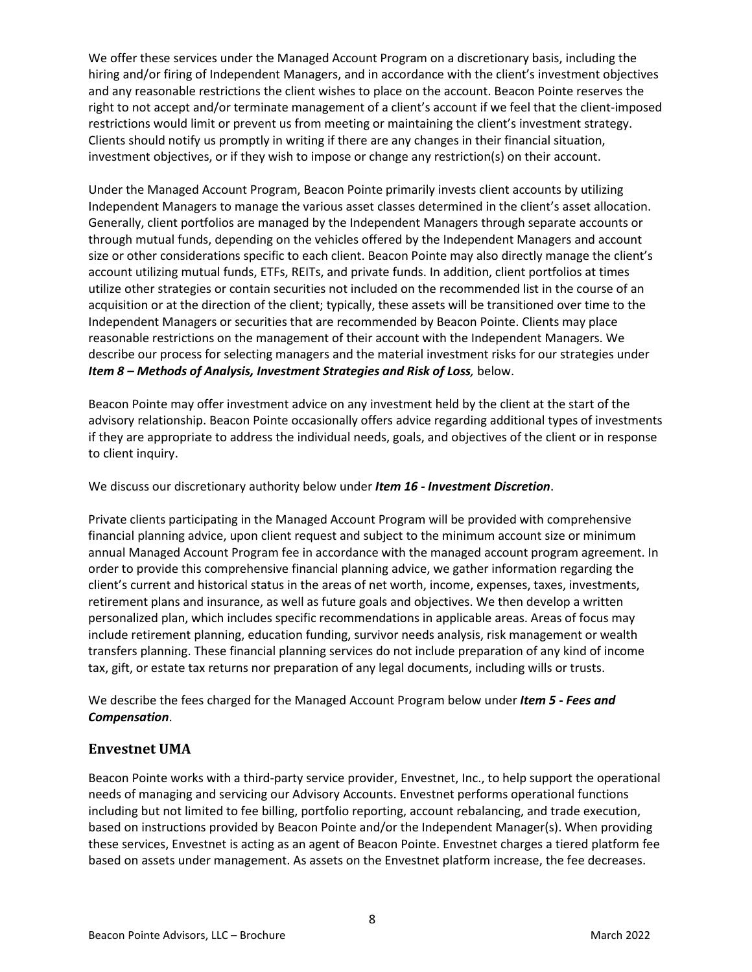We offer these services under the Managed Account Program on a discretionary basis, including the hiring and/or firing of Independent Managers, and in accordance with the client's investment objectives and any reasonable restrictions the client wishes to place on the account. Beacon Pointe reserves the right to not accept and/or terminate management of a client's account if we feel that the client-imposed restrictions would limit or prevent us from meeting or maintaining the client's investment strategy. Clients should notify us promptly in writing if there are any changes in their financial situation, investment objectives, or if they wish to impose or change any restriction(s) on their account.

Under the Managed Account Program, Beacon Pointe primarily invests client accounts by utilizing Independent Managers to manage the various asset classes determined in the client's asset allocation. Generally, client portfolios are managed by the Independent Managers through separate accounts or through mutual funds, depending on the vehicles offered by the Independent Managers and account size or other considerations specific to each client. Beacon Pointe may also directly manage the client's account utilizing mutual funds, ETFs, REITs, and private funds. In addition, client portfolios at times utilize other strategies or contain securities not included on the recommended list in the course of an acquisition or at the direction of the client; typically, these assets will be transitioned over time to the Independent Managers or securities that are recommended by Beacon Pointe. Clients may place reasonable restrictions on the management of their account with the Independent Managers. We describe our process for selecting managers and the material investment risks for our strategies under *Item 8 – Methods of Analysis, Investment Strategies and Risk of Loss,* below.

Beacon Pointe may offer investment advice on any investment held by the client at the start of the advisory relationship. Beacon Pointe occasionally offers advice regarding additional types of investments if they are appropriate to address the individual needs, goals, and objectives of the client or in response to client inquiry.

We discuss our discretionary authority below under *Item 16 - Investment Discretion*.

Private clients participating in the Managed Account Program will be provided with comprehensive financial planning advice, upon client request and subject to the minimum account size or minimum annual Managed Account Program fee in accordance with the managed account program agreement. In order to provide this comprehensive financial planning advice, we gather information regarding the client's current and historical status in the areas of net worth, income, expenses, taxes, investments, retirement plans and insurance, as well as future goals and objectives. We then develop a written personalized plan, which includes specific recommendations in applicable areas. Areas of focus may include retirement planning, education funding, survivor needs analysis, risk management or wealth transfers planning. These financial planning services do not include preparation of any kind of income tax, gift, or estate tax returns nor preparation of any legal documents, including wills or trusts.

We describe the fees charged for the Managed Account Program below under *Item 5 - Fees and Compensation*.

### **Envestnet UMA**

Beacon Pointe works with a third-party service provider, Envestnet, Inc., to help support the operational needs of managing and servicing our Advisory Accounts. Envestnet performs operational functions including but not limited to fee billing, portfolio reporting, account rebalancing, and trade execution, based on instructions provided by Beacon Pointe and/or the Independent Manager(s). When providing these services, Envestnet is acting as an agent of Beacon Pointe. Envestnet charges a tiered platform fee based on assets under management. As assets on the Envestnet platform increase, the fee decreases.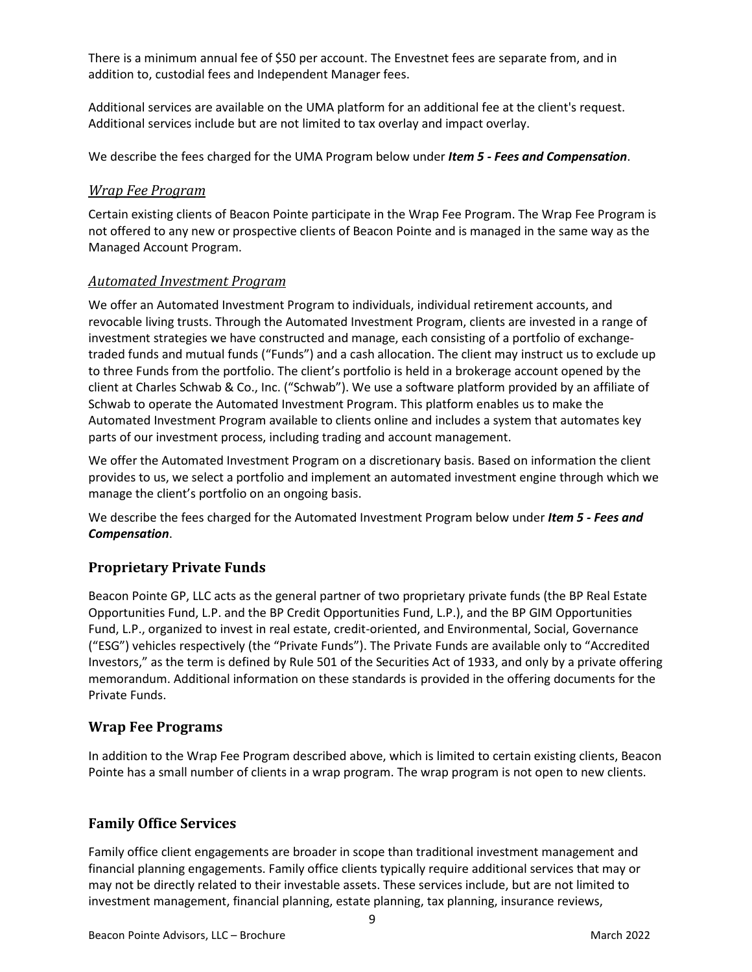There is a minimum annual fee of \$50 per account. The Envestnet fees are separate from, and in addition to, custodial fees and Independent Manager fees.

Additional services are available on the UMA platform for an additional fee at the client's request. Additional services include but are not limited to tax overlay and impact overlay.

We describe the fees charged for the UMA Program below under *Item 5 - Fees and Compensation*.

#### *Wrap Fee Program*

Certain existing clients of Beacon Pointe participate in the Wrap Fee Program. The Wrap Fee Program is not offered to any new or prospective clients of Beacon Pointe and is managed in the same way as the Managed Account Program.

#### *Automated Investment Program*

We offer an Automated Investment Program to individuals, individual retirement accounts, and revocable living trusts. Through the Automated Investment Program, clients are invested in a range of investment strategies we have constructed and manage, each consisting of a portfolio of exchangetraded funds and mutual funds ("Funds") and a cash allocation. The client may instruct us to exclude up to three Funds from the portfolio. The client's portfolio is held in a brokerage account opened by the client at Charles Schwab & Co., Inc. ("Schwab"). We use a software platform provided by an affiliate of Schwab to operate the Automated Investment Program. This platform enables us to make the Automated Investment Program available to clients online and includes a system that automates key parts of our investment process, including trading and account management.

We offer the Automated Investment Program on a discretionary basis. Based on information the client provides to us, we select a portfolio and implement an automated investment engine through which we manage the client's portfolio on an ongoing basis.

We describe the fees charged for the Automated Investment Program below under *Item 5 - Fees and Compensation*.

#### **Proprietary Private Funds**

Beacon Pointe GP, LLC acts as the general partner of two proprietary private funds (the BP Real Estate Opportunities Fund, L.P. and the BP Credit Opportunities Fund, L.P.), and the BP GIM Opportunities Fund, L.P., organized to invest in real estate, credit-oriented, and Environmental, Social, Governance ("ESG") vehicles respectively (the "Private Funds"). The Private Funds are available only to "Accredited Investors," as the term is defined by Rule 501 of the Securities Act of 1933, and only by a private offering memorandum. Additional information on these standards is provided in the offering documents for the Private Funds.

#### **Wrap Fee Programs**

In addition to the Wrap Fee Program described above, which is limited to certain existing clients, Beacon Pointe has a small number of clients in a wrap program. The wrap program is not open to new clients.

#### **Family Office Services**

Family office client engagements are broader in scope than traditional investment management and financial planning engagements. Family office clients typically require additional services that may or may not be directly related to their investable assets. These services include, but are not limited to investment management, financial planning, estate planning, tax planning, insurance reviews,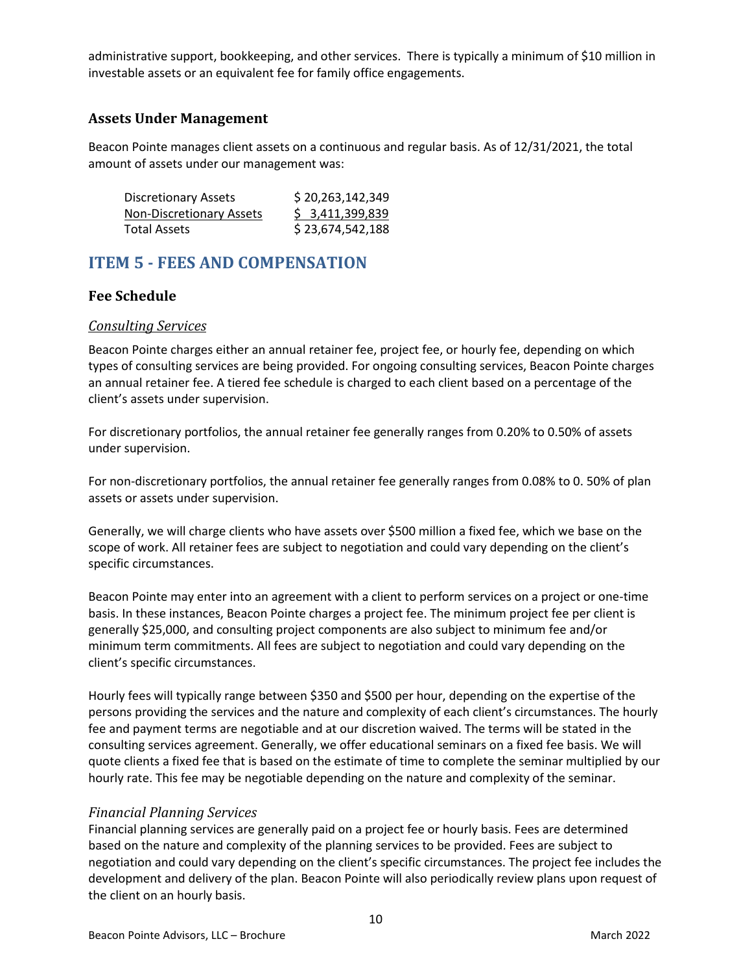administrative support, bookkeeping, and other services. There is typically a minimum of \$10 million in investable assets or an equivalent fee for family office engagements.

#### **Assets Under Management**

Beacon Pointe manages client assets on a continuous and regular basis. As of 12/31/2021, the total amount of assets under our management was:

| <b>Discretionary Assets</b>     | \$20,263,142,349 |
|---------------------------------|------------------|
| <b>Non-Discretionary Assets</b> | \$3,411,399,839  |
| <b>Total Assets</b>             | \$23,674,542,188 |

### **ITEM 5 - FEES AND COMPENSATION**

### **Fee Schedule**

#### *Consulting Services*

Beacon Pointe charges either an annual retainer fee, project fee, or hourly fee, depending on which types of consulting services are being provided. For ongoing consulting services, Beacon Pointe charges an annual retainer fee. A tiered fee schedule is charged to each client based on a percentage of the client's assets under supervision.

For discretionary portfolios, the annual retainer fee generally ranges from 0.20% to 0.50% of assets under supervision.

For non-discretionary portfolios, the annual retainer fee generally ranges from 0.08% to 0. 50% of plan assets or assets under supervision.

Generally, we will charge clients who have assets over \$500 million a fixed fee, which we base on the scope of work. All retainer fees are subject to negotiation and could vary depending on the client's specific circumstances.

Beacon Pointe may enter into an agreement with a client to perform services on a project or one-time basis. In these instances, Beacon Pointe charges a project fee. The minimum project fee per client is generally \$25,000, and consulting project components are also subject to minimum fee and/or minimum term commitments. All fees are subject to negotiation and could vary depending on the client's specific circumstances.

Hourly fees will typically range between \$350 and \$500 per hour, depending on the expertise of the persons providing the services and the nature and complexity of each client's circumstances. The hourly fee and payment terms are negotiable and at our discretion waived. The terms will be stated in the consulting services agreement. Generally, we offer educational seminars on a fixed fee basis. We will quote clients a fixed fee that is based on the estimate of time to complete the seminar multiplied by our hourly rate. This fee may be negotiable depending on the nature and complexity of the seminar.

#### *Financial Planning Services*

Financial planning services are generally paid on a project fee or hourly basis. Fees are determined based on the nature and complexity of the planning services to be provided. Fees are subject to negotiation and could vary depending on the client's specific circumstances. The project fee includes the development and delivery of the plan. Beacon Pointe will also periodically review plans upon request of the client on an hourly basis.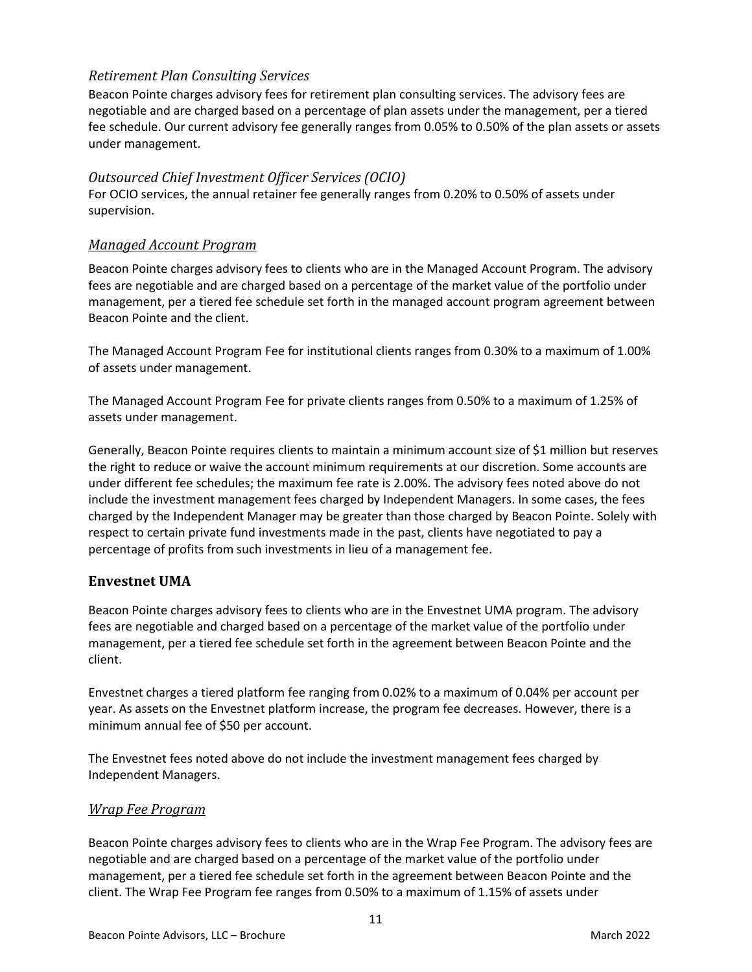### *Retirement Plan Consulting Services*

Beacon Pointe charges advisory fees for retirement plan consulting services. The advisory fees are negotiable and are charged based on a percentage of plan assets under the management, per a tiered fee schedule. Our current advisory fee generally ranges from 0.05% to 0.50% of the plan assets or assets under management.

### *Outsourced Chief Investment Officer Services (OCIO)*

For OCIO services, the annual retainer fee generally ranges from 0.20% to 0.50% of assets under supervision.

### *Managed Account Program*

Beacon Pointe charges advisory fees to clients who are in the Managed Account Program. The advisory fees are negotiable and are charged based on a percentage of the market value of the portfolio under management, per a tiered fee schedule set forth in the managed account program agreement between Beacon Pointe and the client.

The Managed Account Program Fee for institutional clients ranges from 0.30% to a maximum of 1.00% of assets under management.

The Managed Account Program Fee for private clients ranges from 0.50% to a maximum of 1.25% of assets under management.

Generally, Beacon Pointe requires clients to maintain a minimum account size of \$1 million but reserves the right to reduce or waive the account minimum requirements at our discretion. Some accounts are under different fee schedules; the maximum fee rate is 2.00%. The advisory fees noted above do not include the investment management fees charged by Independent Managers. In some cases, the fees charged by the Independent Manager may be greater than those charged by Beacon Pointe. Solely with respect to certain private fund investments made in the past, clients have negotiated to pay a percentage of profits from such investments in lieu of a management fee.

### **Envestnet UMA**

Beacon Pointe charges advisory fees to clients who are in the Envestnet UMA program. The advisory fees are negotiable and charged based on a percentage of the market value of the portfolio under management, per a tiered fee schedule set forth in the agreement between Beacon Pointe and the client.

Envestnet charges a tiered platform fee ranging from 0.02% to a maximum of 0.04% per account per year. As assets on the Envestnet platform increase, the program fee decreases. However, there is a minimum annual fee of \$50 per account.

The Envestnet fees noted above do not include the investment management fees charged by Independent Managers.

### *Wrap Fee Program*

Beacon Pointe charges advisory fees to clients who are in the Wrap Fee Program. The advisory fees are negotiable and are charged based on a percentage of the market value of the portfolio under management, per a tiered fee schedule set forth in the agreement between Beacon Pointe and the client. The Wrap Fee Program fee ranges from 0.50% to a maximum of 1.15% of assets under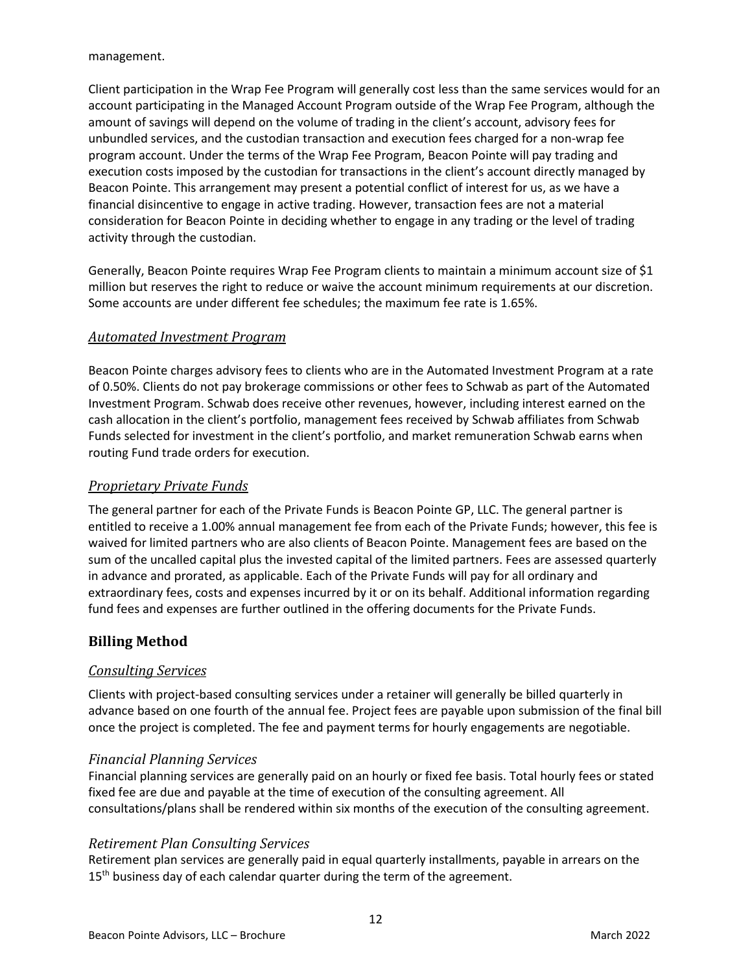#### management.

Client participation in the Wrap Fee Program will generally cost less than the same services would for an account participating in the Managed Account Program outside of the Wrap Fee Program, although the amount of savings will depend on the volume of trading in the client's account, advisory fees for unbundled services, and the custodian transaction and execution fees charged for a non-wrap fee program account. Under the terms of the Wrap Fee Program, Beacon Pointe will pay trading and execution costs imposed by the custodian for transactions in the client's account directly managed by Beacon Pointe. This arrangement may present a potential conflict of interest for us, as we have a financial disincentive to engage in active trading. However, transaction fees are not a material consideration for Beacon Pointe in deciding whether to engage in any trading or the level of trading activity through the custodian.

Generally, Beacon Pointe requires Wrap Fee Program clients to maintain a minimum account size of \$1 million but reserves the right to reduce or waive the account minimum requirements at our discretion. Some accounts are under different fee schedules; the maximum fee rate is 1.65%.

#### *Automated Investment Program*

Beacon Pointe charges advisory fees to clients who are in the Automated Investment Program at a rate of 0.50%. Clients do not pay brokerage commissions or other fees to Schwab as part of the Automated Investment Program. Schwab does receive other revenues, however, including interest earned on the cash allocation in the client's portfolio, management fees received by Schwab affiliates from Schwab Funds selected for investment in the client's portfolio, and market remuneration Schwab earns when routing Fund trade orders for execution.

#### *Proprietary Private Funds*

The general partner for each of the Private Funds is Beacon Pointe GP, LLC. The general partner is entitled to receive a 1.00% annual management fee from each of the Private Funds; however, this fee is waived for limited partners who are also clients of Beacon Pointe. Management fees are based on the sum of the uncalled capital plus the invested capital of the limited partners. Fees are assessed quarterly in advance and prorated, as applicable. Each of the Private Funds will pay for all ordinary and extraordinary fees, costs and expenses incurred by it or on its behalf. Additional information regarding fund fees and expenses are further outlined in the offering documents for the Private Funds.

### **Billing Method**

#### *Consulting Services*

Clients with project-based consulting services under a retainer will generally be billed quarterly in advance based on one fourth of the annual fee. Project fees are payable upon submission of the final bill once the project is completed. The fee and payment terms for hourly engagements are negotiable.

#### *Financial Planning Services*

Financial planning services are generally paid on an hourly or fixed fee basis. Total hourly fees or stated fixed fee are due and payable at the time of execution of the consulting agreement. All consultations/plans shall be rendered within six months of the execution of the consulting agreement.

#### *Retirement Plan Consulting Services*

Retirement plan services are generally paid in equal quarterly installments, payable in arrears on the  $15<sup>th</sup>$  business day of each calendar quarter during the term of the agreement.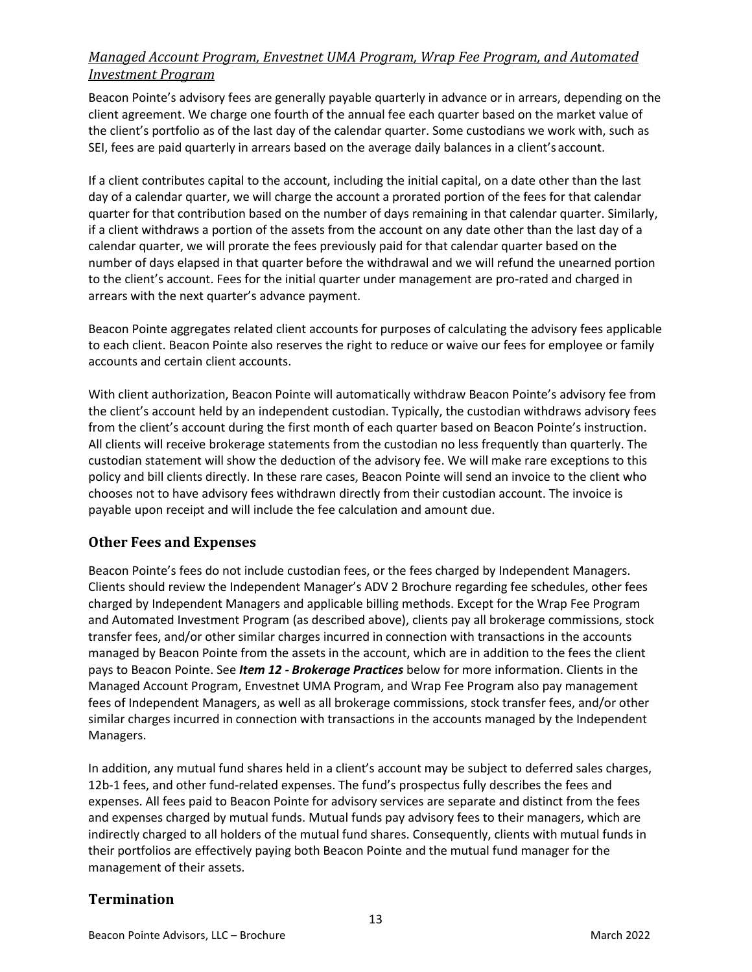### *Managed Account Program, Envestnet UMA Program, Wrap Fee Program, and Automated Investment Program*

Beacon Pointe's advisory fees are generally payable quarterly in advance or in arrears, depending on the client agreement. We charge one fourth of the annual fee each quarter based on the market value of the client's portfolio as of the last day of the calendar quarter. Some custodians we work with, such as SEI, fees are paid quarterly in arrears based on the average daily balances in a client's account.

If a client contributes capital to the account, including the initial capital, on a date other than the last day of a calendar quarter, we will charge the account a prorated portion of the fees for that calendar quarter for that contribution based on the number of days remaining in that calendar quarter. Similarly, if a client withdraws a portion of the assets from the account on any date other than the last day of a calendar quarter, we will prorate the fees previously paid for that calendar quarter based on the number of days elapsed in that quarter before the withdrawal and we will refund the unearned portion to the client's account. Fees for the initial quarter under management are pro-rated and charged in arrears with the next quarter's advance payment.

Beacon Pointe aggregates related client accounts for purposes of calculating the advisory fees applicable to each client. Beacon Pointe also reserves the right to reduce or waive our fees for employee or family accounts and certain client accounts.

With client authorization, Beacon Pointe will automatically withdraw Beacon Pointe's advisory fee from the client's account held by an independent custodian. Typically, the custodian withdraws advisory fees from the client's account during the first month of each quarter based on Beacon Pointe's instruction. All clients will receive brokerage statements from the custodian no less frequently than quarterly. The custodian statement will show the deduction of the advisory fee. We will make rare exceptions to this policy and bill clients directly. In these rare cases, Beacon Pointe will send an invoice to the client who chooses not to have advisory fees withdrawn directly from their custodian account. The invoice is payable upon receipt and will include the fee calculation and amount due.

### **Other Fees and Expenses**

Beacon Pointe's fees do not include custodian fees, or the fees charged by Independent Managers. Clients should review the Independent Manager's ADV 2 Brochure regarding fee schedules, other fees charged by Independent Managers and applicable billing methods. Except for the Wrap Fee Program and Automated Investment Program (as described above), clients pay all brokerage commissions, stock transfer fees, and/or other similar charges incurred in connection with transactions in the accounts managed by Beacon Pointe from the assets in the account, which are in addition to the fees the client pays to Beacon Pointe. See *Item 12 - Brokerage Practices* below for more information. Clients in the Managed Account Program, Envestnet UMA Program, and Wrap Fee Program also pay management fees of Independent Managers, as well as all brokerage commissions, stock transfer fees, and/or other similar charges incurred in connection with transactions in the accounts managed by the Independent Managers.

In addition, any mutual fund shares held in a client's account may be subject to deferred sales charges, 12b-1 fees, and other fund-related expenses. The fund's prospectus fully describes the fees and expenses. All fees paid to Beacon Pointe for advisory services are separate and distinct from the fees and expenses charged by mutual funds. Mutual funds pay advisory fees to their managers, which are indirectly charged to all holders of the mutual fund shares. Consequently, clients with mutual funds in their portfolios are effectively paying both Beacon Pointe and the mutual fund manager for the management of their assets.

### **Termination**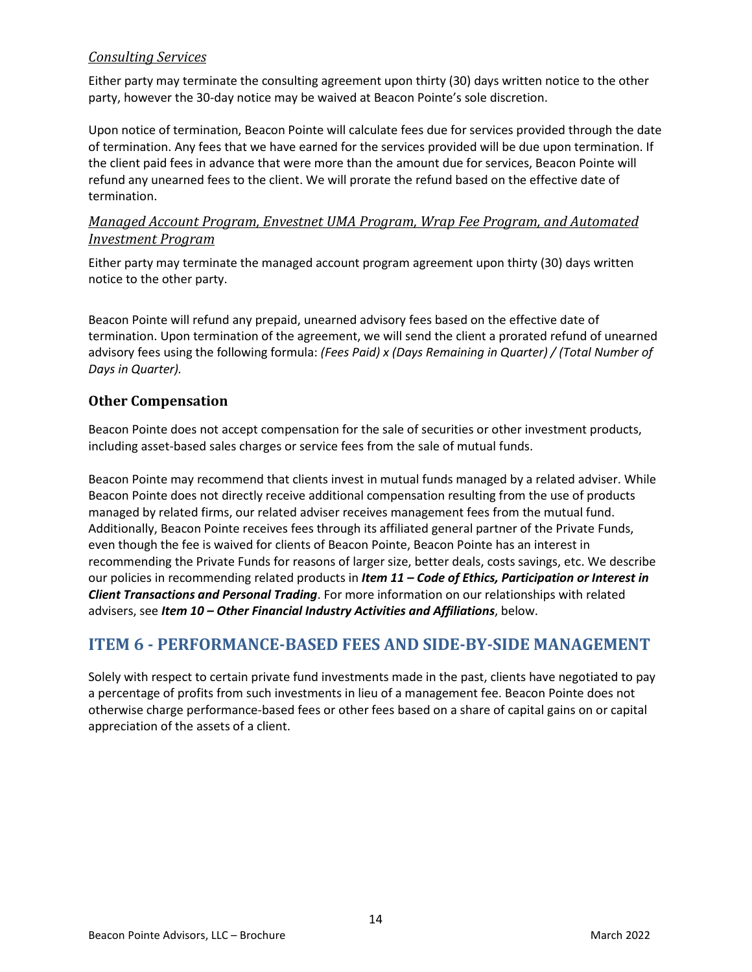### *Consulting Services*

Either party may terminate the consulting agreement upon thirty (30) days written notice to the other party, however the 30-day notice may be waived at Beacon Pointe's sole discretion.

Upon notice of termination, Beacon Pointe will calculate fees due for services provided through the date of termination. Any fees that we have earned for the services provided will be due upon termination. If the client paid fees in advance that were more than the amount due for services, Beacon Pointe will refund any unearned fees to the client. We will prorate the refund based on the effective date of termination.

### *Managed Account Program, Envestnet UMA Program, Wrap Fee Program, and Automated Investment Program*

Either party may terminate the managed account program agreement upon thirty (30) days written notice to the other party.

Beacon Pointe will refund any prepaid, unearned advisory fees based on the effective date of termination. Upon termination of the agreement, we will send the client a prorated refund of unearned advisory fees using the following formula: *(Fees Paid) x (Days Remaining in Quarter) / (Total Number of Days in Quarter).*

### **Other Compensation**

Beacon Pointe does not accept compensation for the sale of securities or other investment products, including asset-based sales charges or service fees from the sale of mutual funds.

Beacon Pointe may recommend that clients invest in mutual funds managed by a related adviser. While Beacon Pointe does not directly receive additional compensation resulting from the use of products managed by related firms, our related adviser receives management fees from the mutual fund. Additionally, Beacon Pointe receives fees through its affiliated general partner of the Private Funds, even though the fee is waived for clients of Beacon Pointe, Beacon Pointe has an interest in recommending the Private Funds for reasons of larger size, better deals, costs savings, etc. We describe our policies in recommending related products in *Item 11 – Code of Ethics, Participation or Interest in Client Transactions and Personal Trading*. For more information on our relationships with related advisers, see *Item 10 – Other Financial Industry Activities and Affiliations*, below.

### **ITEM 6 - PERFORMANCE-BASED FEES AND SIDE-BY-SIDE MANAGEMENT**

Solely with respect to certain private fund investments made in the past, clients have negotiated to pay a percentage of profits from such investments in lieu of a management fee. Beacon Pointe does not otherwise charge performance-based fees or other fees based on a share of capital gains on or capital appreciation of the assets of a client.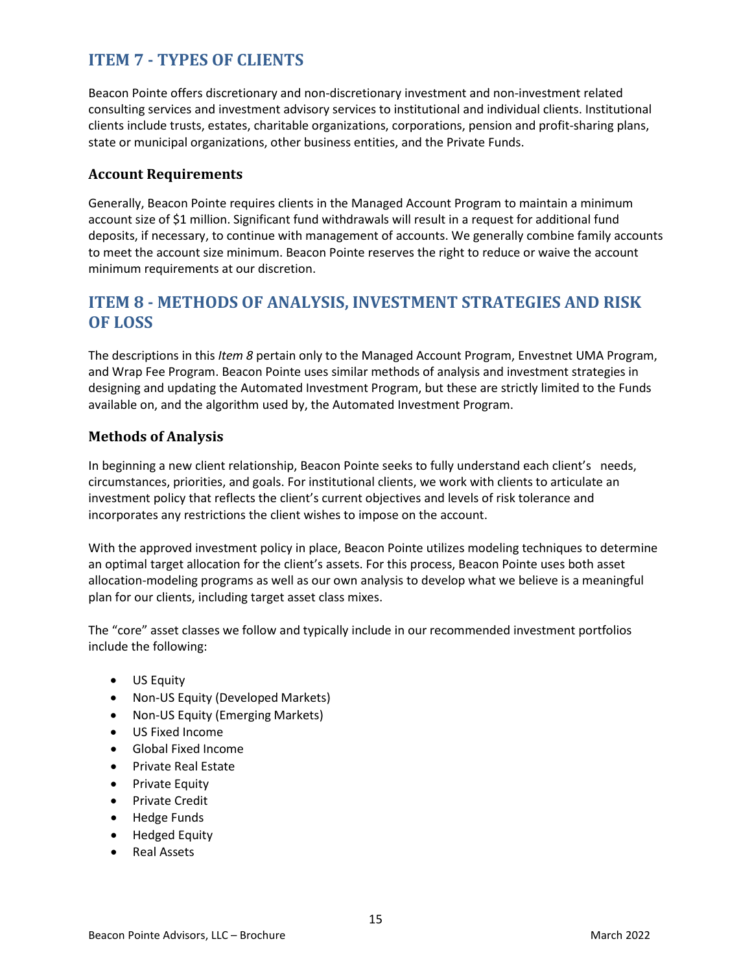### **ITEM 7 - TYPES OF CLIENTS**

Beacon Pointe offers discretionary and non-discretionary investment and non-investment related consulting services and investment advisory services to institutional and individual clients. Institutional clients include trusts, estates, charitable organizations, corporations, pension and profit-sharing plans, state or municipal organizations, other business entities, and the Private Funds.

#### **Account Requirements**

Generally, Beacon Pointe requires clients in the Managed Account Program to maintain a minimum account size of \$1 million. Significant fund withdrawals will result in a request for additional fund deposits, if necessary, to continue with management of accounts. We generally combine family accounts to meet the account size minimum. Beacon Pointe reserves the right to reduce or waive the account minimum requirements at our discretion.

### **ITEM 8 - METHODS OF ANALYSIS, INVESTMENT STRATEGIES AND RISK OF LOSS**

The descriptions in this *Item 8* pertain only to the Managed Account Program, Envestnet UMA Program, and Wrap Fee Program. Beacon Pointe uses similar methods of analysis and investment strategies in designing and updating the Automated Investment Program, but these are strictly limited to the Funds available on, and the algorithm used by, the Automated Investment Program.

#### **Methods of Analysis**

In beginning a new client relationship, Beacon Pointe seeks to fully understand each client's needs, circumstances, priorities, and goals. For institutional clients, we work with clients to articulate an investment policy that reflects the client's current objectives and levels of risk tolerance and incorporates any restrictions the client wishes to impose on the account.

With the approved investment policy in place, Beacon Pointe utilizes modeling techniques to determine an optimal target allocation for the client's assets. For this process, Beacon Pointe uses both asset allocation-modeling programs as well as our own analysis to develop what we believe is a meaningful plan for our clients, including target asset class mixes.

The "core" asset classes we follow and typically include in our recommended investment portfolios include the following:

- US Equity
- Non-US Equity (Developed Markets)
- Non-US Equity (Emerging Markets)
- US Fixed Income
- Global Fixed Income
- Private Real Estate
- Private Equity
- Private Credit
- Hedge Funds
- Hedged Equity
- Real Assets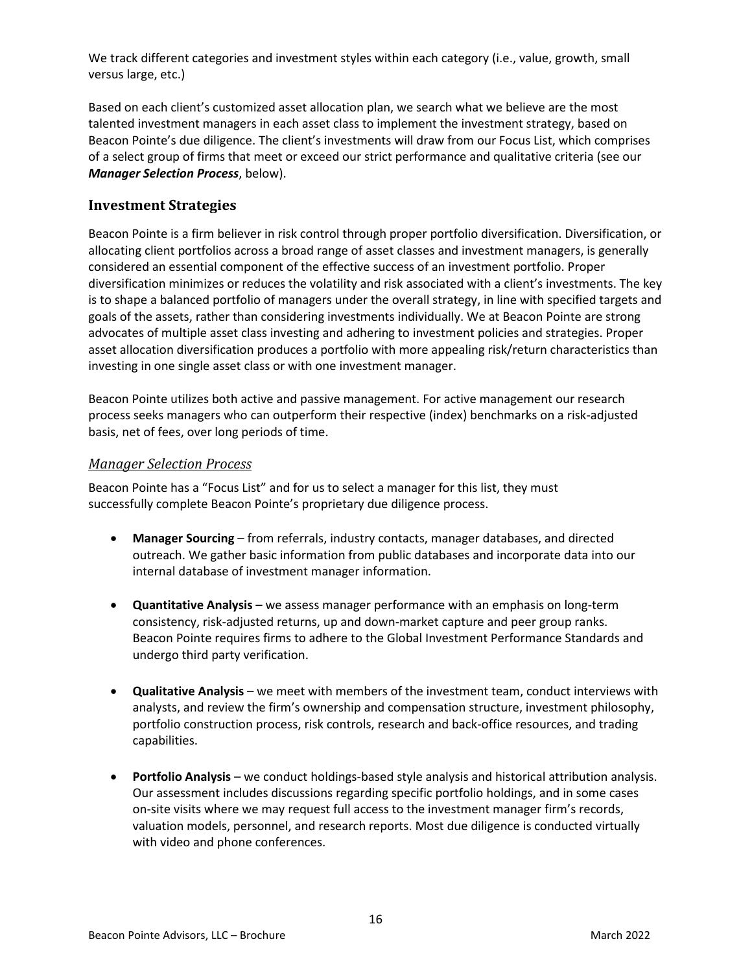We track different categories and investment styles within each category (i.e., value, growth, small versus large, etc.)

Based on each client's customized asset allocation plan, we search what we believe are the most talented investment managers in each asset class to implement the investment strategy, based on Beacon Pointe's due diligence. The client's investments will draw from our Focus List, which comprises of a select group of firms that meet or exceed our strict performance and qualitative criteria (see our *Manager Selection Process*, below).

### **Investment Strategies**

Beacon Pointe is a firm believer in risk control through proper portfolio diversification. Diversification, or allocating client portfolios across a broad range of asset classes and investment managers, is generally considered an essential component of the effective success of an investment portfolio. Proper diversification minimizes or reduces the volatility and risk associated with a client's investments. The key is to shape a balanced portfolio of managers under the overall strategy, in line with specified targets and goals of the assets, rather than considering investments individually. We at Beacon Pointe are strong advocates of multiple asset class investing and adhering to investment policies and strategies. Proper asset allocation diversification produces a portfolio with more appealing risk/return characteristics than investing in one single asset class or with one investment manager.

Beacon Pointe utilizes both active and passive management. For active management our research process seeks managers who can outperform their respective (index) benchmarks on a risk-adjusted basis, net of fees, over long periods of time.

#### *Manager Selection Process*

Beacon Pointe has a "Focus List" and for us to select a manager for this list, they must successfully complete Beacon Pointe's proprietary due diligence process.

- **Manager Sourcing**  from referrals, industry contacts, manager databases, and directed outreach. We gather basic information from public databases and incorporate data into our internal database of investment manager information.
- **Quantitative Analysis**  we assess manager performance with an emphasis on long-term consistency, risk-adjusted returns, up and down-market capture and peer group ranks. Beacon Pointe requires firms to adhere to the Global Investment Performance Standards and undergo third party verification.
- **Qualitative Analysis**  we meet with members of the investment team, conduct interviews with analysts, and review the firm's ownership and compensation structure, investment philosophy, portfolio construction process, risk controls, research and back-office resources, and trading capabilities.
- **Portfolio Analysis**  we conduct holdings-based style analysis and historical attribution analysis. Our assessment includes discussions regarding specific portfolio holdings, and in some cases on-site visits where we may request full access to the investment manager firm's records, valuation models, personnel, and research reports. Most due diligence is conducted virtually with video and phone conferences.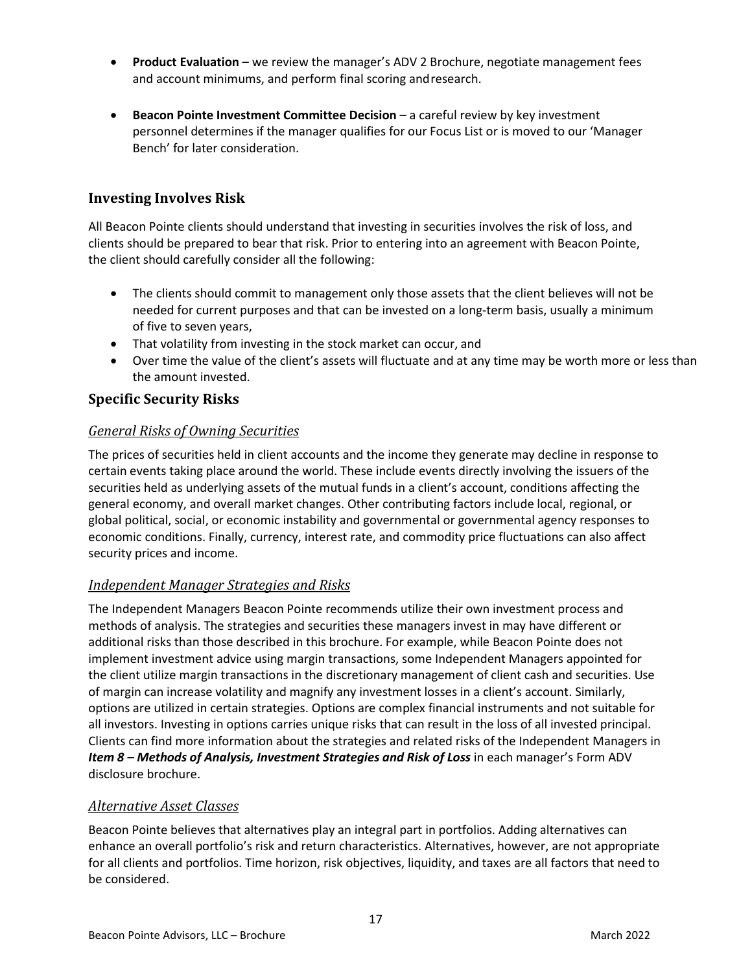- **Product Evaluation**  we review the manager's ADV 2 Brochure, negotiate management fees and account minimums, and perform final scoring andresearch.
- **Beacon Pointe Investment Committee Decision**  a careful review by key investment personnel determines if the manager qualifies for our Focus List or is moved to our 'Manager Bench' for later consideration.

### **Investing Involves Risk**

All Beacon Pointe clients should understand that investing in securities involves the risk of loss, and clients should be prepared to bear that risk. Prior to entering into an agreement with Beacon Pointe, the client should carefully consider all the following:

- The clients should commit to management only those assets that the client believes will not be needed for current purposes and that can be invested on a long-term basis, usually a minimum of five to seven years,
- That volatility from investing in the stock market can occur, and
- Over time the value of the client's assets will fluctuate and at any time may be worth more or less than the amount invested.

#### **Specific Security Risks**

#### *General Risks of Owning Securities*

The prices of securities held in client accounts and the income they generate may decline in response to certain events taking place around the world. These include events directly involving the issuers of the securities held as underlying assets of the mutual funds in a client's account, conditions affecting the general economy, and overall market changes. Other contributing factors include local, regional, or global political, social, or economic instability and governmental or governmental agency responses to economic conditions. Finally, currency, interest rate, and commodity price fluctuations can also affect security prices and income.

#### *Independent Manager Strategies and Risks*

The Independent Managers Beacon Pointe recommends utilize their own investment process and methods of analysis. The strategies and securities these managers invest in may have different or additional risks than those described in this brochure. For example, while Beacon Pointe does not implement investment advice using margin transactions, some Independent Managers appointed for the client utilize margin transactions in the discretionary management of client cash and securities. Use of margin can increase volatility and magnify any investment losses in a client's account. Similarly, options are utilized in certain strategies. Options are complex financial instruments and not suitable for all investors. Investing in options carries unique risks that can result in the loss of all invested principal. Clients can find more information about the strategies and related risks of the Independent Managers in *Item 8 – Methods of Analysis, Investment Strategies and Risk of Loss in each manager's Form ADV* disclosure brochure.

#### *Alternative Asset Classes*

Beacon Pointe believes that alternatives play an integral part in portfolios. Adding alternatives can enhance an overall portfolio's risk and return characteristics. Alternatives, however, are not appropriate for all clients and portfolios. Time horizon, risk objectives, liquidity, and taxes are all factors that need to be considered.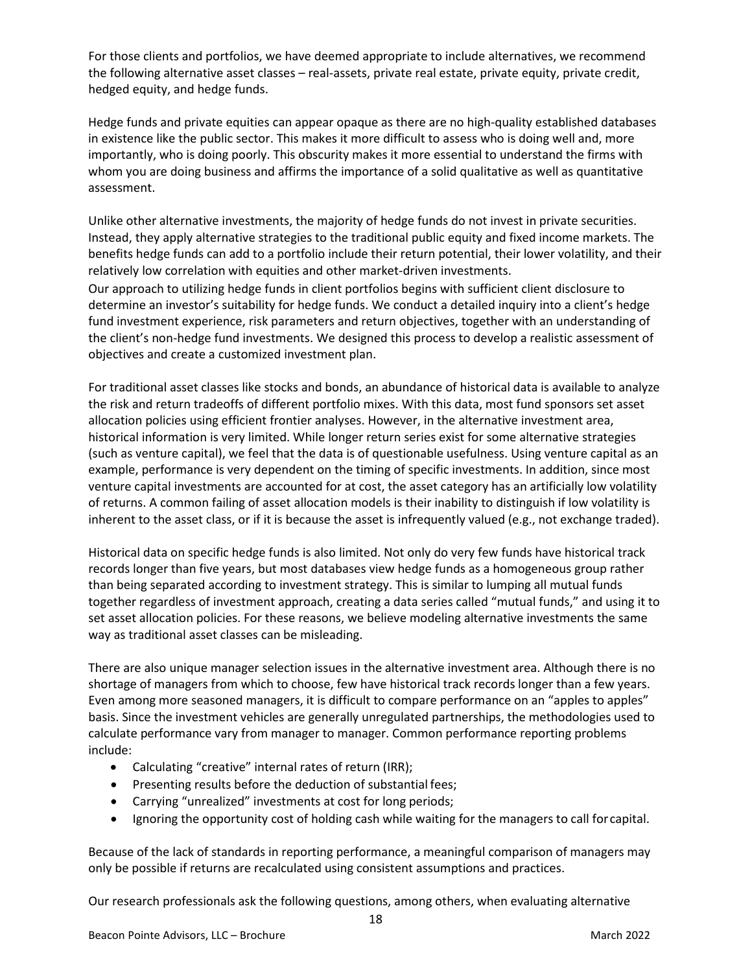For those clients and portfolios, we have deemed appropriate to include alternatives, we recommend the following alternative asset classes – real-assets, private real estate, private equity, private credit, hedged equity, and hedge funds.

Hedge funds and private equities can appear opaque as there are no high-quality established databases in existence like the public sector. This makes it more difficult to assess who is doing well and, more importantly, who is doing poorly. This obscurity makes it more essential to understand the firms with whom you are doing business and affirms the importance of a solid qualitative as well as quantitative assessment.

Unlike other alternative investments, the majority of hedge funds do not invest in private securities. Instead, they apply alternative strategies to the traditional public equity and fixed income markets. The benefits hedge funds can add to a portfolio include their return potential, their lower volatility, and their relatively low correlation with equities and other market-driven investments.

Our approach to utilizing hedge funds in client portfolios begins with sufficient client disclosure to determine an investor's suitability for hedge funds. We conduct a detailed inquiry into a client's hedge fund investment experience, risk parameters and return objectives, together with an understanding of the client's non-hedge fund investments. We designed this process to develop a realistic assessment of objectives and create a customized investment plan.

For traditional asset classes like stocks and bonds, an abundance of historical data is available to analyze the risk and return tradeoffs of different portfolio mixes. With this data, most fund sponsors set asset allocation policies using efficient frontier analyses. However, in the alternative investment area, historical information is very limited. While longer return series exist for some alternative strategies (such as venture capital), we feel that the data is of questionable usefulness. Using venture capital as an example, performance is very dependent on the timing of specific investments. In addition, since most venture capital investments are accounted for at cost, the asset category has an artificially low volatility of returns. A common failing of asset allocation models is their inability to distinguish if low volatility is inherent to the asset class, or if it is because the asset is infrequently valued (e.g., not exchange traded).

Historical data on specific hedge funds is also limited. Not only do very few funds have historical track records longer than five years, but most databases view hedge funds as a homogeneous group rather than being separated according to investment strategy. This is similar to lumping all mutual funds together regardless of investment approach, creating a data series called "mutual funds," and using it to set asset allocation policies. For these reasons, we believe modeling alternative investments the same way as traditional asset classes can be misleading.

There are also unique manager selection issues in the alternative investment area. Although there is no shortage of managers from which to choose, few have historical track records longer than a few years. Even among more seasoned managers, it is difficult to compare performance on an "apples to apples" basis. Since the investment vehicles are generally unregulated partnerships, the methodologies used to calculate performance vary from manager to manager. Common performance reporting problems include:

- Calculating "creative" internal rates of return (IRR);
- Presenting results before the deduction of substantial fees;
- Carrying "unrealized" investments at cost for long periods;
- Ignoring the opportunity cost of holding cash while waiting for the managers to call forcapital.

Because of the lack of standards in reporting performance, a meaningful comparison of managers may only be possible if returns are recalculated using consistent assumptions and practices.

Our research professionals ask the following questions, among others, when evaluating alternative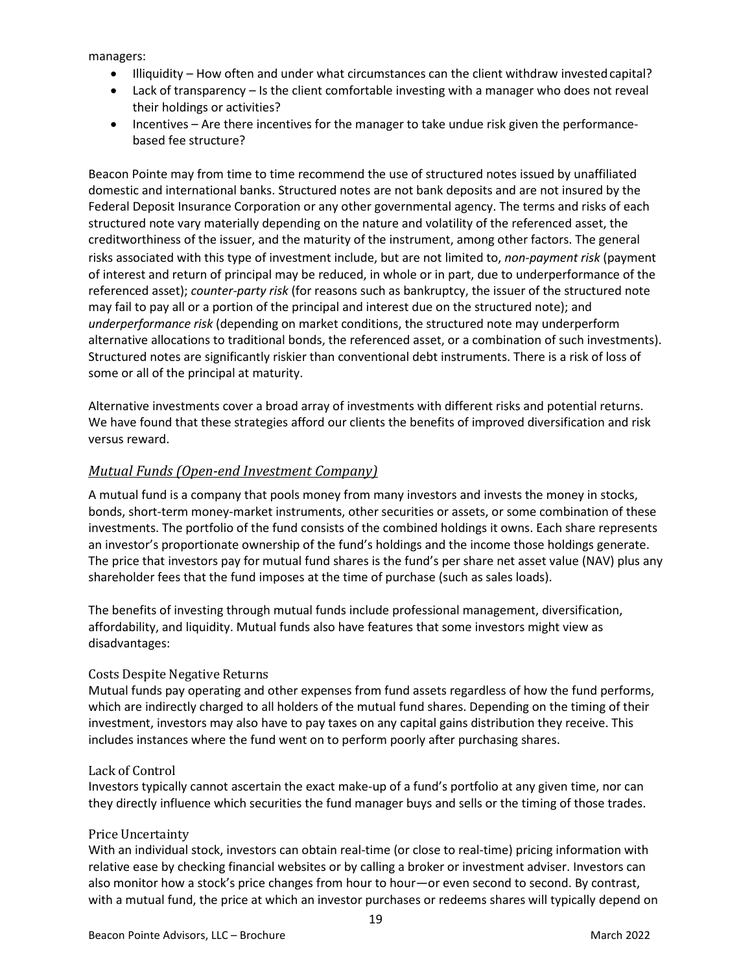managers:

- Illiquidity How often and under what circumstances can the client withdraw invested capital?
- Lack of transparency Is the client comfortable investing with a manager who does not reveal their holdings or activities?
- Incentives Are there incentives for the manager to take undue risk given the performancebased fee structure?

Beacon Pointe may from time to time recommend the use of structured notes issued by unaffiliated domestic and international banks. Structured notes are not bank deposits and are not insured by the Federal Deposit Insurance Corporation or any other governmental agency. The terms and risks of each structured note vary materially depending on the nature and volatility of the referenced asset, the creditworthiness of the issuer, and the maturity of the instrument, among other factors. The general risks associated with this type of investment include, but are not limited to, *non-payment risk* (payment of interest and return of principal may be reduced, in whole or in part, due to underperformance of the referenced asset); *counter-party risk* (for reasons such as bankruptcy, the issuer of the structured note may fail to pay all or a portion of the principal and interest due on the structured note); and *underperformance risk* (depending on market conditions, the structured note may underperform alternative allocations to traditional bonds, the referenced asset, or a combination of such investments). Structured notes are significantly riskier than conventional debt instruments. There is a risk of loss of some or all of the principal at maturity.

Alternative investments cover a broad array of investments with different risks and potential returns. We have found that these strategies afford our clients the benefits of improved diversification and risk versus reward.

### *Mutual Funds (Open-end Investment Company)*

A mutual fund is a company that pools money from many investors and invests the money in stocks, bonds, short-term money-market instruments, other securities or assets, or some combination of these investments. The portfolio of the fund consists of the combined holdings it owns. Each share represents an investor's proportionate ownership of the fund's holdings and the income those holdings generate. The price that investors pay for mutual fund shares is the fund's per share net asset value (NAV) plus any shareholder fees that the fund imposes at the time of purchase (such as sales loads).

The benefits of investing through mutual funds include professional management, diversification, affordability, and liquidity. Mutual funds also have features that some investors might view as disadvantages:

#### Costs Despite Negative Returns

Mutual funds pay operating and other expenses from fund assets regardless of how the fund performs, which are indirectly charged to all holders of the mutual fund shares. Depending on the timing of their investment, investors may also have to pay taxes on any capital gains distribution they receive. This includes instances where the fund went on to perform poorly after purchasing shares.

#### Lack of Control

Investors typically cannot ascertain the exact make-up of a fund's portfolio at any given time, nor can they directly influence which securities the fund manager buys and sells or the timing of those trades.

#### Price Uncertainty

With an individual stock, investors can obtain real-time (or close to real-time) pricing information with relative ease by checking financial websites or by calling a broker or investment adviser. Investors can also monitor how a stock's price changes from hour to hour—or even second to second. By contrast, with a mutual fund, the price at which an investor purchases or redeems shares will typically depend on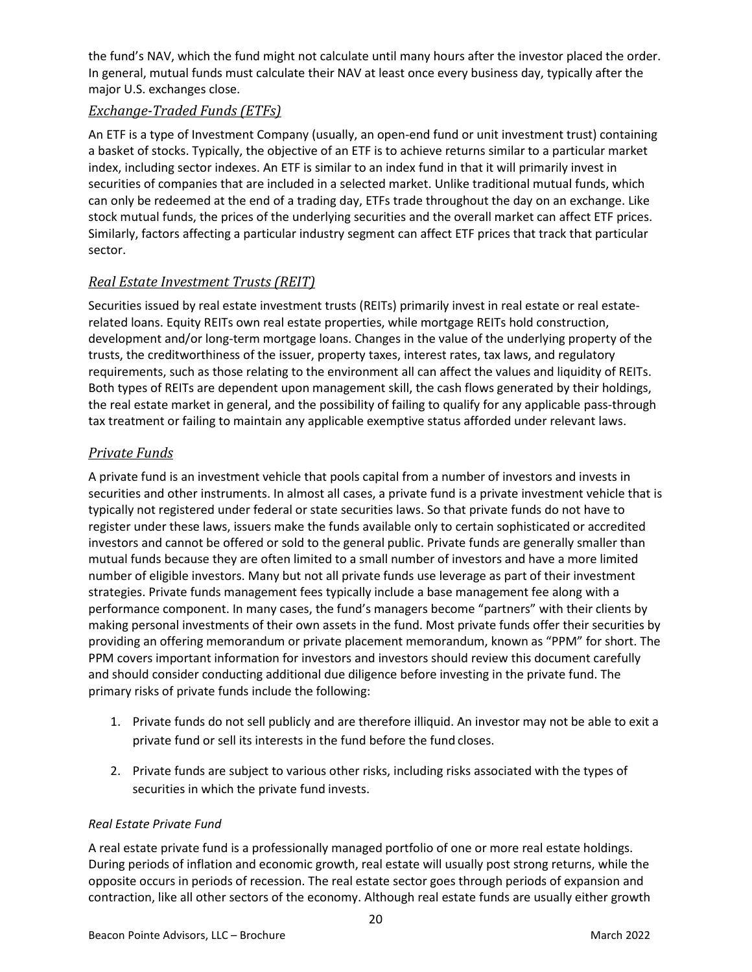the fund's NAV, which the fund might not calculate until many hours after the investor placed the order. In general, mutual funds must calculate their NAV at least once every business day, typically after the major U.S. exchanges close.

### *Exchange-Traded Funds (ETFs)*

An ETF is a type of Investment Company (usually, an open-end fund or unit investment trust) containing a basket of stocks. Typically, the objective of an ETF is to achieve returns similar to a particular market index, including sector indexes. An ETF is similar to an index fund in that it will primarily invest in securities of companies that are included in a selected market. Unlike traditional mutual funds, which can only be redeemed at the end of a trading day, ETFs trade throughout the day on an exchange. Like stock mutual funds, the prices of the underlying securities and the overall market can affect ETF prices. Similarly, factors affecting a particular industry segment can affect ETF prices that track that particular sector.

### *Real Estate Investment Trusts (REIT)*

Securities issued by real estate investment trusts (REITs) primarily invest in real estate or real estaterelated loans. Equity REITs own real estate properties, while mortgage REITs hold construction, development and/or long-term mortgage loans. Changes in the value of the underlying property of the trusts, the creditworthiness of the issuer, property taxes, interest rates, tax laws, and regulatory requirements, such as those relating to the environment all can affect the values and liquidity of REITs. Both types of REITs are dependent upon management skill, the cash flows generated by their holdings, the real estate market in general, and the possibility of failing to qualify for any applicable pass-through tax treatment or failing to maintain any applicable exemptive status afforded under relevant laws.

### *Private Funds*

A private fund is an investment vehicle that pools capital from a number of investors and invests in securities and other instruments. In almost all cases, a private fund is a private investment vehicle that is typically not registered under federal or state securities laws. So that private funds do not have to register under these laws, issuers make the funds available only to certain sophisticated or accredited investors and cannot be offered or sold to the general public. Private funds are generally smaller than mutual funds because they are often limited to a small number of investors and have a more limited number of eligible investors. Many but not all private funds use leverage as part of their investment strategies. Private funds management fees typically include a base management fee along with a performance component. In many cases, the fund's managers become "partners" with their clients by making personal investments of their own assets in the fund. Most private funds offer their securities by providing an offering memorandum or private placement memorandum, known as "PPM" for short. The PPM covers important information for investors and investors should review this document carefully and should consider conducting additional due diligence before investing in the private fund. The primary risks of private funds include the following:

- 1. Private funds do not sell publicly and are therefore illiquid. An investor may not be able to exit a private fund or sell its interests in the fund before the fund closes.
- 2. Private funds are subject to various other risks, including risks associated with the types of securities in which the private fund invests.

#### *Real Estate Private Fund*

A real estate private fund is a professionally managed portfolio of one or more real estate holdings. During periods of inflation and economic growth, real estate will usually post strong returns, while the opposite occurs in periods of recession. The real estate sector goes through periods of expansion and contraction, like all other sectors of the economy. Although real estate funds are usually either growth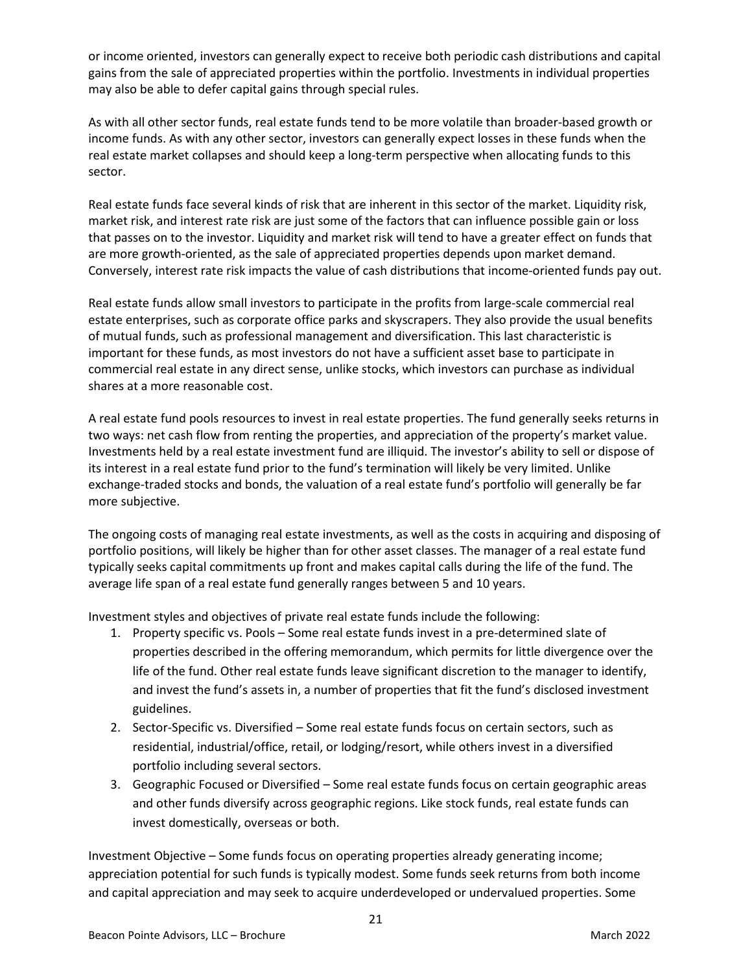or income oriented, investors can generally expect to receive both periodic cash distributions and capital gains from the sale of appreciated properties within the portfolio. Investments in individual properties may also be able to defer capital gains through special rules.

As with all other sector funds, real estate funds tend to be more volatile than broader-based growth or income funds. As with any other sector, investors can generally expect losses in these funds when the real estate market collapses and should keep a long-term perspective when allocating funds to this sector.

Real estate funds face several kinds of risk that are inherent in this sector of the market. Liquidity risk, market risk, and interest rate risk are just some of the factors that can influence possible gain or loss that passes on to the investor. Liquidity and market risk will tend to have a greater effect on funds that are more growth-oriented, as the sale of appreciated properties depends upon market demand. Conversely, interest rate risk impacts the value of cash distributions that income-oriented funds pay out.

Real estate funds allow small investors to participate in the profits from large-scale commercial real estate enterprises, such as corporate office parks and skyscrapers. They also provide the usual benefits of mutual funds, such as professional management and diversification. This last characteristic is important for these funds, as most investors do not have a sufficient asset base to participate in commercial real estate in any direct sense, unlike stocks, which investors can purchase as individual shares at a more reasonable cost.

A real estate fund pools resources to invest in real estate properties. The fund generally seeks returns in two ways: net cash flow from renting the properties, and appreciation of the property's market value. Investments held by a real estate investment fund are illiquid. The investor's ability to sell or dispose of its interest in a real estate fund prior to the fund's termination will likely be very limited. Unlike exchange-traded stocks and bonds, the valuation of a real estate fund's portfolio will generally be far more subjective.

The ongoing costs of managing real estate investments, as well as the costs in acquiring and disposing of portfolio positions, will likely be higher than for other asset classes. The manager of a real estate fund typically seeks capital commitments up front and makes capital calls during the life of the fund. The average life span of a real estate fund generally ranges between 5 and 10 years.

Investment styles and objectives of private real estate funds include the following:

- 1. Property specific vs. Pools Some real estate funds invest in a pre-determined slate of properties described in the offering memorandum, which permits for little divergence over the life of the fund. Other real estate funds leave significant discretion to the manager to identify, and invest the fund's assets in, a number of properties that fit the fund's disclosed investment guidelines.
- 2. Sector-Specific vs. Diversified Some real estate funds focus on certain sectors, such as residential, industrial/office, retail, or lodging/resort, while others invest in a diversified portfolio including several sectors.
- 3. Geographic Focused or Diversified Some real estate funds focus on certain geographic areas and other funds diversify across geographic regions. Like stock funds, real estate funds can invest domestically, overseas or both.

Investment Objective – Some funds focus on operating properties already generating income; appreciation potential for such funds is typically modest. Some funds seek returns from both income and capital appreciation and may seek to acquire underdeveloped or undervalued properties. Some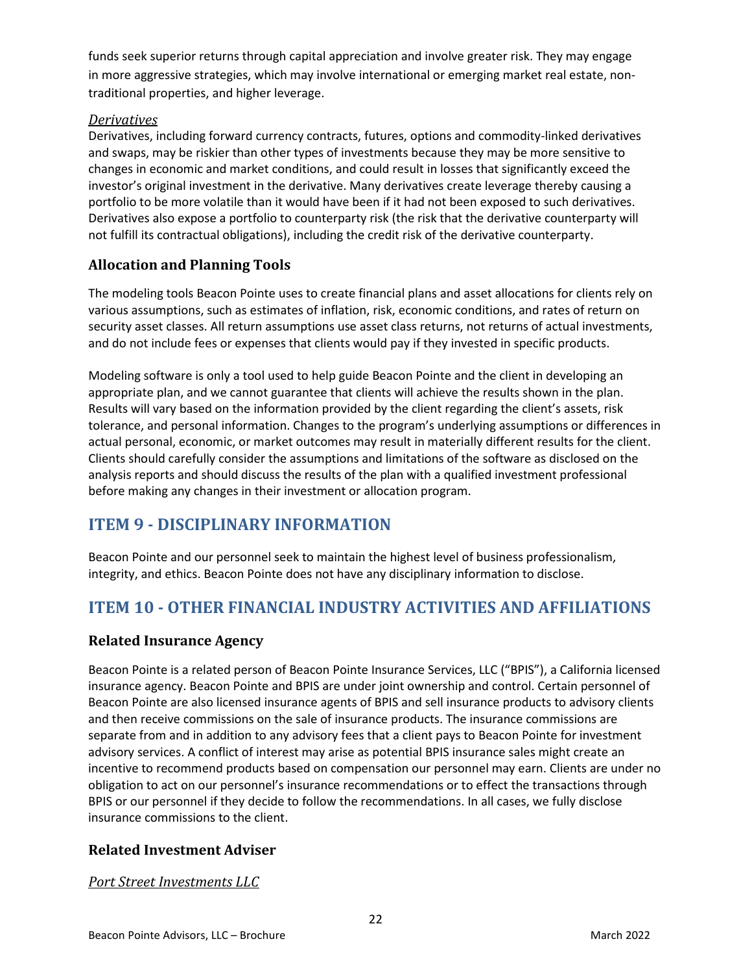funds seek superior returns through capital appreciation and involve greater risk. They may engage in more aggressive strategies, which may involve international or emerging market real estate, nontraditional properties, and higher leverage.

#### *Derivatives*

Derivatives, including forward currency contracts, futures, options and commodity-linked derivatives and swaps, may be riskier than other types of investments because they may be more sensitive to changes in economic and market conditions, and could result in losses that significantly exceed the investor's original investment in the derivative. Many derivatives create leverage thereby causing a portfolio to be more volatile than it would have been if it had not been exposed to such derivatives. Derivatives also expose a portfolio to counterparty risk (the risk that the derivative counterparty will not fulfill its contractual obligations), including the credit risk of the derivative counterparty.

### **Allocation and Planning Tools**

The modeling tools Beacon Pointe uses to create financial plans and asset allocations for clients rely on various assumptions, such as estimates of inflation, risk, economic conditions, and rates of return on security asset classes. All return assumptions use asset class returns, not returns of actual investments, and do not include fees or expenses that clients would pay if they invested in specific products.

Modeling software is only a tool used to help guide Beacon Pointe and the client in developing an appropriate plan, and we cannot guarantee that clients will achieve the results shown in the plan. Results will vary based on the information provided by the client regarding the client's assets, risk tolerance, and personal information. Changes to the program's underlying assumptions or differences in actual personal, economic, or market outcomes may result in materially different results for the client. Clients should carefully consider the assumptions and limitations of the software as disclosed on the analysis reports and should discuss the results of the plan with a qualified investment professional before making any changes in their investment or allocation program.

### **ITEM 9 - DISCIPLINARY INFORMATION**

Beacon Pointe and our personnel seek to maintain the highest level of business professionalism, integrity, and ethics. Beacon Pointe does not have any disciplinary information to disclose.

### **ITEM 10 - OTHER FINANCIAL INDUSTRY ACTIVITIES AND AFFILIATIONS**

### **Related Insurance Agency**

Beacon Pointe is a related person of Beacon Pointe Insurance Services, LLC ("BPIS"), a California licensed insurance agency. Beacon Pointe and BPIS are under joint ownership and control. Certain personnel of Beacon Pointe are also licensed insurance agents of BPIS and sell insurance products to advisory clients and then receive commissions on the sale of insurance products. The insurance commissions are separate from and in addition to any advisory fees that a client pays to Beacon Pointe for investment advisory services. A conflict of interest may arise as potential BPIS insurance sales might create an incentive to recommend products based on compensation our personnel may earn. Clients are under no obligation to act on our personnel's insurance recommendations or to effect the transactions through BPIS or our personnel if they decide to follow the recommendations. In all cases, we fully disclose insurance commissions to the client.

### **Related Investment Adviser**

#### *Port Street Investments LLC*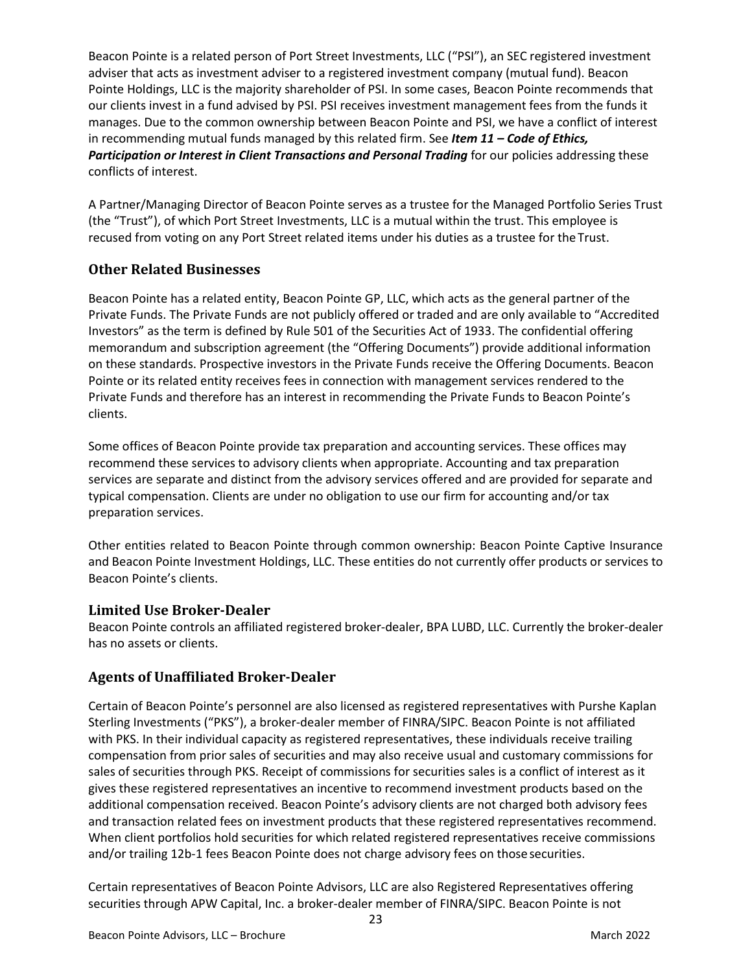Beacon Pointe is a related person of Port Street Investments, LLC ("PSI"), an SEC registered investment adviser that acts as investment adviser to a registered investment company (mutual fund). Beacon Pointe Holdings, LLC is the majority shareholder of PSI. In some cases, Beacon Pointe recommends that our clients invest in a fund advised by PSI. PSI receives investment management fees from the funds it manages. Due to the common ownership between Beacon Pointe and PSI, we have a conflict of interest in recommending mutual funds managed by this related firm. See *Item 11 – Code of Ethics,* Participation or Interest in Client Transactions and Personal Trading for our policies addressing these conflicts of interest.

A Partner/Managing Director of Beacon Pointe serves as a trustee for the Managed Portfolio Series Trust (the "Trust"), of which Port Street Investments, LLC is a mutual within the trust. This employee is recused from voting on any Port Street related items under his duties as a trustee for the Trust.

### **Other Related Businesses**

Beacon Pointe has a related entity, Beacon Pointe GP, LLC, which acts as the general partner of the Private Funds. The Private Funds are not publicly offered or traded and are only available to "Accredited Investors" as the term is defined by Rule 501 of the Securities Act of 1933. The confidential offering memorandum and subscription agreement (the "Offering Documents") provide additional information on these standards. Prospective investors in the Private Funds receive the Offering Documents. Beacon Pointe or its related entity receives fees in connection with management services rendered to the Private Funds and therefore has an interest in recommending the Private Funds to Beacon Pointe's clients.

Some offices of Beacon Pointe provide tax preparation and accounting services. These offices may recommend these services to advisory clients when appropriate. Accounting and tax preparation services are separate and distinct from the advisory services offered and are provided for separate and typical compensation. Clients are under no obligation to use our firm for accounting and/or tax preparation services.

Other entities related to Beacon Pointe through common ownership: Beacon Pointe Captive Insurance and Beacon Pointe Investment Holdings, LLC. These entities do not currently offer products or services to Beacon Pointe's clients.

#### **Limited Use Broker-Dealer**

Beacon Pointe controls an affiliated registered broker-dealer, BPA LUBD, LLC. Currently the broker-dealer has no assets or clients.

### **Agents of Unaffiliated Broker-Dealer**

Certain of Beacon Pointe's personnel are also licensed as registered representatives with Purshe Kaplan Sterling Investments ("PKS"), a broker-dealer member of FINRA/SIPC. Beacon Pointe is not affiliated with PKS. In their individual capacity as registered representatives, these individuals receive trailing compensation from prior sales of securities and may also receive usual and customary commissions for sales of securities through PKS. Receipt of commissions for securities sales is a conflict of interest as it gives these registered representatives an incentive to recommend investment products based on the additional compensation received. Beacon Pointe's advisory clients are not charged both advisory fees and transaction related fees on investment products that these registered representatives recommend. When client portfolios hold securities for which related registered representatives receive commissions and/or trailing 12b-1 fees Beacon Pointe does not charge advisory fees on those securities.

Certain representatives of Beacon Pointe Advisors, LLC are also Registered Representatives offering securities through APW Capital, Inc. a broker-dealer member of FINRA/SIPC. Beacon Pointe is not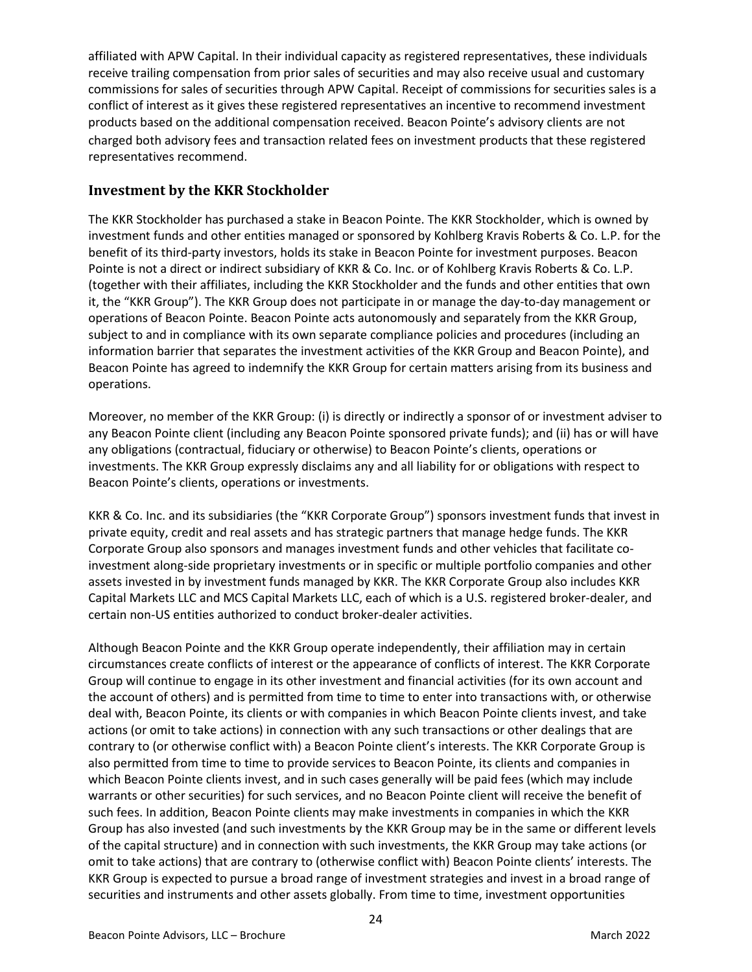affiliated with APW Capital. In their individual capacity as registered representatives, these individuals receive trailing compensation from prior sales of securities and may also receive usual and customary commissions for sales of securities through APW Capital. Receipt of commissions for securities sales is a conflict of interest as it gives these registered representatives an incentive to recommend investment products based on the additional compensation received. Beacon Pointe's advisory clients are not charged both advisory fees and transaction related fees on investment products that these registered representatives recommend.

### **Investment by the KKR Stockholder**

The KKR Stockholder has purchased a stake in Beacon Pointe. The KKR Stockholder, which is owned by investment funds and other entities managed or sponsored by Kohlberg Kravis Roberts & Co. L.P. for the benefit of its third-party investors, holds its stake in Beacon Pointe for investment purposes. Beacon Pointe is not a direct or indirect subsidiary of KKR & Co. Inc. or of Kohlberg Kravis Roberts & Co. L.P. (together with their affiliates, including the KKR Stockholder and the funds and other entities that own it, the "KKR Group"). The KKR Group does not participate in or manage the day-to-day management or operations of Beacon Pointe. Beacon Pointe acts autonomously and separately from the KKR Group, subject to and in compliance with its own separate compliance policies and procedures (including an information barrier that separates the investment activities of the KKR Group and Beacon Pointe), and Beacon Pointe has agreed to indemnify the KKR Group for certain matters arising from its business and operations.

Moreover, no member of the KKR Group: (i) is directly or indirectly a sponsor of or investment adviser to any Beacon Pointe client (including any Beacon Pointe sponsored private funds); and (ii) has or will have any obligations (contractual, fiduciary or otherwise) to Beacon Pointe's clients, operations or investments. The KKR Group expressly disclaims any and all liability for or obligations with respect to Beacon Pointe's clients, operations or investments.

KKR & Co. Inc. and its subsidiaries (the "KKR Corporate Group") sponsors investment funds that invest in private equity, credit and real assets and has strategic partners that manage hedge funds. The KKR Corporate Group also sponsors and manages investment funds and other vehicles that facilitate coinvestment along-side proprietary investments or in specific or multiple portfolio companies and other assets invested in by investment funds managed by KKR. The KKR Corporate Group also includes KKR Capital Markets LLC and MCS Capital Markets LLC, each of which is a U.S. registered broker-dealer, and certain non-US entities authorized to conduct broker-dealer activities.

Although Beacon Pointe and the KKR Group operate independently, their affiliation may in certain circumstances create conflicts of interest or the appearance of conflicts of interest. The KKR Corporate Group will continue to engage in its other investment and financial activities (for its own account and the account of others) and is permitted from time to time to enter into transactions with, or otherwise deal with, Beacon Pointe, its clients or with companies in which Beacon Pointe clients invest, and take actions (or omit to take actions) in connection with any such transactions or other dealings that are contrary to (or otherwise conflict with) a Beacon Pointe client's interests. The KKR Corporate Group is also permitted from time to time to provide services to Beacon Pointe, its clients and companies in which Beacon Pointe clients invest, and in such cases generally will be paid fees (which may include warrants or other securities) for such services, and no Beacon Pointe client will receive the benefit of such fees. In addition, Beacon Pointe clients may make investments in companies in which the KKR Group has also invested (and such investments by the KKR Group may be in the same or different levels of the capital structure) and in connection with such investments, the KKR Group may take actions (or omit to take actions) that are contrary to (otherwise conflict with) Beacon Pointe clients' interests. The KKR Group is expected to pursue a broad range of investment strategies and invest in a broad range of securities and instruments and other assets globally. From time to time, investment opportunities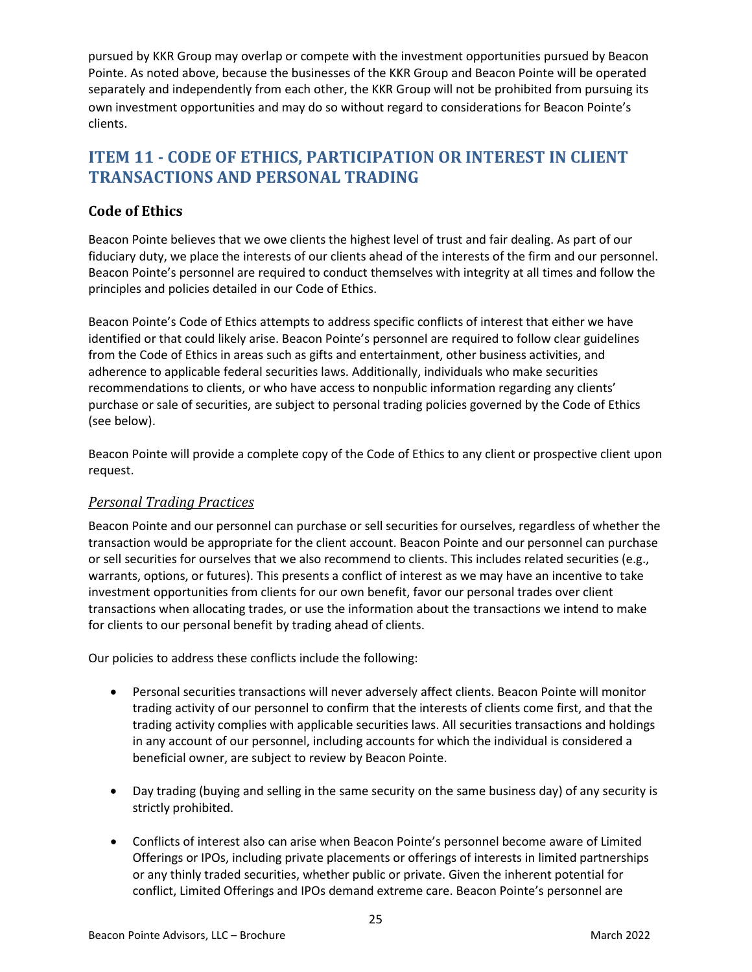pursued by KKR Group may overlap or compete with the investment opportunities pursued by Beacon Pointe. As noted above, because the businesses of the KKR Group and Beacon Pointe will be operated separately and independently from each other, the KKR Group will not be prohibited from pursuing its own investment opportunities and may do so without regard to considerations for Beacon Pointe's clients.

### **ITEM 11 - CODE OF ETHICS, PARTICIPATION OR INTEREST IN CLIENT TRANSACTIONS AND PERSONAL TRADING**

### **Code of Ethics**

Beacon Pointe believes that we owe clients the highest level of trust and fair dealing. As part of our fiduciary duty, we place the interests of our clients ahead of the interests of the firm and our personnel. Beacon Pointe's personnel are required to conduct themselves with integrity at all times and follow the principles and policies detailed in our Code of Ethics.

Beacon Pointe's Code of Ethics attempts to address specific conflicts of interest that either we have identified or that could likely arise. Beacon Pointe's personnel are required to follow clear guidelines from the Code of Ethics in areas such as gifts and entertainment, other business activities, and adherence to applicable federal securities laws. Additionally, individuals who make securities recommendations to clients, or who have access to nonpublic information regarding any clients' purchase or sale of securities, are subject to personal trading policies governed by the Code of Ethics (see below).

Beacon Pointe will provide a complete copy of the Code of Ethics to any client or prospective client upon request.

### *Personal Trading Practices*

Beacon Pointe and our personnel can purchase or sell securities for ourselves, regardless of whether the transaction would be appropriate for the client account. Beacon Pointe and our personnel can purchase or sell securities for ourselves that we also recommend to clients. This includes related securities (e.g., warrants, options, or futures). This presents a conflict of interest as we may have an incentive to take investment opportunities from clients for our own benefit, favor our personal trades over client transactions when allocating trades, or use the information about the transactions we intend to make for clients to our personal benefit by trading ahead of clients.

Our policies to address these conflicts include the following:

- Personal securities transactions will never adversely affect clients. Beacon Pointe will monitor trading activity of our personnel to confirm that the interests of clients come first, and that the trading activity complies with applicable securities laws. All securities transactions and holdings in any account of our personnel, including accounts for which the individual is considered a beneficial owner, are subject to review by Beacon Pointe.
- Day trading (buying and selling in the same security on the same business day) of any security is strictly prohibited.
- Conflicts of interest also can arise when Beacon Pointe's personnel become aware of Limited Offerings or IPOs, including private placements or offerings of interests in limited partnerships or any thinly traded securities, whether public or private. Given the inherent potential for conflict, Limited Offerings and IPOs demand extreme care. Beacon Pointe's personnel are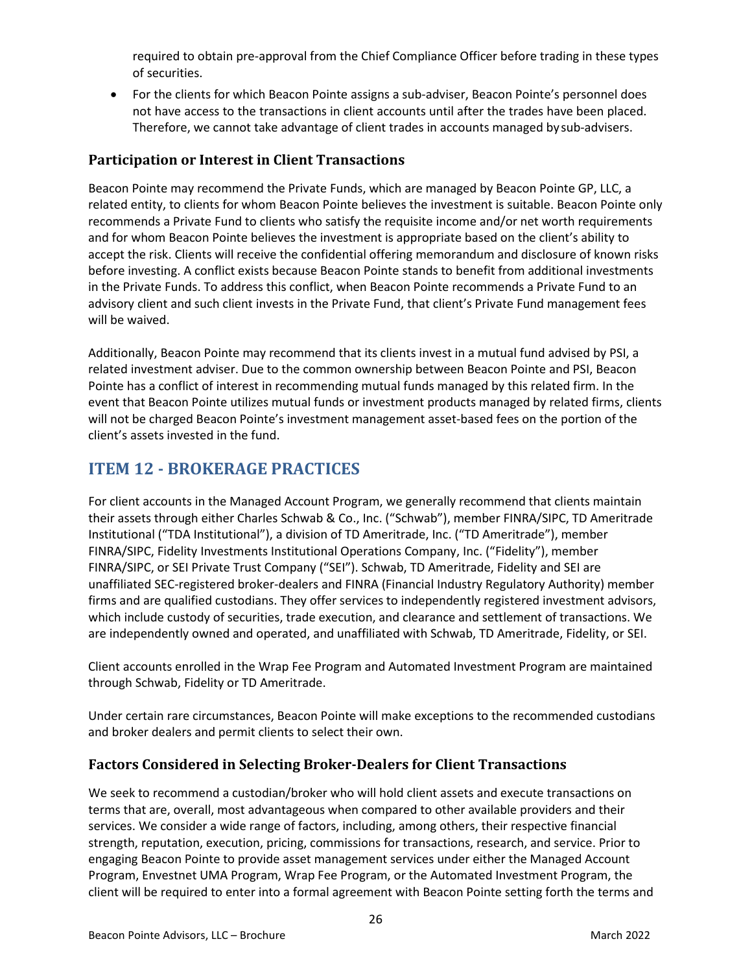required to obtain pre-approval from the Chief Compliance Officer before trading in these types of securities.

• For the clients for which Beacon Pointe assigns a sub-adviser, Beacon Pointe's personnel does not have access to the transactions in client accounts until after the trades have been placed. Therefore, we cannot take advantage of client trades in accounts managed by sub-advisers.

### **Participation or Interest in Client Transactions**

Beacon Pointe may recommend the Private Funds, which are managed by Beacon Pointe GP, LLC, a related entity, to clients for whom Beacon Pointe believes the investment is suitable. Beacon Pointe only recommends a Private Fund to clients who satisfy the requisite income and/or net worth requirements and for whom Beacon Pointe believes the investment is appropriate based on the client's ability to accept the risk. Clients will receive the confidential offering memorandum and disclosure of known risks before investing. A conflict exists because Beacon Pointe stands to benefit from additional investments in the Private Funds. To address this conflict, when Beacon Pointe recommends a Private Fund to an advisory client and such client invests in the Private Fund, that client's Private Fund management fees will be waived.

Additionally, Beacon Pointe may recommend that its clients invest in a mutual fund advised by PSI, a related investment adviser. Due to the common ownership between Beacon Pointe and PSI, Beacon Pointe has a conflict of interest in recommending mutual funds managed by this related firm. In the event that Beacon Pointe utilizes mutual funds or investment products managed by related firms, clients will not be charged Beacon Pointe's investment management asset-based fees on the portion of the client's assets invested in the fund.

### **ITEM 12 - BROKERAGE PRACTICES**

For client accounts in the Managed Account Program, we generally recommend that clients maintain their assets through either Charles Schwab & Co., Inc. ("Schwab"), member FINRA/SIPC, TD Ameritrade Institutional ("TDA Institutional"), a division of TD Ameritrade, Inc. ("TD Ameritrade"), member FINRA/SIPC, Fidelity Investments Institutional Operations Company, Inc. ("Fidelity"), member FINRA/SIPC, or SEI Private Trust Company ("SEI"). Schwab, TD Ameritrade, Fidelity and SEI are unaffiliated SEC-registered broker-dealers and FINRA (Financial Industry Regulatory Authority) member firms and are qualified custodians. They offer services to independently registered investment advisors, which include custody of securities, trade execution, and clearance and settlement of transactions. We are independently owned and operated, and unaffiliated with Schwab, TD Ameritrade, Fidelity, or SEI.

Client accounts enrolled in the Wrap Fee Program and Automated Investment Program are maintained through Schwab, Fidelity or TD Ameritrade.

Under certain rare circumstances, Beacon Pointe will make exceptions to the recommended custodians and broker dealers and permit clients to select their own.

### **Factors Considered in Selecting Broker-Dealers for Client Transactions**

We seek to recommend a custodian/broker who will hold client assets and execute transactions on terms that are, overall, most advantageous when compared to other available providers and their services. We consider a wide range of factors, including, among others, their respective financial strength, reputation, execution, pricing, commissions for transactions, research, and service. Prior to engaging Beacon Pointe to provide asset management services under either the Managed Account Program, Envestnet UMA Program, Wrap Fee Program, or the Automated Investment Program, the client will be required to enter into a formal agreement with Beacon Pointe setting forth the terms and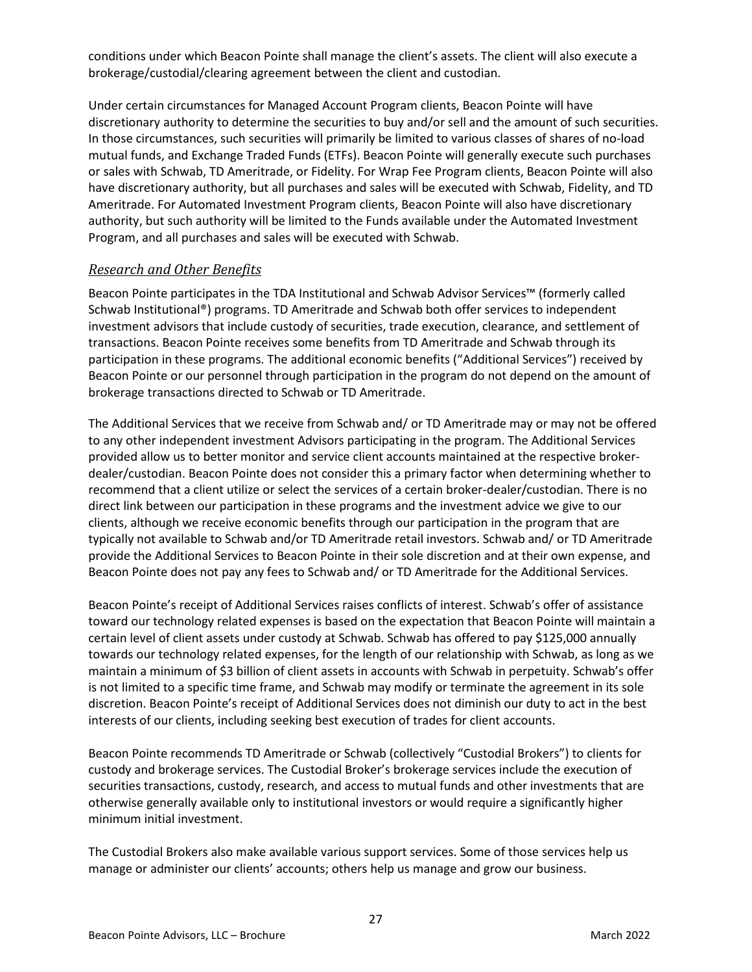conditions under which Beacon Pointe shall manage the client's assets. The client will also execute a brokerage/custodial/clearing agreement between the client and custodian.

Under certain circumstances for Managed Account Program clients, Beacon Pointe will have discretionary authority to determine the securities to buy and/or sell and the amount of such securities. In those circumstances, such securities will primarily be limited to various classes of shares of no-load mutual funds, and Exchange Traded Funds (ETFs). Beacon Pointe will generally execute such purchases or sales with Schwab, TD Ameritrade, or Fidelity. For Wrap Fee Program clients, Beacon Pointe will also have discretionary authority, but all purchases and sales will be executed with Schwab, Fidelity, and TD Ameritrade. For Automated Investment Program clients, Beacon Pointe will also have discretionary authority, but such authority will be limited to the Funds available under the Automated Investment Program, and all purchases and sales will be executed with Schwab.

### *Research and Other Benefits*

Beacon Pointe participates in the TDA Institutional and Schwab Advisor Services™ (formerly called Schwab Institutional®) programs. TD Ameritrade and Schwab both offer services to independent investment advisors that include custody of securities, trade execution, clearance, and settlement of transactions. Beacon Pointe receives some benefits from TD Ameritrade and Schwab through its participation in these programs. The additional economic benefits ("Additional Services") received by Beacon Pointe or our personnel through participation in the program do not depend on the amount of brokerage transactions directed to Schwab or TD Ameritrade.

The Additional Services that we receive from Schwab and/ or TD Ameritrade may or may not be offered to any other independent investment Advisors participating in the program. The Additional Services provided allow us to better monitor and service client accounts maintained at the respective brokerdealer/custodian. Beacon Pointe does not consider this a primary factor when determining whether to recommend that a client utilize or select the services of a certain broker-dealer/custodian. There is no direct link between our participation in these programs and the investment advice we give to our clients, although we receive economic benefits through our participation in the program that are typically not available to Schwab and/or TD Ameritrade retail investors. Schwab and/ or TD Ameritrade provide the Additional Services to Beacon Pointe in their sole discretion and at their own expense, and Beacon Pointe does not pay any fees to Schwab and/ or TD Ameritrade for the Additional Services.

Beacon Pointe's receipt of Additional Services raises conflicts of interest. Schwab's offer of assistance toward our technology related expenses is based on the expectation that Beacon Pointe will maintain a certain level of client assets under custody at Schwab. Schwab has offered to pay \$125,000 annually towards our technology related expenses, for the length of our relationship with Schwab, as long as we maintain a minimum of \$3 billion of client assets in accounts with Schwab in perpetuity. Schwab's offer is not limited to a specific time frame, and Schwab may modify or terminate the agreement in its sole discretion. Beacon Pointe's receipt of Additional Services does not diminish our duty to act in the best interests of our clients, including seeking best execution of trades for client accounts.

Beacon Pointe recommends TD Ameritrade or Schwab (collectively "Custodial Brokers") to clients for custody and brokerage services. The Custodial Broker's brokerage services include the execution of securities transactions, custody, research, and access to mutual funds and other investments that are otherwise generally available only to institutional investors or would require a significantly higher minimum initial investment.

The Custodial Brokers also make available various support services. Some of those services help us manage or administer our clients' accounts; others help us manage and grow our business.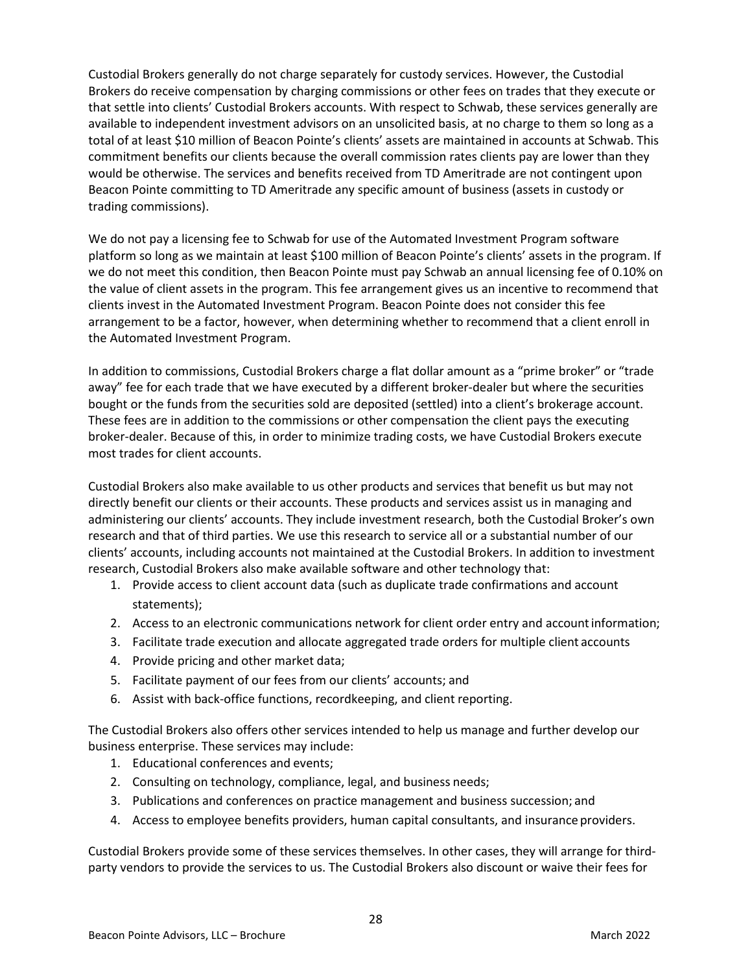Custodial Brokers generally do not charge separately for custody services. However, the Custodial Brokers do receive compensation by charging commissions or other fees on trades that they execute or that settle into clients' Custodial Brokers accounts. With respect to Schwab, these services generally are available to independent investment advisors on an unsolicited basis, at no charge to them so long as a total of at least \$10 million of Beacon Pointe's clients' assets are maintained in accounts at Schwab. This commitment benefits our clients because the overall commission rates clients pay are lower than they would be otherwise. The services and benefits received from TD Ameritrade are not contingent upon Beacon Pointe committing to TD Ameritrade any specific amount of business (assets in custody or trading commissions).

We do not pay a licensing fee to Schwab for use of the Automated Investment Program software platform so long as we maintain at least \$100 million of Beacon Pointe's clients' assets in the program. If we do not meet this condition, then Beacon Pointe must pay Schwab an annual licensing fee of 0.10% on the value of client assets in the program. This fee arrangement gives us an incentive to recommend that clients invest in the Automated Investment Program. Beacon Pointe does not consider this fee arrangement to be a factor, however, when determining whether to recommend that a client enroll in the Automated Investment Program.

In addition to commissions, Custodial Brokers charge a flat dollar amount as a "prime broker" or "trade away" fee for each trade that we have executed by a different broker-dealer but where the securities bought or the funds from the securities sold are deposited (settled) into a client's brokerage account. These fees are in addition to the commissions or other compensation the client pays the executing broker-dealer. Because of this, in order to minimize trading costs, we have Custodial Brokers execute most trades for client accounts.

Custodial Brokers also make available to us other products and services that benefit us but may not directly benefit our clients or their accounts. These products and services assist us in managing and administering our clients' accounts. They include investment research, both the Custodial Broker's own research and that of third parties. We use this research to service all or a substantial number of our clients' accounts, including accounts not maintained at the Custodial Brokers. In addition to investment research, Custodial Brokers also make available software and other technology that:

- 1. Provide access to client account data (such as duplicate trade confirmations and account statements);
- 2. Access to an electronic communications network for client order entry and account information;
- 3. Facilitate trade execution and allocate aggregated trade orders for multiple client accounts
- 4. Provide pricing and other market data;
- 5. Facilitate payment of our fees from our clients' accounts; and
- 6. Assist with back-office functions, recordkeeping, and client reporting.

The Custodial Brokers also offers other services intended to help us manage and further develop our business enterprise. These services may include:

- 1. Educational conferences and events;
- 2. Consulting on technology, compliance, legal, and business needs;
- 3. Publications and conferences on practice management and business succession; and
- 4. Access to employee benefits providers, human capital consultants, and insurance providers.

Custodial Brokers provide some of these services themselves. In other cases, they will arrange for thirdparty vendors to provide the services to us. The Custodial Brokers also discount or waive their fees for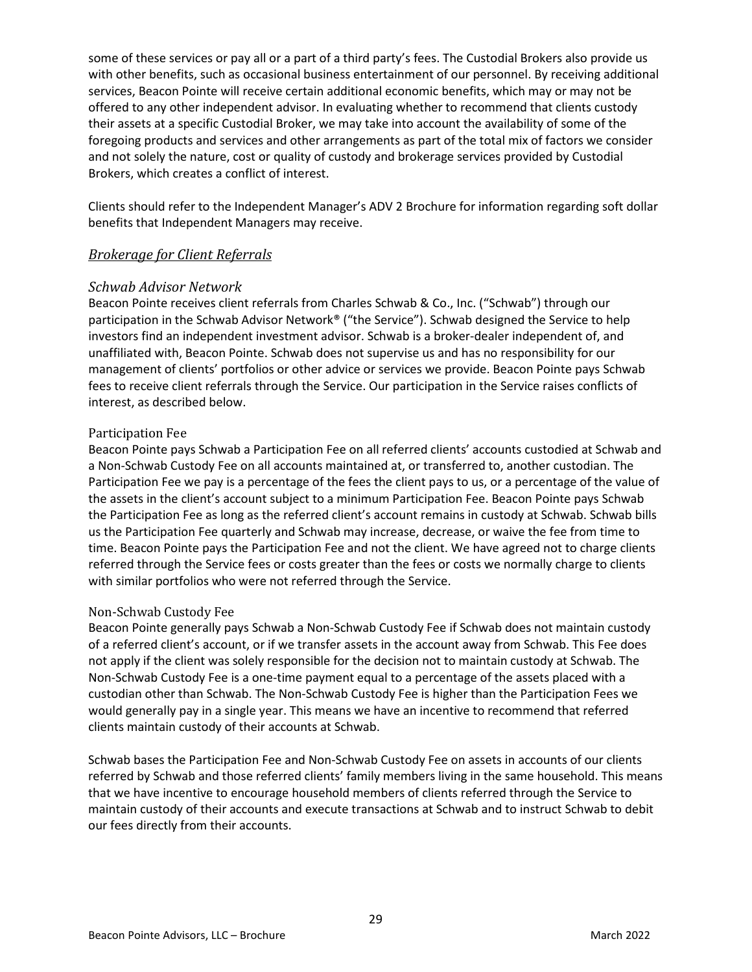some of these services or pay all or a part of a third party's fees. The Custodial Brokers also provide us with other benefits, such as occasional business entertainment of our personnel. By receiving additional services, Beacon Pointe will receive certain additional economic benefits, which may or may not be offered to any other independent advisor. In evaluating whether to recommend that clients custody their assets at a specific Custodial Broker, we may take into account the availability of some of the foregoing products and services and other arrangements as part of the total mix of factors we consider and not solely the nature, cost or quality of custody and brokerage services provided by Custodial Brokers, which creates a conflict of interest.

Clients should refer to the Independent Manager's ADV 2 Brochure for information regarding soft dollar benefits that Independent Managers may receive.

#### *Brokerage for Client Referrals*

#### *Schwab Advisor Network*

Beacon Pointe receives client referrals from Charles Schwab & Co., Inc. ("Schwab") through our participation in the Schwab Advisor Network® ("the Service"). Schwab designed the Service to help investors find an independent investment advisor. Schwab is a broker-dealer independent of, and unaffiliated with, Beacon Pointe. Schwab does not supervise us and has no responsibility for our management of clients' portfolios or other advice or services we provide. Beacon Pointe pays Schwab fees to receive client referrals through the Service. Our participation in the Service raises conflicts of interest, as described below.

#### Participation Fee

Beacon Pointe pays Schwab a Participation Fee on all referred clients' accounts custodied at Schwab and a Non-Schwab Custody Fee on all accounts maintained at, or transferred to, another custodian. The Participation Fee we pay is a percentage of the fees the client pays to us, or a percentage of the value of the assets in the client's account subject to a minimum Participation Fee. Beacon Pointe pays Schwab the Participation Fee as long as the referred client's account remains in custody at Schwab. Schwab bills us the Participation Fee quarterly and Schwab may increase, decrease, or waive the fee from time to time. Beacon Pointe pays the Participation Fee and not the client. We have agreed not to charge clients referred through the Service fees or costs greater than the fees or costs we normally charge to clients with similar portfolios who were not referred through the Service.

#### Non-Schwab Custody Fee

Beacon Pointe generally pays Schwab a Non-Schwab Custody Fee if Schwab does not maintain custody of a referred client's account, or if we transfer assets in the account away from Schwab. This Fee does not apply if the client was solely responsible for the decision not to maintain custody at Schwab. The Non-Schwab Custody Fee is a one-time payment equal to a percentage of the assets placed with a custodian other than Schwab. The Non-Schwab Custody Fee is higher than the Participation Fees we would generally pay in a single year. This means we have an incentive to recommend that referred clients maintain custody of their accounts at Schwab.

Schwab bases the Participation Fee and Non-Schwab Custody Fee on assets in accounts of our clients referred by Schwab and those referred clients' family members living in the same household. This means that we have incentive to encourage household members of clients referred through the Service to maintain custody of their accounts and execute transactions at Schwab and to instruct Schwab to debit our fees directly from their accounts.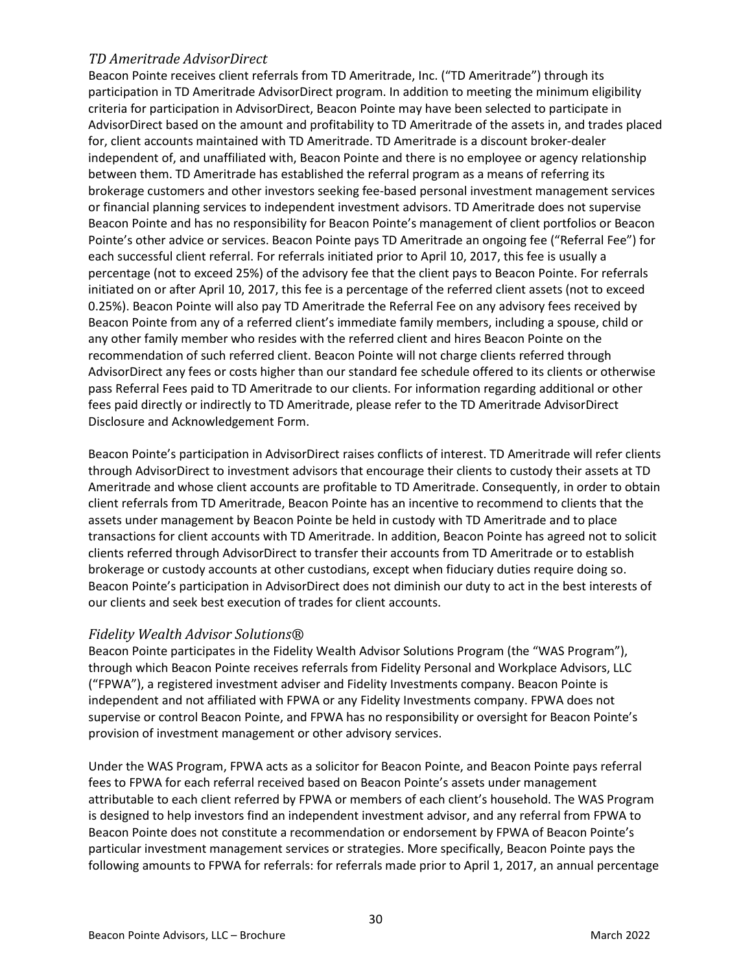### *TD Ameritrade AdvisorDirect*

Beacon Pointe receives client referrals from TD Ameritrade, Inc. ("TD Ameritrade") through its participation in TD Ameritrade AdvisorDirect program. In addition to meeting the minimum eligibility criteria for participation in AdvisorDirect, Beacon Pointe may have been selected to participate in AdvisorDirect based on the amount and profitability to TD Ameritrade of the assets in, and trades placed for, client accounts maintained with TD Ameritrade. TD Ameritrade is a discount broker-dealer independent of, and unaffiliated with, Beacon Pointe and there is no employee or agency relationship between them. TD Ameritrade has established the referral program as a means of referring its brokerage customers and other investors seeking fee-based personal investment management services or financial planning services to independent investment advisors. TD Ameritrade does not supervise Beacon Pointe and has no responsibility for Beacon Pointe's management of client portfolios or Beacon Pointe's other advice or services. Beacon Pointe pays TD Ameritrade an ongoing fee ("Referral Fee") for each successful client referral. For referrals initiated prior to April 10, 2017, this fee is usually a percentage (not to exceed 25%) of the advisory fee that the client pays to Beacon Pointe. For referrals initiated on or after April 10, 2017, this fee is a percentage of the referred client assets (not to exceed 0.25%). Beacon Pointe will also pay TD Ameritrade the Referral Fee on any advisory fees received by Beacon Pointe from any of a referred client's immediate family members, including a spouse, child or any other family member who resides with the referred client and hires Beacon Pointe on the recommendation of such referred client. Beacon Pointe will not charge clients referred through AdvisorDirect any fees or costs higher than our standard fee schedule offered to its clients or otherwise pass Referral Fees paid to TD Ameritrade to our clients. For information regarding additional or other fees paid directly or indirectly to TD Ameritrade, please refer to the TD Ameritrade AdvisorDirect Disclosure and Acknowledgement Form.

Beacon Pointe's participation in AdvisorDirect raises conflicts of interest. TD Ameritrade will refer clients through AdvisorDirect to investment advisors that encourage their clients to custody their assets at TD Ameritrade and whose client accounts are profitable to TD Ameritrade. Consequently, in order to obtain client referrals from TD Ameritrade, Beacon Pointe has an incentive to recommend to clients that the assets under management by Beacon Pointe be held in custody with TD Ameritrade and to place transactions for client accounts with TD Ameritrade. In addition, Beacon Pointe has agreed not to solicit clients referred through AdvisorDirect to transfer their accounts from TD Ameritrade or to establish brokerage or custody accounts at other custodians, except when fiduciary duties require doing so. Beacon Pointe's participation in AdvisorDirect does not diminish our duty to act in the best interests of our clients and seek best execution of trades for client accounts.

#### *Fidelity Wealth Advisor Solutions®*

Beacon Pointe participates in the Fidelity Wealth Advisor Solutions Program (the "WAS Program"), through which Beacon Pointe receives referrals from Fidelity Personal and Workplace Advisors, LLC ("FPWA"), a registered investment adviser and Fidelity Investments company. Beacon Pointe is independent and not affiliated with FPWA or any Fidelity Investments company. FPWA does not supervise or control Beacon Pointe, and FPWA has no responsibility or oversight for Beacon Pointe's provision of investment management or other advisory services.

Under the WAS Program, FPWA acts as a solicitor for Beacon Pointe, and Beacon Pointe pays referral fees to FPWA for each referral received based on Beacon Pointe's assets under management attributable to each client referred by FPWA or members of each client's household. The WAS Program is designed to help investors find an independent investment advisor, and any referral from FPWA to Beacon Pointe does not constitute a recommendation or endorsement by FPWA of Beacon Pointe's particular investment management services or strategies. More specifically, Beacon Pointe pays the following amounts to FPWA for referrals: for referrals made prior to April 1, 2017, an annual percentage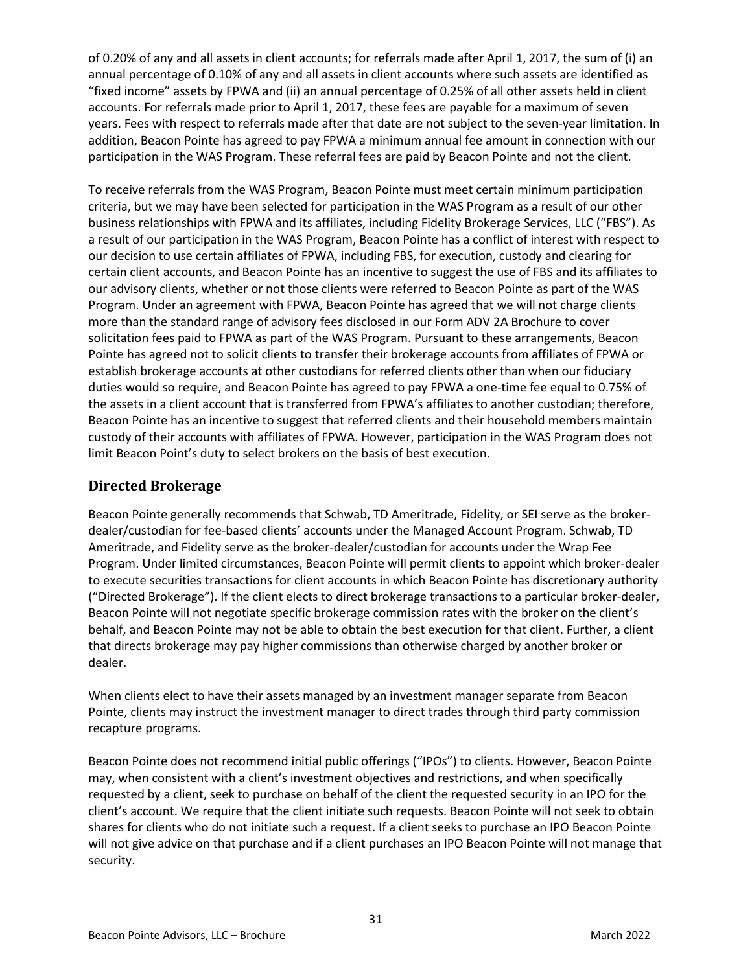of 0.20% of any and all assets in client accounts; for referrals made after April 1, 2017, the sum of (i) an annual percentage of 0.10% of any and all assets in client accounts where such assets are identified as "fixed income" assets by FPWA and (ii) an annual percentage of 0.25% of all other assets held in client accounts. For referrals made prior to April 1, 2017, these fees are payable for a maximum of seven years. Fees with respect to referrals made after that date are not subject to the seven-year limitation. In addition, Beacon Pointe has agreed to pay FPWA a minimum annual fee amount in connection with our participation in the WAS Program. These referral fees are paid by Beacon Pointe and not the client.

To receive referrals from the WAS Program, Beacon Pointe must meet certain minimum participation criteria, but we may have been selected for participation in the WAS Program as a result of our other business relationships with FPWA and its affiliates, including Fidelity Brokerage Services, LLC ("FBS"). As a result of our participation in the WAS Program, Beacon Pointe has a conflict of interest with respect to our decision to use certain affiliates of FPWA, including FBS, for execution, custody and clearing for certain client accounts, and Beacon Pointe has an incentive to suggest the use of FBS and its affiliates to our advisory clients, whether or not those clients were referred to Beacon Pointe as part of the WAS Program. Under an agreement with FPWA, Beacon Pointe has agreed that we will not charge clients more than the standard range of advisory fees disclosed in our Form ADV 2A Brochure to cover solicitation fees paid to FPWA as part of the WAS Program. Pursuant to these arrangements, Beacon Pointe has agreed not to solicit clients to transfer their brokerage accounts from affiliates of FPWA or establish brokerage accounts at other custodians for referred clients other than when our fiduciary duties would so require, and Beacon Pointe has agreed to pay FPWA a one-time fee equal to 0.75% of the assets in a client account that is transferred from FPWA's affiliates to another custodian; therefore, Beacon Pointe has an incentive to suggest that referred clients and their household members maintain custody of their accounts with affiliates of FPWA. However, participation in the WAS Program does not limit Beacon Point's duty to select brokers on the basis of best execution.

### **Directed Brokerage**

Beacon Pointe generally recommends that Schwab, TD Ameritrade, Fidelity, or SEI serve as the brokerdealer/custodian for fee-based clients' accounts under the Managed Account Program. Schwab, TD Ameritrade, and Fidelity serve as the broker-dealer/custodian for accounts under the Wrap Fee Program. Under limited circumstances, Beacon Pointe will permit clients to appoint which broker-dealer to execute securities transactions for client accounts in which Beacon Pointe has discretionary authority ("Directed Brokerage"). If the client elects to direct brokerage transactions to a particular broker-dealer, Beacon Pointe will not negotiate specific brokerage commission rates with the broker on the client's behalf, and Beacon Pointe may not be able to obtain the best execution for that client. Further, a client that directs brokerage may pay higher commissions than otherwise charged by another broker or dealer.

When clients elect to have their assets managed by an investment manager separate from Beacon Pointe, clients may instruct the investment manager to direct trades through third party commission recapture programs.

Beacon Pointe does not recommend initial public offerings ("IPOs") to clients. However, Beacon Pointe may, when consistent with a client's investment objectives and restrictions, and when specifically requested by a client, seek to purchase on behalf of the client the requested security in an IPO for the client's account. We require that the client initiate such requests. Beacon Pointe will not seek to obtain shares for clients who do not initiate such a request. If a client seeks to purchase an IPO Beacon Pointe will not give advice on that purchase and if a client purchases an IPO Beacon Pointe will not manage that security.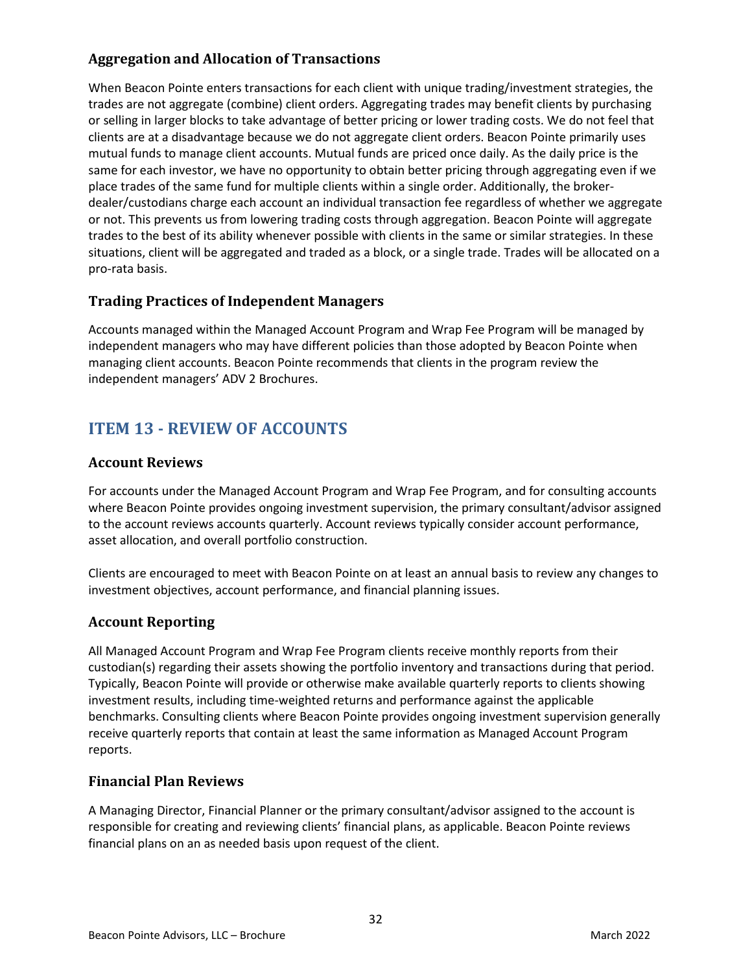### **Aggregation and Allocation of Transactions**

When Beacon Pointe enters transactions for each client with unique trading/investment strategies, the trades are not aggregate (combine) client orders. Aggregating trades may benefit clients by purchasing or selling in larger blocks to take advantage of better pricing or lower trading costs. We do not feel that clients are at a disadvantage because we do not aggregate client orders. Beacon Pointe primarily uses mutual funds to manage client accounts. Mutual funds are priced once daily. As the daily price is the same for each investor, we have no opportunity to obtain better pricing through aggregating even if we place trades of the same fund for multiple clients within a single order. Additionally, the brokerdealer/custodians charge each account an individual transaction fee regardless of whether we aggregate or not. This prevents us from lowering trading costs through aggregation. Beacon Pointe will aggregate trades to the best of its ability whenever possible with clients in the same or similar strategies. In these situations, client will be aggregated and traded as a block, or a single trade. Trades will be allocated on a pro-rata basis.

### **Trading Practices of Independent Managers**

Accounts managed within the Managed Account Program and Wrap Fee Program will be managed by independent managers who may have different policies than those adopted by Beacon Pointe when managing client accounts. Beacon Pointe recommends that clients in the program review the independent managers' ADV 2 Brochures.

### **ITEM 13 - REVIEW OF ACCOUNTS**

### **Account Reviews**

For accounts under the Managed Account Program and Wrap Fee Program, and for consulting accounts where Beacon Pointe provides ongoing investment supervision, the primary consultant/advisor assigned to the account reviews accounts quarterly. Account reviews typically consider account performance, asset allocation, and overall portfolio construction.

Clients are encouraged to meet with Beacon Pointe on at least an annual basis to review any changes to investment objectives, account performance, and financial planning issues.

### **Account Reporting**

All Managed Account Program and Wrap Fee Program clients receive monthly reports from their custodian(s) regarding their assets showing the portfolio inventory and transactions during that period. Typically, Beacon Pointe will provide or otherwise make available quarterly reports to clients showing investment results, including time-weighted returns and performance against the applicable benchmarks. Consulting clients where Beacon Pointe provides ongoing investment supervision generally receive quarterly reports that contain at least the same information as Managed Account Program reports.

### **Financial Plan Reviews**

A Managing Director, Financial Planner or the primary consultant/advisor assigned to the account is responsible for creating and reviewing clients' financial plans, as applicable. Beacon Pointe reviews financial plans on an as needed basis upon request of the client.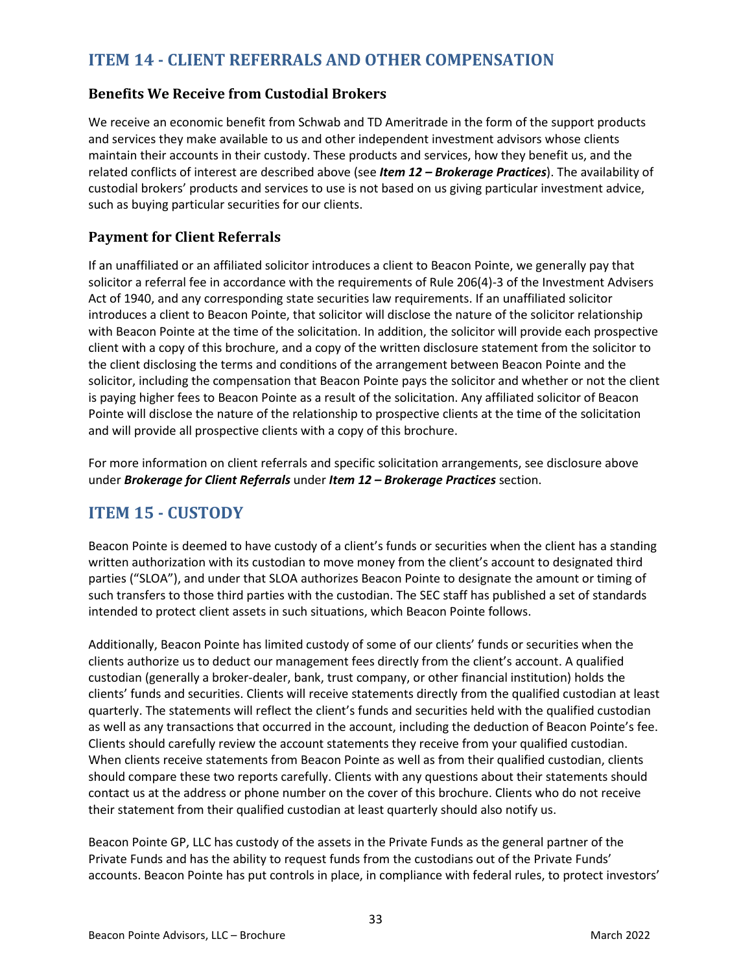### **ITEM 14 - CLIENT REFERRALS AND OTHER COMPENSATION**

### **Benefits We Receive from Custodial Brokers**

We receive an economic benefit from Schwab and TD Ameritrade in the form of the support products and services they make available to us and other independent investment advisors whose clients maintain their accounts in their custody. These products and services, how they benefit us, and the related conflicts of interest are described above (see *Item 12 – Brokerage Practices*). The availability of custodial brokers' products and services to use is not based on us giving particular investment advice, such as buying particular securities for our clients.

### **Payment for Client Referrals**

If an unaffiliated or an affiliated solicitor introduces a client to Beacon Pointe, we generally pay that solicitor a referral fee in accordance with the requirements of Rule 206(4)-3 of the Investment Advisers Act of 1940, and any corresponding state securities law requirements. If an unaffiliated solicitor introduces a client to Beacon Pointe, that solicitor will disclose the nature of the solicitor relationship with Beacon Pointe at the time of the solicitation. In addition, the solicitor will provide each prospective client with a copy of this brochure, and a copy of the written disclosure statement from the solicitor to the client disclosing the terms and conditions of the arrangement between Beacon Pointe and the solicitor, including the compensation that Beacon Pointe pays the solicitor and whether or not the client is paying higher fees to Beacon Pointe as a result of the solicitation. Any affiliated solicitor of Beacon Pointe will disclose the nature of the relationship to prospective clients at the time of the solicitation and will provide all prospective clients with a copy of this brochure.

For more information on client referrals and specific solicitation arrangements, see disclosure above under *Brokerage for Client Referrals* under *Item 12 – Brokerage Practices* section.

### **ITEM 15 - CUSTODY**

Beacon Pointe is deemed to have custody of a client's funds or securities when the client has a standing written authorization with its custodian to move money from the client's account to designated third parties ("SLOA"), and under that SLOA authorizes Beacon Pointe to designate the amount or timing of such transfers to those third parties with the custodian. The SEC staff has published a set of standards intended to protect client assets in such situations, which Beacon Pointe follows.

Additionally, Beacon Pointe has limited custody of some of our clients' funds or securities when the clients authorize us to deduct our management fees directly from the client's account. A qualified custodian (generally a broker-dealer, bank, trust company, or other financial institution) holds the clients' funds and securities. Clients will receive statements directly from the qualified custodian at least quarterly. The statements will reflect the client's funds and securities held with the qualified custodian as well as any transactions that occurred in the account, including the deduction of Beacon Pointe's fee. Clients should carefully review the account statements they receive from your qualified custodian. When clients receive statements from Beacon Pointe as well as from their qualified custodian, clients should compare these two reports carefully. Clients with any questions about their statements should contact us at the address or phone number on the cover of this brochure. Clients who do not receive their statement from their qualified custodian at least quarterly should also notify us.

Beacon Pointe GP, LLC has custody of the assets in the Private Funds as the general partner of the Private Funds and has the ability to request funds from the custodians out of the Private Funds' accounts. Beacon Pointe has put controls in place, in compliance with federal rules, to protect investors'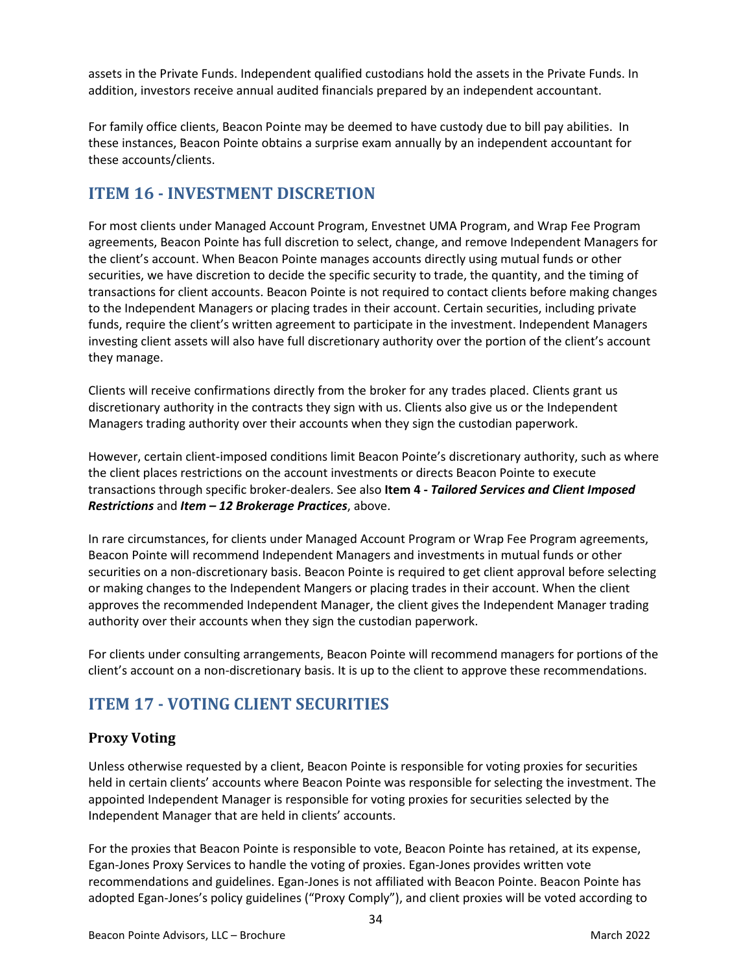assets in the Private Funds. Independent qualified custodians hold the assets in the Private Funds. In addition, investors receive annual audited financials prepared by an independent accountant.

For family office clients, Beacon Pointe may be deemed to have custody due to bill pay abilities. In these instances, Beacon Pointe obtains a surprise exam annually by an independent accountant for these accounts/clients.

### **ITEM 16 - INVESTMENT DISCRETION**

For most clients under Managed Account Program, Envestnet UMA Program, and Wrap Fee Program agreements, Beacon Pointe has full discretion to select, change, and remove Independent Managers for the client's account. When Beacon Pointe manages accounts directly using mutual funds or other securities, we have discretion to decide the specific security to trade, the quantity, and the timing of transactions for client accounts. Beacon Pointe is not required to contact clients before making changes to the Independent Managers or placing trades in their account. Certain securities, including private funds, require the client's written agreement to participate in the investment. Independent Managers investing client assets will also have full discretionary authority over the portion of the client's account they manage.

Clients will receive confirmations directly from the broker for any trades placed. Clients grant us discretionary authority in the contracts they sign with us. Clients also give us or the Independent Managers trading authority over their accounts when they sign the custodian paperwork.

However, certain client-imposed conditions limit Beacon Pointe's discretionary authority, such as where the client places restrictions on the account investments or directs Beacon Pointe to execute transactions through specific broker-dealers. See also **Item 4 -** *Tailored Services and Client Imposed Restrictions* and *Item – 12 Brokerage Practices*, above.

In rare circumstances, for clients under Managed Account Program or Wrap Fee Program agreements, Beacon Pointe will recommend Independent Managers and investments in mutual funds or other securities on a non-discretionary basis. Beacon Pointe is required to get client approval before selecting or making changes to the Independent Mangers or placing trades in their account. When the client approves the recommended Independent Manager, the client gives the Independent Manager trading authority over their accounts when they sign the custodian paperwork.

For clients under consulting arrangements, Beacon Pointe will recommend managers for portions of the client's account on a non-discretionary basis. It is up to the client to approve these recommendations.

### **ITEM 17 - VOTING CLIENT SECURITIES**

### **Proxy Voting**

Unless otherwise requested by a client, Beacon Pointe is responsible for voting proxies for securities held in certain clients' accounts where Beacon Pointe was responsible for selecting the investment. The appointed Independent Manager is responsible for voting proxies for securities selected by the Independent Manager that are held in clients' accounts.

For the proxies that Beacon Pointe is responsible to vote, Beacon Pointe has retained, at its expense, Egan-Jones Proxy Services to handle the voting of proxies. Egan-Jones provides written vote recommendations and guidelines. Egan-Jones is not affiliated with Beacon Pointe. Beacon Pointe has adopted Egan-Jones's policy guidelines ("Proxy Comply"), and client proxies will be voted according to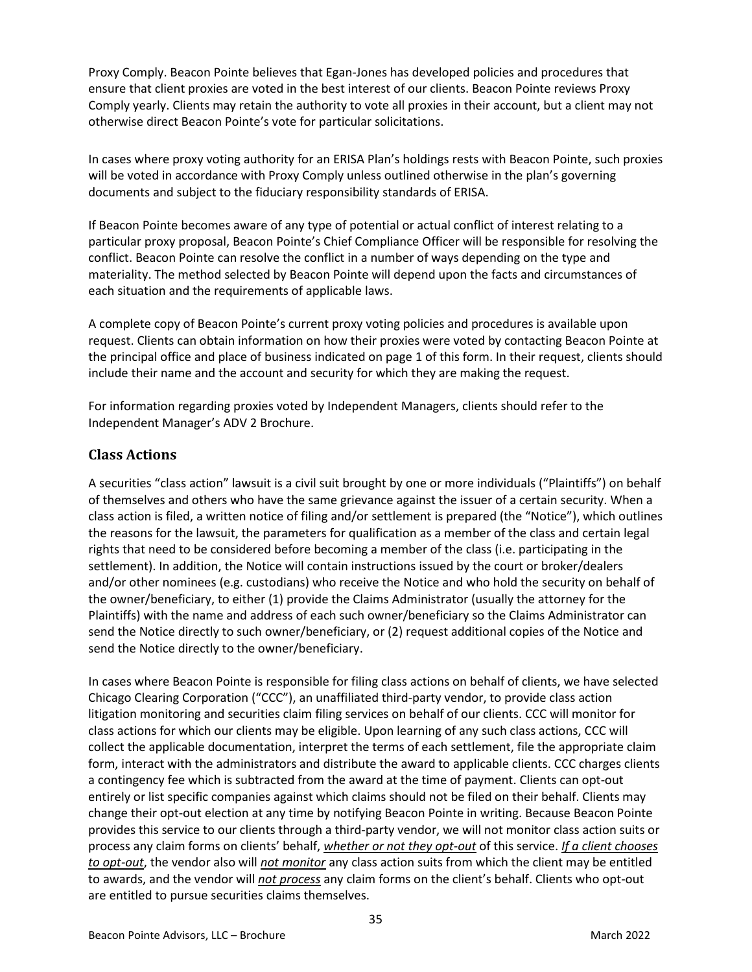Proxy Comply. Beacon Pointe believes that Egan-Jones has developed policies and procedures that ensure that client proxies are voted in the best interest of our clients. Beacon Pointe reviews Proxy Comply yearly. Clients may retain the authority to vote all proxies in their account, but a client may not otherwise direct Beacon Pointe's vote for particular solicitations.

In cases where proxy voting authority for an ERISA Plan's holdings rests with Beacon Pointe, such proxies will be voted in accordance with Proxy Comply unless outlined otherwise in the plan's governing documents and subject to the fiduciary responsibility standards of ERISA.

If Beacon Pointe becomes aware of any type of potential or actual conflict of interest relating to a particular proxy proposal, Beacon Pointe's Chief Compliance Officer will be responsible for resolving the conflict. Beacon Pointe can resolve the conflict in a number of ways depending on the type and materiality. The method selected by Beacon Pointe will depend upon the facts and circumstances of each situation and the requirements of applicable laws.

A complete copy of Beacon Pointe's current proxy voting policies and procedures is available upon request. Clients can obtain information on how their proxies were voted by contacting Beacon Pointe at the principal office and place of business indicated on page 1 of this form. In their request, clients should include their name and the account and security for which they are making the request.

For information regarding proxies voted by Independent Managers, clients should refer to the Independent Manager's ADV 2 Brochure.

### **Class Actions**

A securities "class action" lawsuit is a civil suit brought by one or more individuals ("Plaintiffs") on behalf of themselves and others who have the same grievance against the issuer of a certain security. When a class action is filed, a written notice of filing and/or settlement is prepared (the "Notice"), which outlines the reasons for the lawsuit, the parameters for qualification as a member of the class and certain legal rights that need to be considered before becoming a member of the class (i.e. participating in the settlement). In addition, the Notice will contain instructions issued by the court or broker/dealers and/or other nominees (e.g. custodians) who receive the Notice and who hold the security on behalf of the owner/beneficiary, to either (1) provide the Claims Administrator (usually the attorney for the Plaintiffs) with the name and address of each such owner/beneficiary so the Claims Administrator can send the Notice directly to such owner/beneficiary, or (2) request additional copies of the Notice and send the Notice directly to the owner/beneficiary.

In cases where Beacon Pointe is responsible for filing class actions on behalf of clients, we have selected Chicago Clearing Corporation ("CCC"), an unaffiliated third-party vendor, to provide class action litigation monitoring and securities claim filing services on behalf of our clients. CCC will monitor for class actions for which our clients may be eligible. Upon learning of any such class actions, CCC will collect the applicable documentation, interpret the terms of each settlement, file the appropriate claim form, interact with the administrators and distribute the award to applicable clients. CCC charges clients a contingency fee which is subtracted from the award at the time of payment. Clients can opt-out entirely or list specific companies against which claims should not be filed on their behalf. Clients may change their opt-out election at any time by notifying Beacon Pointe in writing. Because Beacon Pointe provides this service to our clients through a third-party vendor, we will not monitor class action suits or process any claim forms on clients' behalf, *whether or not they opt-out* of this service. *If a client chooses to opt-out*, the vendor also will *not monitor* any class action suits from which the client may be entitled to awards, and the vendor will *not process* any claim forms on the client's behalf. Clients who opt-out are entitled to pursue securities claims themselves.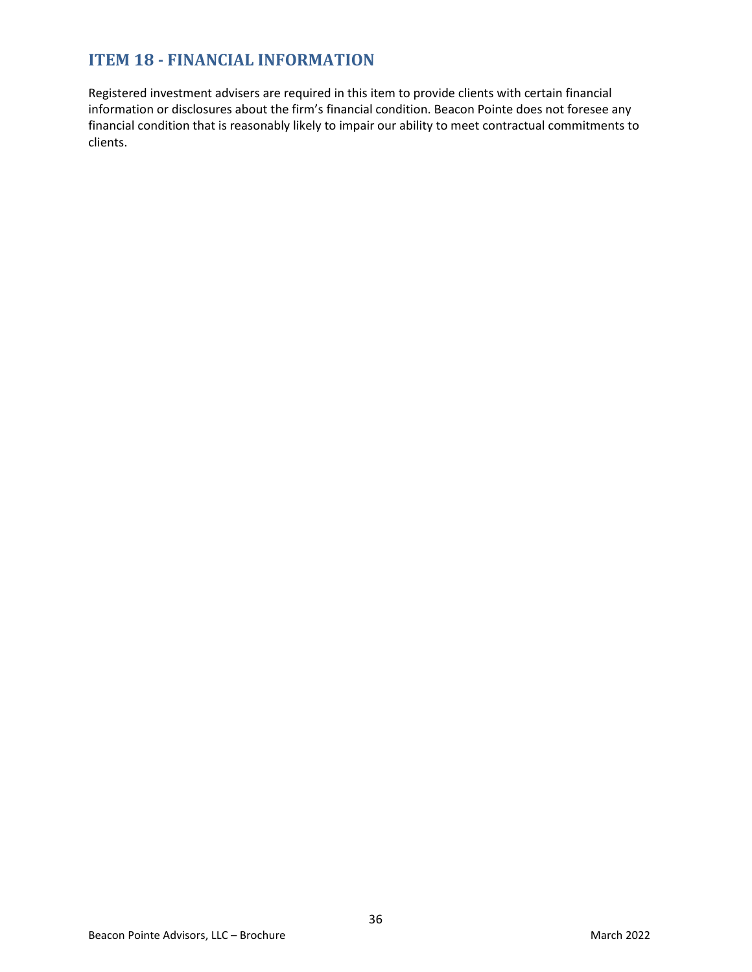### **ITEM 18 - FINANCIAL INFORMATION**

Registered investment advisers are required in this item to provide clients with certain financial information or disclosures about the firm's financial condition. Beacon Pointe does not foresee any financial condition that is reasonably likely to impair our ability to meet contractual commitments to clients.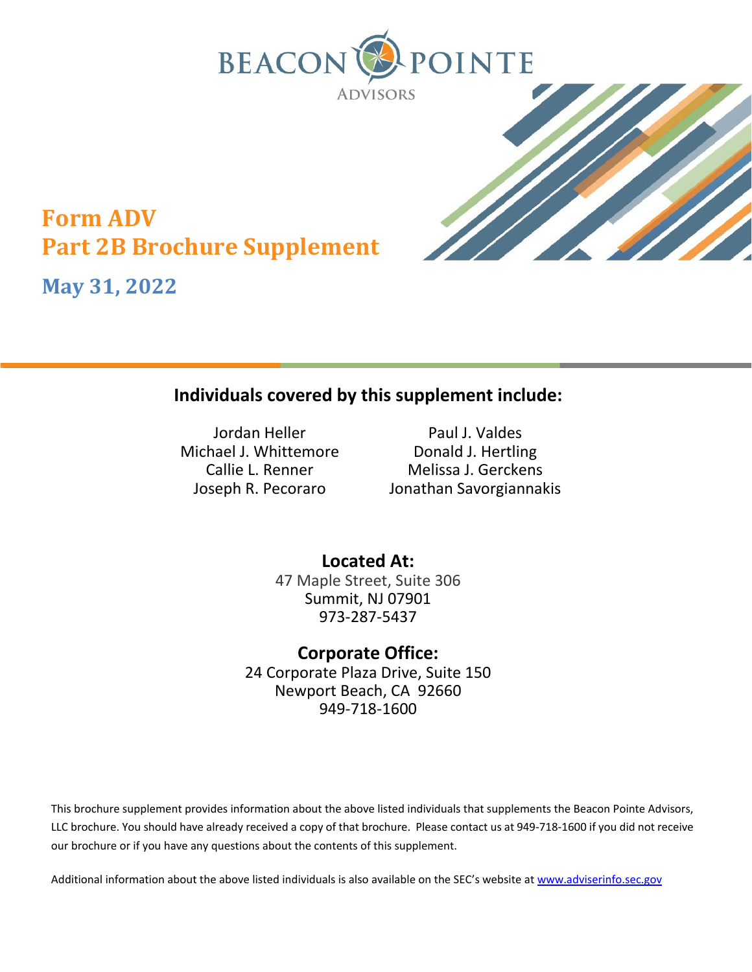



**May 31, 2022**

### **Individuals covered by this supplement include:**

Michael J. Whittemore **Donald J. Hertling** 

Jordan Heller Paul J. Valdes Callie L. Renner Melissa J. Gerckens Joseph R. Pecoraro Jonathan Savorgiannakis

> **Located At:** 47 Maple Street, Suite 306 Summit, NJ 07901 973-287-5437

**Corporate Office:** 24 Corporate Plaza Drive, Suite 150 Newport Beach, CA 92660 949-718-1600

This brochure supplement provides information about the above listed individuals that supplements the Beacon Pointe Advisors, LLC brochure. You should have already received a copy of that brochure. Please contact us at 949-718-1600 if you did not receive our brochure or if you have any questions about the contents of this supplement.

Additional information about the above listed individuals is also available on the SEC's website a[t www.adviserinfo.sec.gov](http://www.adviserinfo.sec.gov/)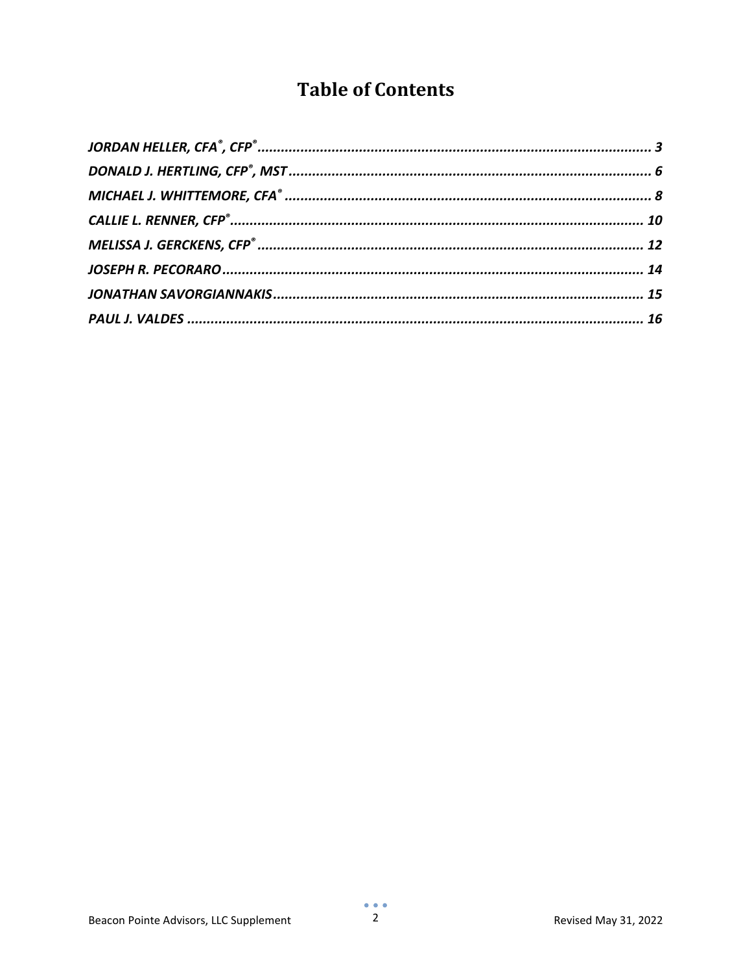# **Table of Contents**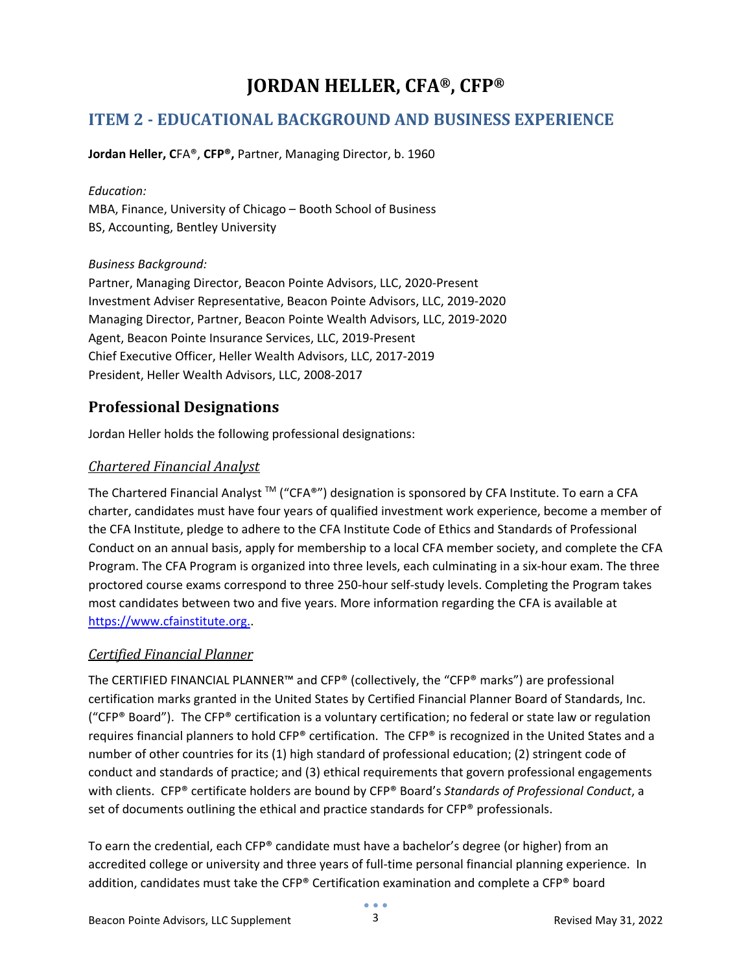# **JORDAN HELLER, CFA® , CFP®**

### <span id="page-41-0"></span>**ITEM 2 - EDUCATIONAL BACKGROUND AND BUSINESS EXPERIENCE**

**Jordan Heller, C**FA®, **CFP®,** Partner, Managing Director, b. 1960

#### *Education:*

MBA, Finance, University of Chicago – Booth School of Business BS, Accounting, Bentley University

*Business Background:*

Partner, Managing Director, Beacon Pointe Advisors, LLC, 2020-Present Investment Adviser Representative, Beacon Pointe Advisors, LLC, 2019-2020 Managing Director, Partner, Beacon Pointe Wealth Advisors, LLC, 2019-2020 Agent, Beacon Pointe Insurance Services, LLC, 2019-Present Chief Executive Officer, Heller Wealth Advisors, LLC, 2017-2019 President, Heller Wealth Advisors, LLC, 2008-2017

### **Professional Designations**

Jordan Heller holds the following professional designations:

### *Chartered Financial Analyst*

The Chartered Financial Analyst  $TM$  ("CFA®") designation is sponsored by CFA Institute. To earn a CFA charter, candidates must have four years of qualified investment work experience, become a member of the CFA Institute, pledge to adhere to the CFA Institute Code of Ethics and Standards of Professional Conduct on an annual basis, apply for membership to a local CFA member society, and complete the CFA Program. The CFA Program is organized into three levels, each culminating in a six-hour exam. The three proctored course exams correspond to three 250-hour self-study levels. Completing the Program takes most candidates between two and five years. More information regarding the CFA is available at [https://www.cfainstitute.org..](https://www.cfainstitute.org./)

### *Certified Financial Planner*

The CERTIFIED FINANCIAL PLANNER™ and CFP® (collectively, the "CFP® marks") are professional certification marks granted in the United States by Certified Financial Planner Board of Standards, Inc. ("CFP® Board"). The CFP® certification is a voluntary certification; no federal or state law or regulation requires financial planners to hold CFP® certification. The CFP® is recognized in the United States and a number of other countries for its (1) high standard of professional education; (2) stringent code of conduct and standards of practice; and (3) ethical requirements that govern professional engagements with clients. CFP® certificate holders are bound by CFP® Board's *Standards of Professional Conduct*, a set of documents outlining the ethical and practice standards for CFP® professionals.

To earn the credential, each CFP® candidate must have a bachelor's degree (or higher) from an accredited college or university and three years of full-time personal financial planning experience. In addition, candidates must take the CFP® Certification examination and complete a CFP® board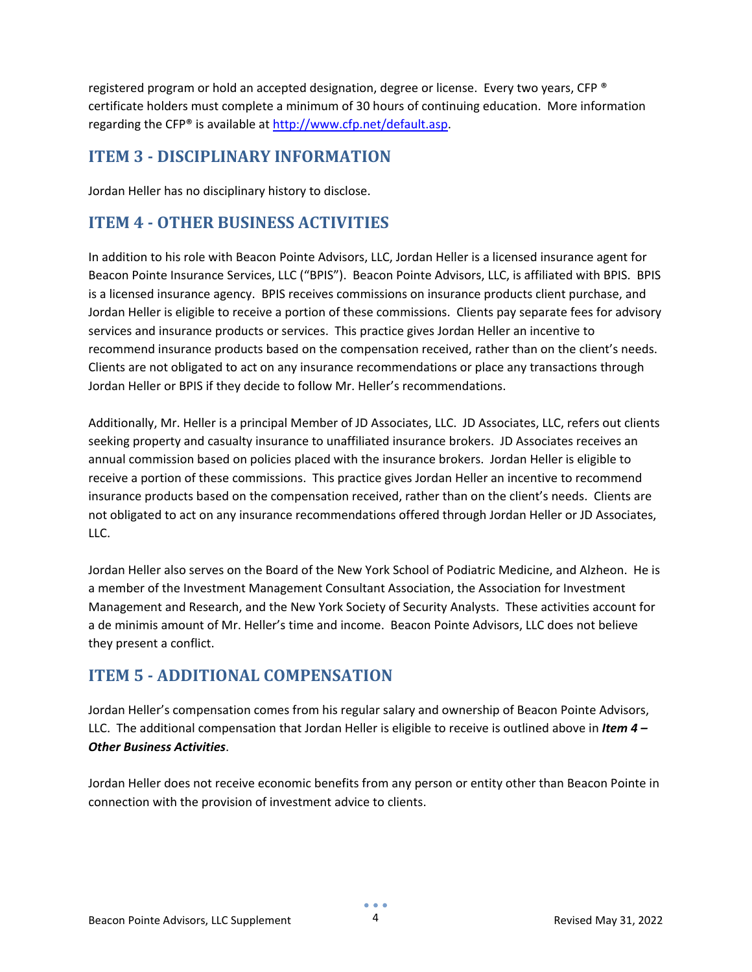registered program or hold an accepted designation, degree or license. Every two years, CFP ® certificate holders must complete a minimum of 30 hours of continuing education. More information regarding the CFP® is available at [http://www.cfp.net/default.asp.](http://www.cfp.net/default.asp)

### **ITEM 3 - DISCIPLINARY INFORMATION**

Jordan Heller has no disciplinary history to disclose.

### **ITEM 4 - OTHER BUSINESS ACTIVITIES**

In addition to his role with Beacon Pointe Advisors, LLC, Jordan Heller is a licensed insurance agent for Beacon Pointe Insurance Services, LLC ("BPIS"). Beacon Pointe Advisors, LLC, is affiliated with BPIS. BPIS is a licensed insurance agency. BPIS receives commissions on insurance products client purchase, and Jordan Heller is eligible to receive a portion of these commissions. Clients pay separate fees for advisory services and insurance products or services. This practice gives Jordan Heller an incentive to recommend insurance products based on the compensation received, rather than on the client's needs. Clients are not obligated to act on any insurance recommendations or place any transactions through Jordan Heller or BPIS if they decide to follow Mr. Heller's recommendations.

Additionally, Mr. Heller is a principal Member of JD Associates, LLC. JD Associates, LLC, refers out clients seeking property and casualty insurance to unaffiliated insurance brokers. JD Associates receives an annual commission based on policies placed with the insurance brokers. Jordan Heller is eligible to receive a portion of these commissions. This practice gives Jordan Heller an incentive to recommend insurance products based on the compensation received, rather than on the client's needs. Clients are not obligated to act on any insurance recommendations offered through Jordan Heller or JD Associates, LLC.

Jordan Heller also serves on the Board of the New York School of Podiatric Medicine, and Alzheon. He is a member of the Investment Management Consultant Association, the Association for Investment Management and Research, and the New York Society of Security Analysts. These activities account for a de minimis amount of Mr. Heller's time and income. Beacon Pointe Advisors, LLC does not believe they present a conflict.

### **ITEM 5 - ADDITIONAL COMPENSATION**

Jordan Heller's compensation comes from his regular salary and ownership of Beacon Pointe Advisors, LLC. The additional compensation that Jordan Heller is eligible to receive is outlined above in *Item 4 – Other Business Activities*.

Jordan Heller does not receive economic benefits from any person or entity other than Beacon Pointe in connection with the provision of investment advice to clients.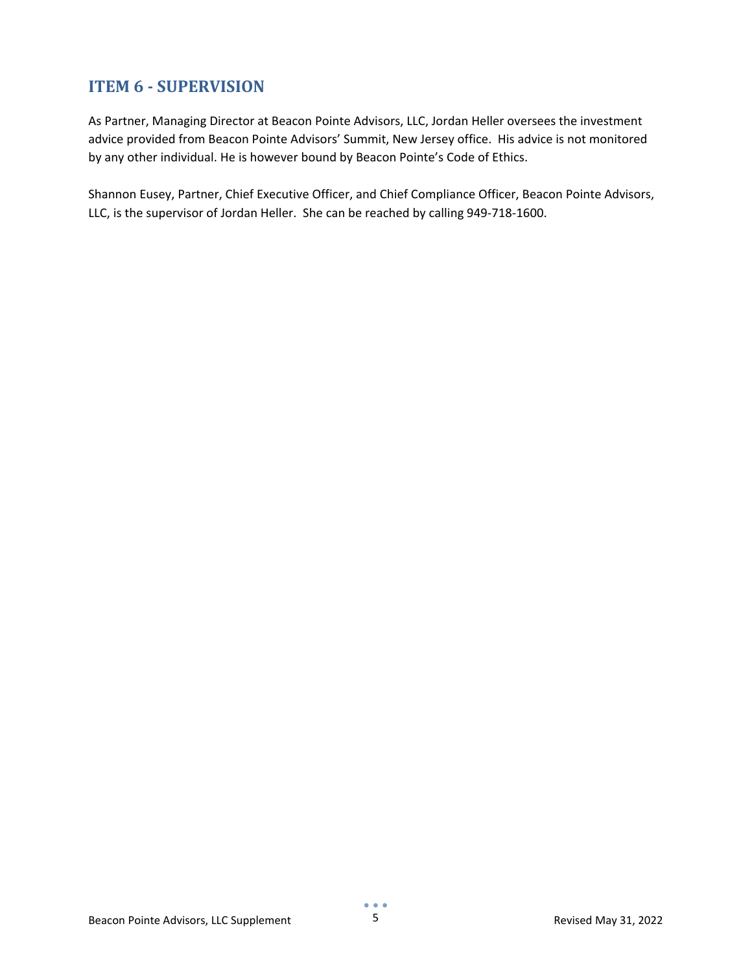### **ITEM 6 - SUPERVISION**

As Partner, Managing Director at Beacon Pointe Advisors, LLC, Jordan Heller oversees the investment advice provided from Beacon Pointe Advisors' Summit, New Jersey office. His advice is not monitored by any other individual. He is however bound by Beacon Pointe's Code of Ethics.

Shannon Eusey, Partner, Chief Executive Officer, and Chief Compliance Officer, Beacon Pointe Advisors, LLC, is the supervisor of Jordan Heller. She can be reached by calling 949-718-1600.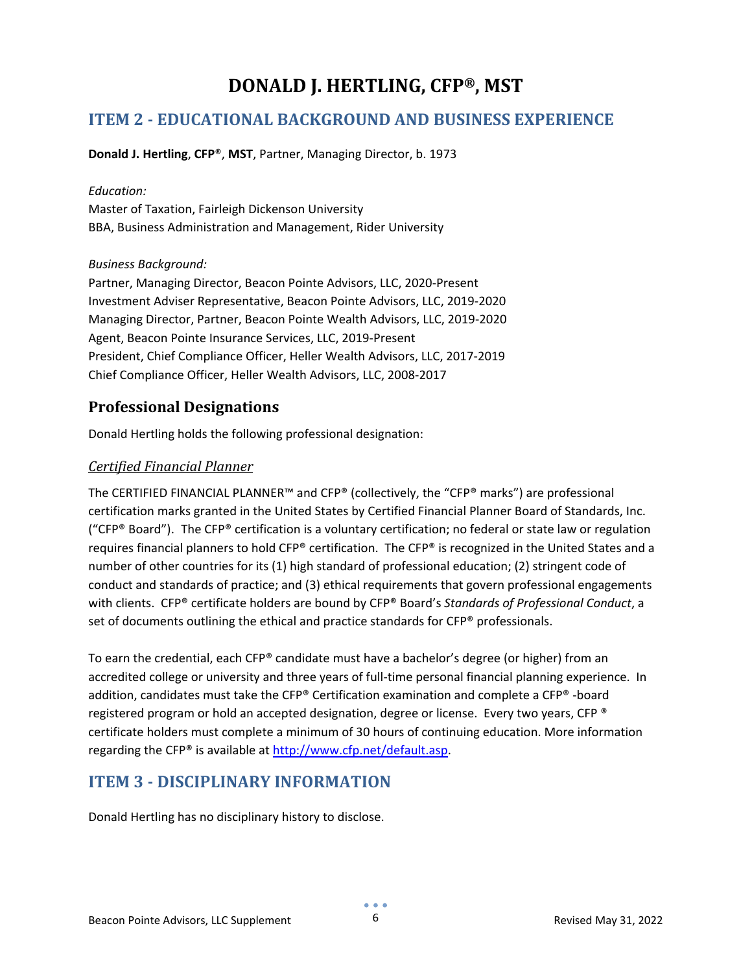# **DONALD J. HERTLING, CFP®, MST**

### <span id="page-44-0"></span>**ITEM 2 - EDUCATIONAL BACKGROUND AND BUSINESS EXPERIENCE**

**Donald J. Hertling**, **CFP**®, **MST**, Partner, Managing Director, b. 1973

### *Education:* Master of Taxation, Fairleigh Dickenson University BBA, Business Administration and Management, Rider University

*Business Background:*

Partner, Managing Director, Beacon Pointe Advisors, LLC, 2020-Present Investment Adviser Representative, Beacon Pointe Advisors, LLC, 2019-2020 Managing Director, Partner, Beacon Pointe Wealth Advisors, LLC, 2019-2020 Agent, Beacon Pointe Insurance Services, LLC, 2019-Present President, Chief Compliance Officer, Heller Wealth Advisors, LLC, 2017-2019 Chief Compliance Officer, Heller Wealth Advisors, LLC, 2008-2017

### **Professional Designations**

Donald Hertling holds the following professional designation:

### *Certified Financial Planner*

The CERTIFIED FINANCIAL PLANNER™ and CFP® (collectively, the "CFP® marks") are professional certification marks granted in the United States by Certified Financial Planner Board of Standards, Inc. ("CFP® Board"). The CFP® certification is a voluntary certification; no federal or state law or regulation requires financial planners to hold CFP® certification. The CFP® is recognized in the United States and a number of other countries for its (1) high standard of professional education; (2) stringent code of conduct and standards of practice; and (3) ethical requirements that govern professional engagements with clients. CFP® certificate holders are bound by CFP® Board's *Standards of Professional Conduct*, a set of documents outlining the ethical and practice standards for CFP® professionals.

To earn the credential, each CFP® candidate must have a bachelor's degree (or higher) from an accredited college or university and three years of full-time personal financial planning experience. In addition, candidates must take the CFP® Certification examination and complete a CFP® -board registered program or hold an accepted designation, degree or license. Every two years, CFP ® certificate holders must complete a minimum of 30 hours of continuing education. More information regarding the CFP® is available at [http://www.cfp.net/default.asp.](http://www.cfp.net/default.asp)

### **ITEM 3 - DISCIPLINARY INFORMATION**

Donald Hertling has no disciplinary history to disclose.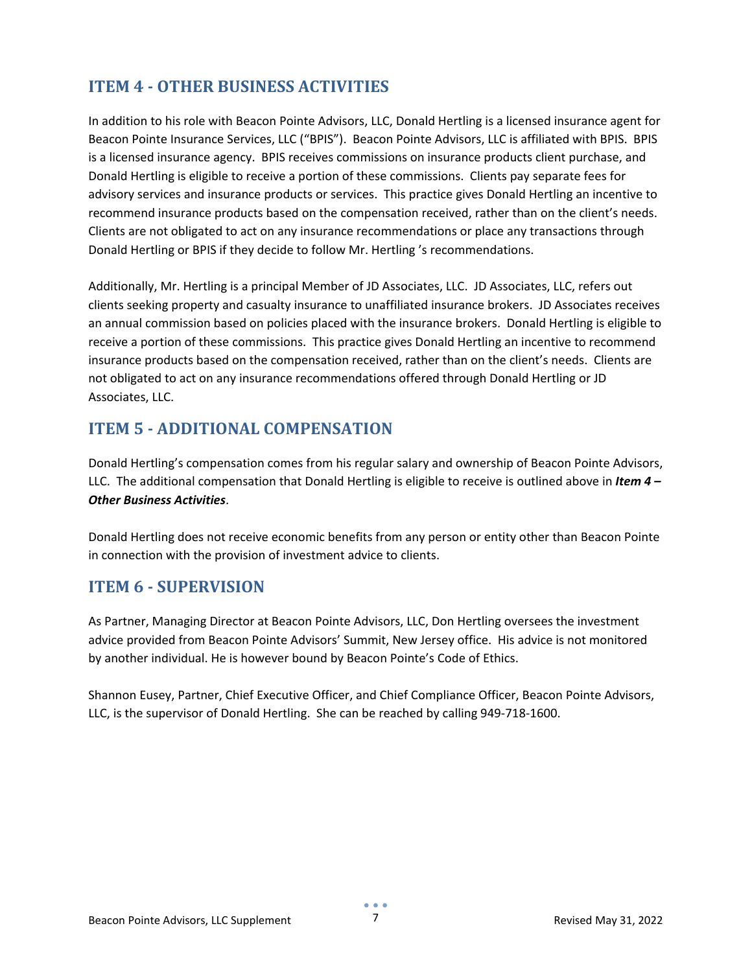## **ITEM 4 - OTHER BUSINESS ACTIVITIES**

In addition to his role with Beacon Pointe Advisors, LLC, Donald Hertling is a licensed insurance agent for Beacon Pointe Insurance Services, LLC ("BPIS"). Beacon Pointe Advisors, LLC is affiliated with BPIS. BPIS is a licensed insurance agency. BPIS receives commissions on insurance products client purchase, and Donald Hertling is eligible to receive a portion of these commissions. Clients pay separate fees for advisory services and insurance products or services. This practice gives Donald Hertling an incentive to recommend insurance products based on the compensation received, rather than on the client's needs. Clients are not obligated to act on any insurance recommendations or place any transactions through Donald Hertling or BPIS if they decide to follow Mr. Hertling 's recommendations.

Additionally, Mr. Hertling is a principal Member of JD Associates, LLC. JD Associates, LLC, refers out clients seeking property and casualty insurance to unaffiliated insurance brokers. JD Associates receives an annual commission based on policies placed with the insurance brokers. Donald Hertling is eligible to receive a portion of these commissions. This practice gives Donald Hertling an incentive to recommend insurance products based on the compensation received, rather than on the client's needs. Clients are not obligated to act on any insurance recommendations offered through Donald Hertling or JD Associates, LLC.

### **ITEM 5 - ADDITIONAL COMPENSATION**

Donald Hertling's compensation comes from his regular salary and ownership of Beacon Pointe Advisors, LLC. The additional compensation that Donald Hertling is eligible to receive is outlined above in *Item 4 – Other Business Activities*.

Donald Hertling does not receive economic benefits from any person or entity other than Beacon Pointe in connection with the provision of investment advice to clients.

### **ITEM 6 - SUPERVISION**

As Partner, Managing Director at Beacon Pointe Advisors, LLC, Don Hertling oversees the investment advice provided from Beacon Pointe Advisors' Summit, New Jersey office. His advice is not monitored by another individual. He is however bound by Beacon Pointe's Code of Ethics.

Shannon Eusey, Partner, Chief Executive Officer, and Chief Compliance Officer, Beacon Pointe Advisors, LLC, is the supervisor of Donald Hertling. She can be reached by calling 949-718-1600.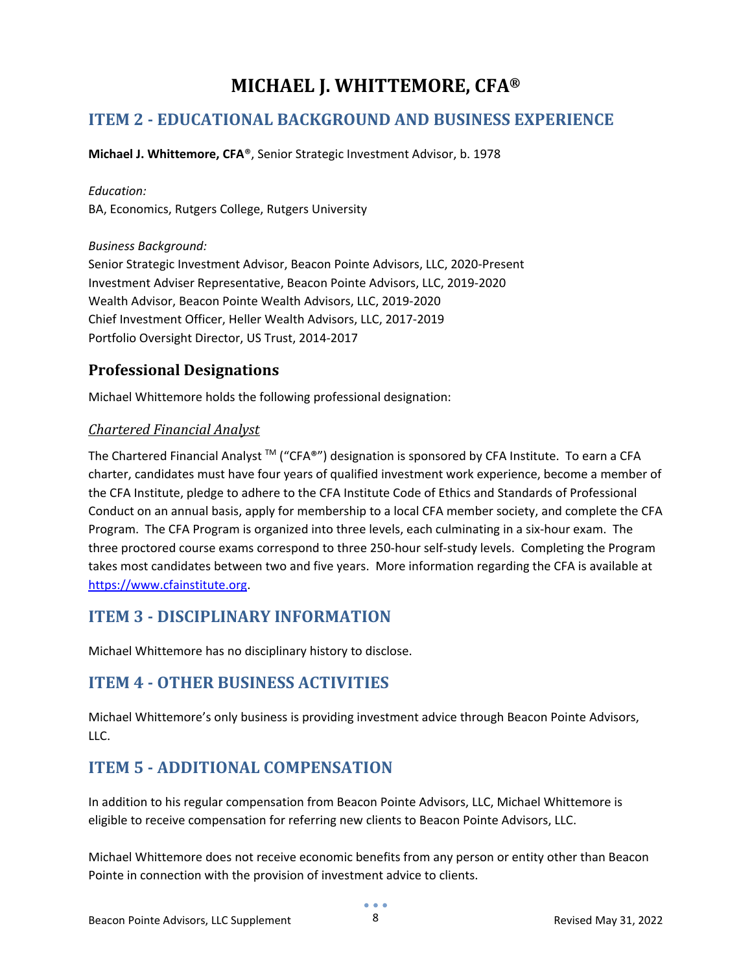# **MICHAEL J. WHITTEMORE, CFA®**

### <span id="page-46-0"></span>**ITEM 2 - EDUCATIONAL BACKGROUND AND BUSINESS EXPERIENCE**

**Michael J. Whittemore, CFA**®, Senior Strategic Investment Advisor, b. 1978

#### *Education:*

BA, Economics, Rutgers College, Rutgers University

*Business Background:*

Senior Strategic Investment Advisor, Beacon Pointe Advisors, LLC, 2020-Present Investment Adviser Representative, Beacon Pointe Advisors, LLC, 2019-2020 Wealth Advisor, Beacon Pointe Wealth Advisors, LLC, 2019-2020 Chief Investment Officer, Heller Wealth Advisors, LLC, 2017-2019 Portfolio Oversight Director, US Trust, 2014-2017

### **Professional Designations**

Michael Whittemore holds the following professional designation:

### *Chartered Financial Analyst*

The Chartered Financial Analyst  $TM$  ("CFA®") designation is sponsored by CFA Institute. To earn a CFA charter, candidates must have four years of qualified investment work experience, become a member of the CFA Institute, pledge to adhere to the CFA Institute Code of Ethics and Standards of Professional Conduct on an annual basis, apply for membership to a local CFA member society, and complete the CFA Program. The CFA Program is organized into three levels, each culminating in a six-hour exam. The three proctored course exams correspond to three 250-hour self-study levels. Completing the Program takes most candidates between two and five years. More information regarding the CFA is available at [https://www.cfainstitute.org.](https://www.cfainstitute.org/)

### **ITEM 3 - DISCIPLINARY INFORMATION**

Michael Whittemore has no disciplinary history to disclose.

### **ITEM 4 - OTHER BUSINESS ACTIVITIES**

Michael Whittemore's only business is providing investment advice through Beacon Pointe Advisors, LLC.

### **ITEM 5 - ADDITIONAL COMPENSATION**

In addition to his regular compensation from Beacon Pointe Advisors, LLC, Michael Whittemore is eligible to receive compensation for referring new clients to Beacon Pointe Advisors, LLC.

Michael Whittemore does not receive economic benefits from any person or entity other than Beacon Pointe in connection with the provision of investment advice to clients.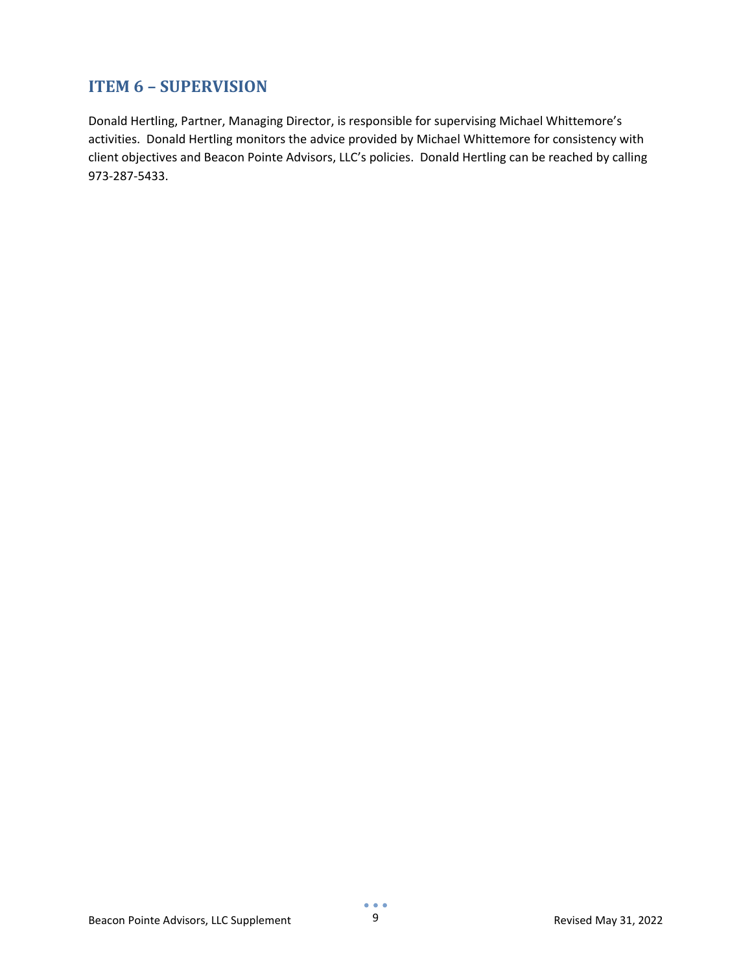### **ITEM 6 – SUPERVISION**

Donald Hertling, Partner, Managing Director, is responsible for supervising Michael Whittemore's activities. Donald Hertling monitors the advice provided by Michael Whittemore for consistency with client objectives and Beacon Pointe Advisors, LLC's policies. Donald Hertling can be reached by calling 973-287-5433.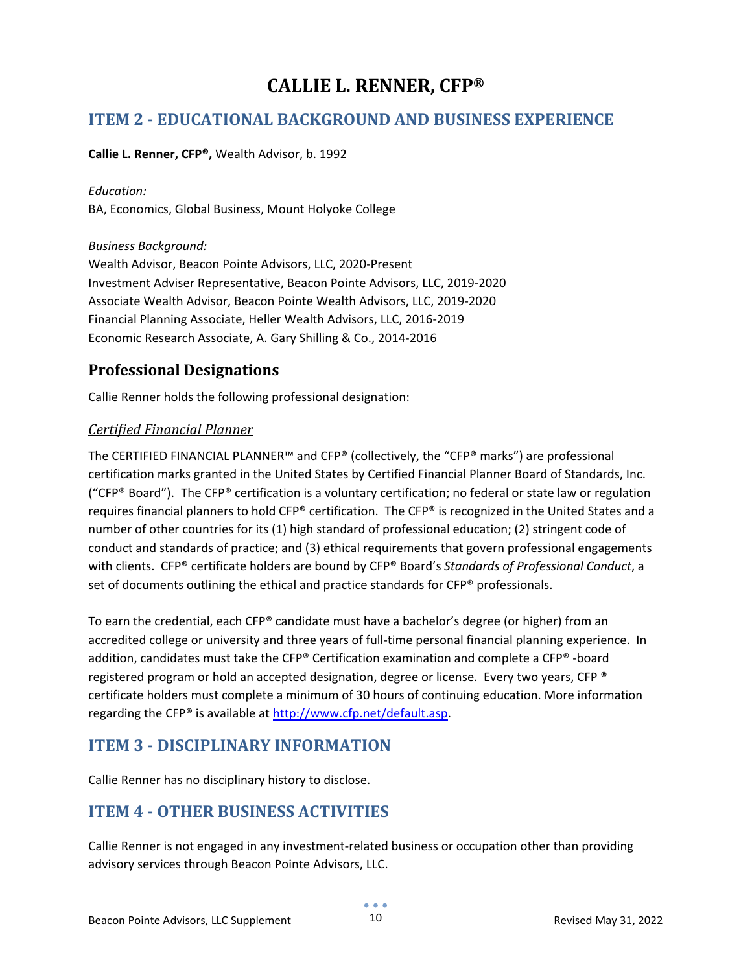# **CALLIE L. RENNER, CFP®**

### <span id="page-48-0"></span>**ITEM 2 - EDUCATIONAL BACKGROUND AND BUSINESS EXPERIENCE**

#### **Callie L. Renner, CFP®,** Wealth Advisor, b. 1992

#### *Education:*

BA, Economics, Global Business, Mount Holyoke College

*Business Background:*

Wealth Advisor, Beacon Pointe Advisors, LLC, 2020-Present Investment Adviser Representative, Beacon Pointe Advisors, LLC, 2019-2020 Associate Wealth Advisor, Beacon Pointe Wealth Advisors, LLC, 2019-2020 Financial Planning Associate, Heller Wealth Advisors, LLC, 2016-2019 Economic Research Associate, A. Gary Shilling & Co., 2014-2016

### **Professional Designations**

Callie Renner holds the following professional designation:

### *Certified Financial Planner*

The CERTIFIED FINANCIAL PLANNER™ and CFP® (collectively, the "CFP® marks") are professional certification marks granted in the United States by Certified Financial Planner Board of Standards, Inc. ("CFP® Board"). The CFP® certification is a voluntary certification; no federal or state law or regulation requires financial planners to hold CFP® certification. The CFP® is recognized in the United States and a number of other countries for its (1) high standard of professional education; (2) stringent code of conduct and standards of practice; and (3) ethical requirements that govern professional engagements with clients. CFP® certificate holders are bound by CFP® Board's *Standards of Professional Conduct*, a set of documents outlining the ethical and practice standards for CFP® professionals.

To earn the credential, each CFP® candidate must have a bachelor's degree (or higher) from an accredited college or university and three years of full-time personal financial planning experience. In addition, candidates must take the CFP® Certification examination and complete a CFP® -board registered program or hold an accepted designation, degree or license. Every two years, CFP ® certificate holders must complete a minimum of 30 hours of continuing education. More information regarding the CFP<sup>®</sup> is available at [http://www.cfp.net/default.asp.](http://www.cfp.net/default.asp)

### **ITEM 3 - DISCIPLINARY INFORMATION**

Callie Renner has no disciplinary history to disclose.

### **ITEM 4 - OTHER BUSINESS ACTIVITIES**

Callie Renner is not engaged in any investment-related business or occupation other than providing advisory services through Beacon Pointe Advisors, LLC.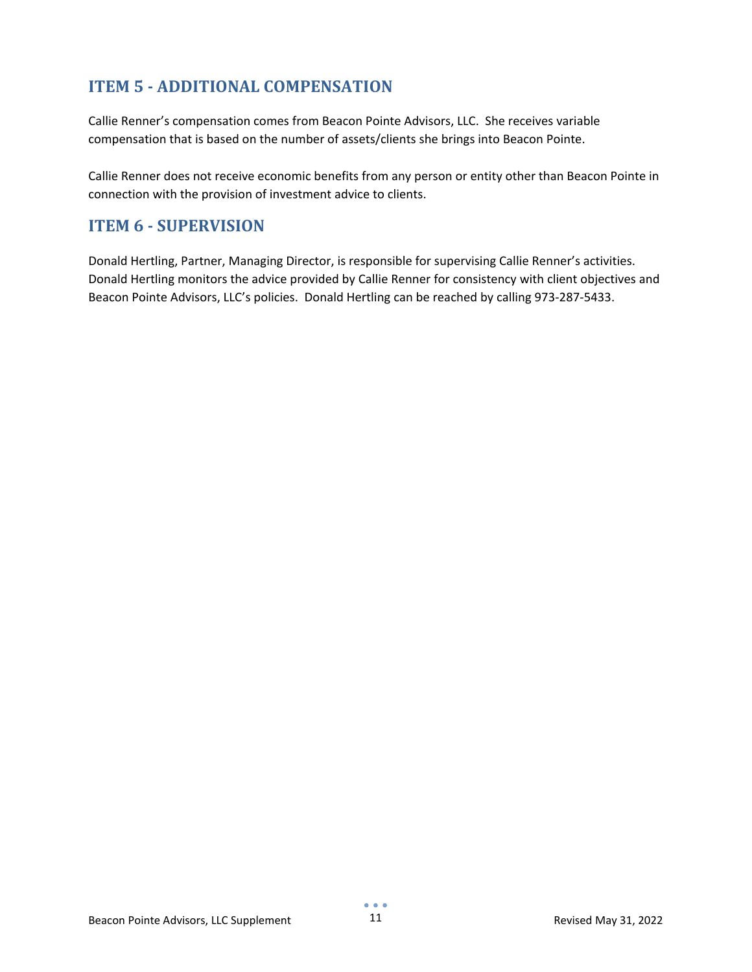## **ITEM 5 - ADDITIONAL COMPENSATION**

Callie Renner's compensation comes from Beacon Pointe Advisors, LLC. She receives variable compensation that is based on the number of assets/clients she brings into Beacon Pointe.

Callie Renner does not receive economic benefits from any person or entity other than Beacon Pointe in connection with the provision of investment advice to clients.

### **ITEM 6 - SUPERVISION**

Donald Hertling, Partner, Managing Director, is responsible for supervising Callie Renner's activities. Donald Hertling monitors the advice provided by Callie Renner for consistency with client objectives and Beacon Pointe Advisors, LLC's policies. Donald Hertling can be reached by calling 973-287-5433.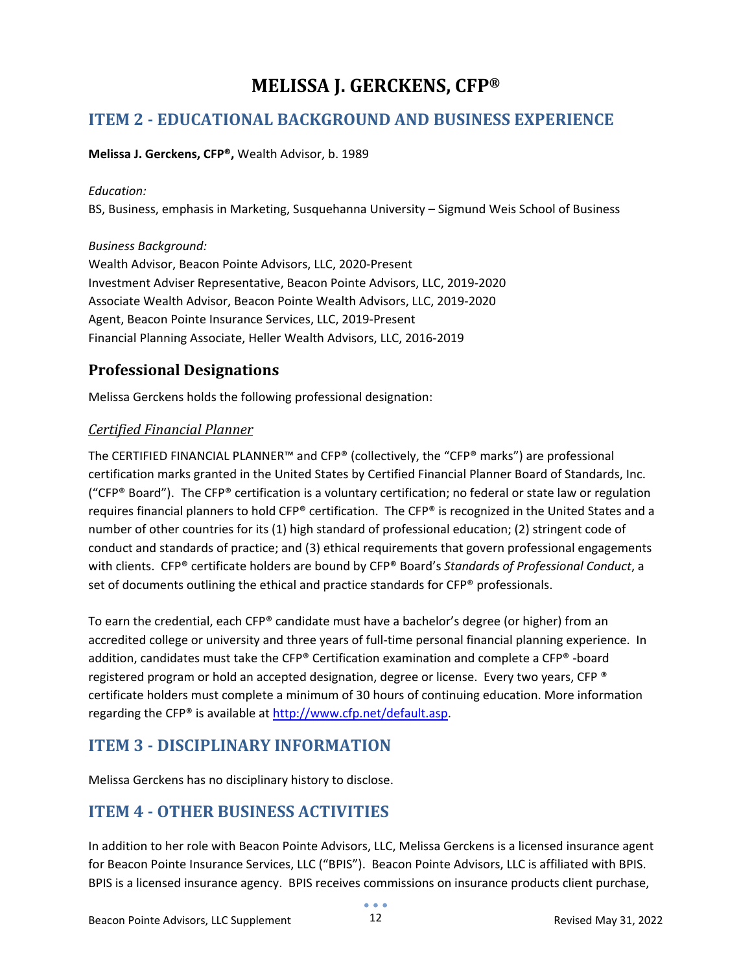# **MELISSA J. GERCKENS, CFP®**

### <span id="page-50-0"></span>**ITEM 2 - EDUCATIONAL BACKGROUND AND BUSINESS EXPERIENCE**

#### **Melissa J. Gerckens, CFP®,** Wealth Advisor, b. 1989

#### *Education:*

BS, Business, emphasis in Marketing, Susquehanna University – Sigmund Weis School of Business

#### *Business Background:*

Wealth Advisor, Beacon Pointe Advisors, LLC, 2020-Present Investment Adviser Representative, Beacon Pointe Advisors, LLC, 2019-2020 Associate Wealth Advisor, Beacon Pointe Wealth Advisors, LLC, 2019-2020 Agent, Beacon Pointe Insurance Services, LLC, 2019-Present Financial Planning Associate, Heller Wealth Advisors, LLC, 2016-2019

### **Professional Designations**

Melissa Gerckens holds the following professional designation:

### *Certified Financial Planner*

The CERTIFIED FINANCIAL PLANNER™ and CFP® (collectively, the "CFP® marks") are professional certification marks granted in the United States by Certified Financial Planner Board of Standards, Inc. ("CFP® Board"). The CFP® certification is a voluntary certification; no federal or state law or regulation requires financial planners to hold CFP® certification. The CFP® is recognized in the United States and a number of other countries for its (1) high standard of professional education; (2) stringent code of conduct and standards of practice; and (3) ethical requirements that govern professional engagements with clients. CFP® certificate holders are bound by CFP® Board's *Standards of Professional Conduct*, a set of documents outlining the ethical and practice standards for CFP® professionals.

To earn the credential, each CFP® candidate must have a bachelor's degree (or higher) from an accredited college or university and three years of full-time personal financial planning experience. In addition, candidates must take the CFP® Certification examination and complete a CFP® -board registered program or hold an accepted designation, degree or license. Every two years, CFP ® certificate holders must complete a minimum of 30 hours of continuing education. More information regarding the CFP<sup>®</sup> is available at [http://www.cfp.net/default.asp.](http://www.cfp.net/default.asp)

### **ITEM 3 - DISCIPLINARY INFORMATION**

Melissa Gerckens has no disciplinary history to disclose.

### **ITEM 4 - OTHER BUSINESS ACTIVITIES**

In addition to her role with Beacon Pointe Advisors, LLC, Melissa Gerckens is a licensed insurance agent for Beacon Pointe Insurance Services, LLC ("BPIS"). Beacon Pointe Advisors, LLC is affiliated with BPIS. BPIS is a licensed insurance agency. BPIS receives commissions on insurance products client purchase,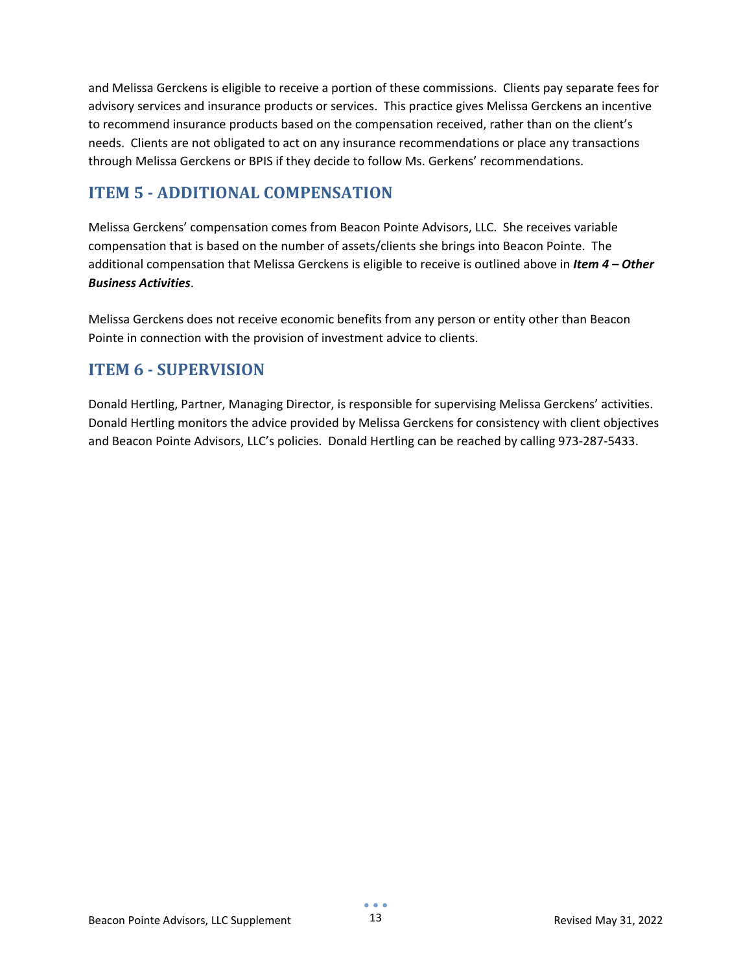and Melissa Gerckens is eligible to receive a portion of these commissions. Clients pay separate fees for advisory services and insurance products or services. This practice gives Melissa Gerckens an incentive to recommend insurance products based on the compensation received, rather than on the client's needs. Clients are not obligated to act on any insurance recommendations or place any transactions through Melissa Gerckens or BPIS if they decide to follow Ms. Gerkens' recommendations.

### **ITEM 5 - ADDITIONAL COMPENSATION**

Melissa Gerckens' compensation comes from Beacon Pointe Advisors, LLC. She receives variable compensation that is based on the number of assets/clients she brings into Beacon Pointe. The additional compensation that Melissa Gerckens is eligible to receive is outlined above in *Item 4 – Other Business Activities*.

Melissa Gerckens does not receive economic benefits from any person or entity other than Beacon Pointe in connection with the provision of investment advice to clients.

### **ITEM 6 - SUPERVISION**

Donald Hertling, Partner, Managing Director, is responsible for supervising Melissa Gerckens' activities. Donald Hertling monitors the advice provided by Melissa Gerckens for consistency with client objectives and Beacon Pointe Advisors, LLC's policies. Donald Hertling can be reached by calling 973-287-5433.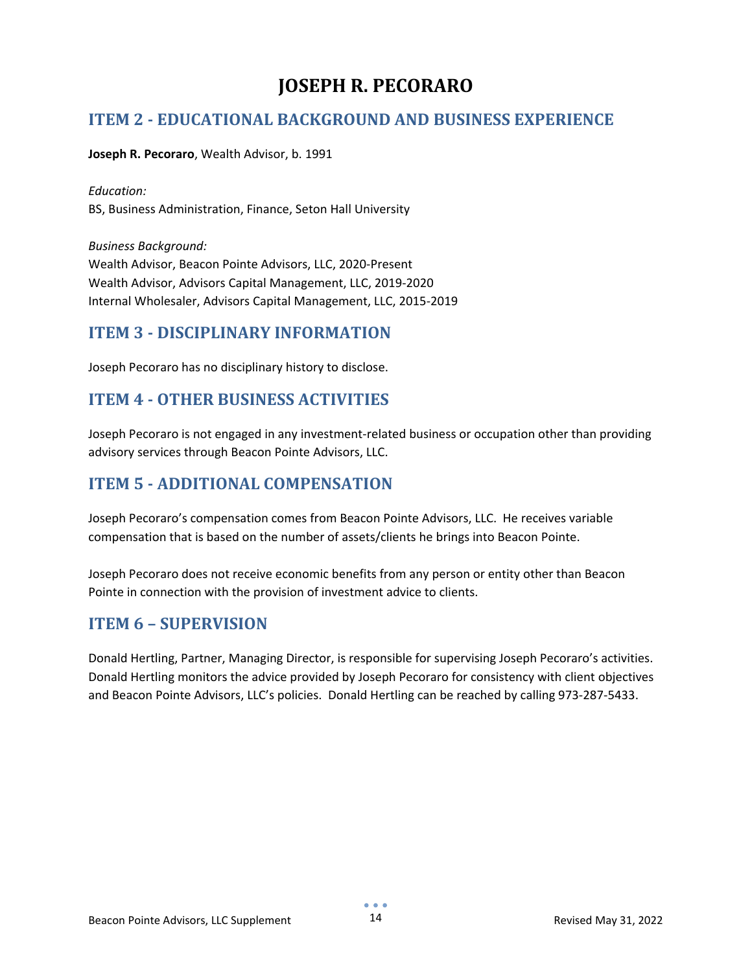# **JOSEPH R. PECORARO**

### <span id="page-52-0"></span>**ITEM 2 - EDUCATIONAL BACKGROUND AND BUSINESS EXPERIENCE**

#### **Joseph R. Pecoraro**, Wealth Advisor, b. 1991

*Education:* BS, Business Administration, Finance, Seton Hall University

*Business Background:* Wealth Advisor, Beacon Pointe Advisors, LLC, 2020-Present Wealth Advisor, Advisors Capital Management, LLC, 2019-2020 Internal Wholesaler, Advisors Capital Management, LLC, 2015-2019

### **ITEM 3 - DISCIPLINARY INFORMATION**

Joseph Pecoraro has no disciplinary history to disclose.

### **ITEM 4 - OTHER BUSINESS ACTIVITIES**

Joseph Pecoraro is not engaged in any investment-related business or occupation other than providing advisory services through Beacon Pointe Advisors, LLC.

### **ITEM 5 - ADDITIONAL COMPENSATION**

Joseph Pecoraro's compensation comes from Beacon Pointe Advisors, LLC. He receives variable compensation that is based on the number of assets/clients he brings into Beacon Pointe.

Joseph Pecoraro does not receive economic benefits from any person or entity other than Beacon Pointe in connection with the provision of investment advice to clients.

### **ITEM 6 – SUPERVISION**

Donald Hertling, Partner, Managing Director, is responsible for supervising Joseph Pecoraro's activities. Donald Hertling monitors the advice provided by Joseph Pecoraro for consistency with client objectives and Beacon Pointe Advisors, LLC's policies. Donald Hertling can be reached by calling 973-287-5433.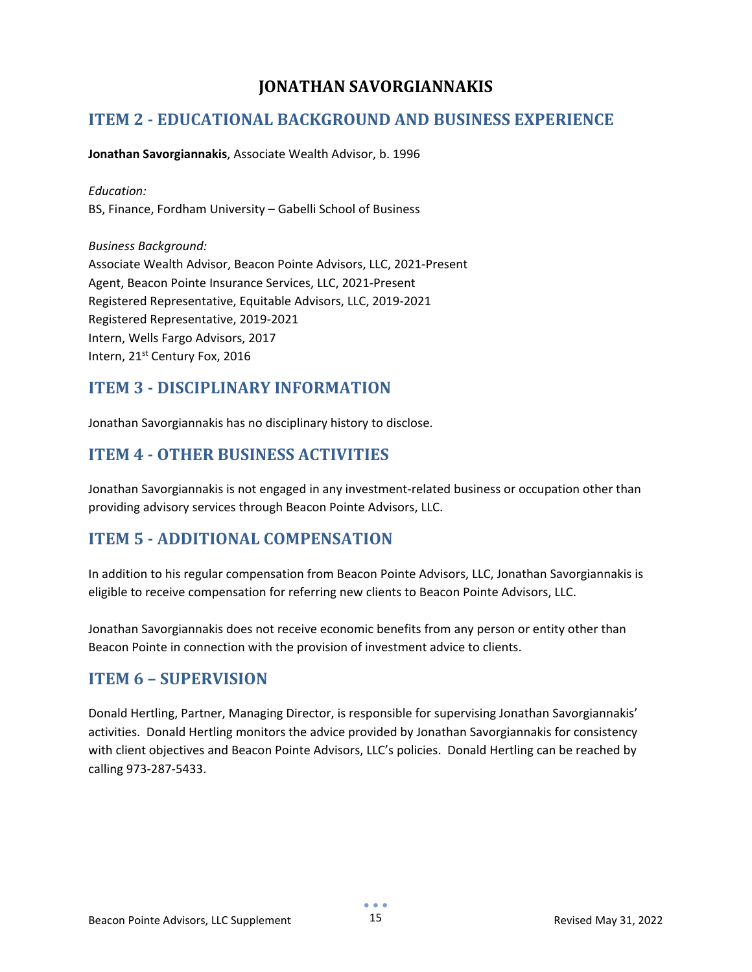### **JONATHAN SAVORGIANNAKIS**

### <span id="page-53-0"></span>**ITEM 2 - EDUCATIONAL BACKGROUND AND BUSINESS EXPERIENCE**

#### **Jonathan Savorgiannakis**, Associate Wealth Advisor, b. 1996

*Education:* BS, Finance, Fordham University – Gabelli School of Business

*Business Background:* Associate Wealth Advisor, Beacon Pointe Advisors, LLC, 2021-Present Agent, Beacon Pointe Insurance Services, LLC, 2021-Present Registered Representative, Equitable Advisors, LLC, 2019-2021 Registered Representative, 2019-2021 Intern, Wells Fargo Advisors, 2017 Intern, 21<sup>st</sup> Century Fox, 2016

### **ITEM 3 - DISCIPLINARY INFORMATION**

Jonathan Savorgiannakis has no disciplinary history to disclose.

### **ITEM 4 - OTHER BUSINESS ACTIVITIES**

Jonathan Savorgiannakis is not engaged in any investment-related business or occupation other than providing advisory services through Beacon Pointe Advisors, LLC.

### **ITEM 5 - ADDITIONAL COMPENSATION**

In addition to his regular compensation from Beacon Pointe Advisors, LLC, Jonathan Savorgiannakis is eligible to receive compensation for referring new clients to Beacon Pointe Advisors, LLC.

Jonathan Savorgiannakis does not receive economic benefits from any person or entity other than Beacon Pointe in connection with the provision of investment advice to clients.

### **ITEM 6 – SUPERVISION**

Donald Hertling, Partner, Managing Director, is responsible for supervising Jonathan Savorgiannakis' activities. Donald Hertling monitors the advice provided by Jonathan Savorgiannakis for consistency with client objectives and Beacon Pointe Advisors, LLC's policies. Donald Hertling can be reached by calling 973-287-5433.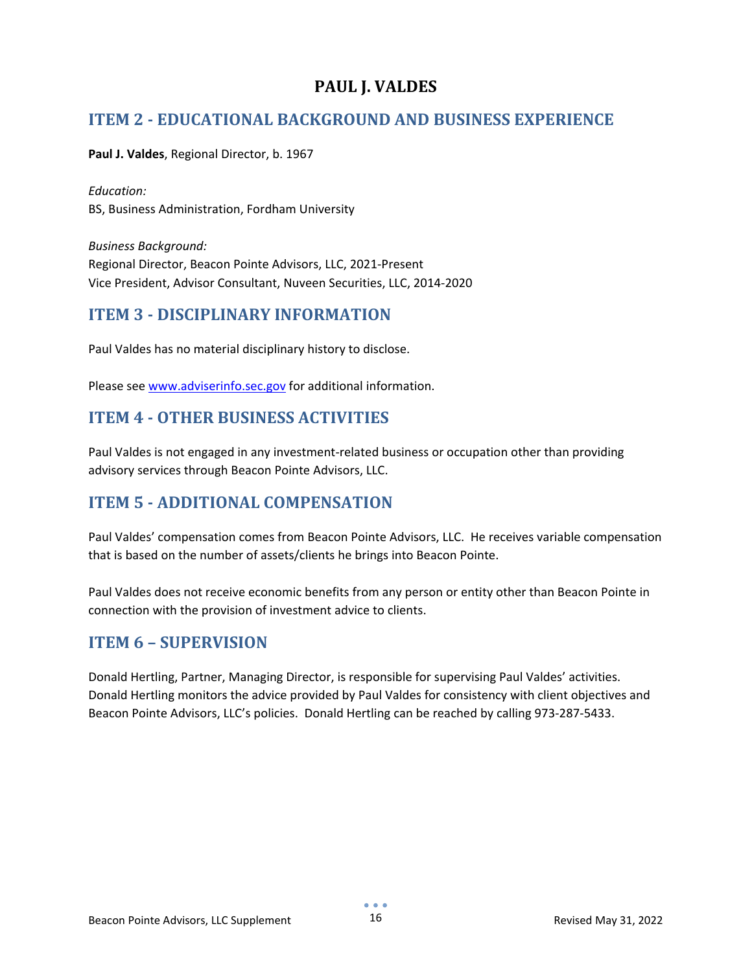### **PAUL J. VALDES**

### <span id="page-54-0"></span>**ITEM 2 - EDUCATIONAL BACKGROUND AND BUSINESS EXPERIENCE**

**Paul J. Valdes**, Regional Director, b. 1967

*Education:* BS, Business Administration, Fordham University

*Business Background:* Regional Director, Beacon Pointe Advisors, LLC, 2021-Present Vice President, Advisor Consultant, Nuveen Securities, LLC, 2014-2020

### **ITEM 3 - DISCIPLINARY INFORMATION**

Paul Valdes has no material disciplinary history to disclose.

Please see [www.adviserinfo.sec.gov](http://www.adviserinfo.sec.gov/) for additional information.

### **ITEM 4 - OTHER BUSINESS ACTIVITIES**

Paul Valdes is not engaged in any investment-related business or occupation other than providing advisory services through Beacon Pointe Advisors, LLC.

### **ITEM 5 - ADDITIONAL COMPENSATION**

Paul Valdes' compensation comes from Beacon Pointe Advisors, LLC. He receives variable compensation that is based on the number of assets/clients he brings into Beacon Pointe.

Paul Valdes does not receive economic benefits from any person or entity other than Beacon Pointe in connection with the provision of investment advice to clients.

### **ITEM 6 – SUPERVISION**

Donald Hertling, Partner, Managing Director, is responsible for supervising Paul Valdes' activities. Donald Hertling monitors the advice provided by Paul Valdes for consistency with client objectives and Beacon Pointe Advisors, LLC's policies. Donald Hertling can be reached by calling 973-287-5433.